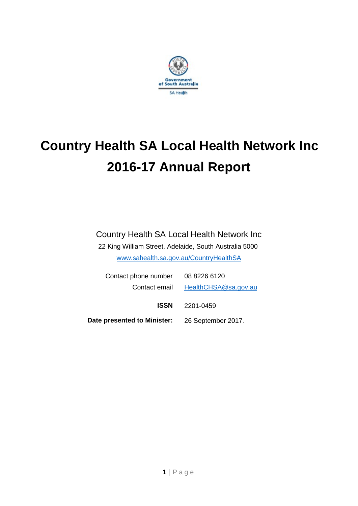

# **Country Health SA Local Health Network Inc 2016-17 Annual Report**

## Country Health SA Local Health Network Inc

22 King William Street, Adelaide, South Australia 5000 [www.sahealth.sa.gov.au/CountryHealthSA](http://www.sahealth.sa.gov.au/CountryHealthSA)

| Contact phone number 08 8226 6120              |                                    |
|------------------------------------------------|------------------------------------|
|                                                | Contact email HealthCHSA@sa.gov.au |
| ISSN                                           | 2201-0459                          |
| Date presented to Minister: 26 September 2017. |                                    |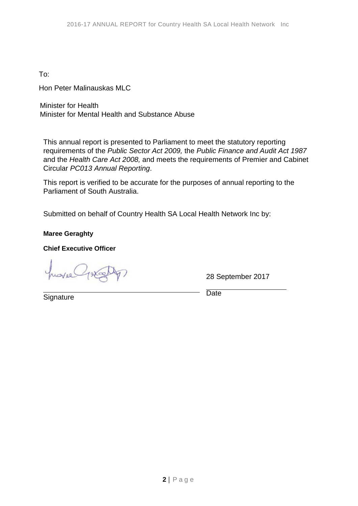To:

Hon Peter Malinauskas MLC

Minister for Health Minister for Mental Health and Substance Abuse

This annual report is presented to Parliament to meet the statutory reporting requirements of the *Public Sector Act 2009,* the *Public Finance and Audit Act 1987*  and the *Health Care Act 2008,* and meets the requirements of Premier and Cabinet Circular *PC013 Annual Reporting*.

This report is verified to be accurate for the purposes of annual reporting to the Parliament of South Australia.

Submitted on behalf of Country Health SA Local Health Network Inc by:

**Maree Geraghty**

**Chief Executive Officer**

28 September 2017

**Signature** 

**Date**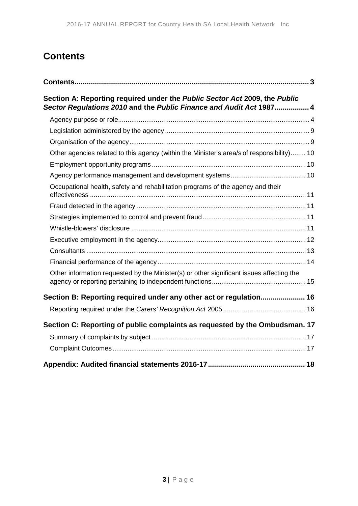# <span id="page-2-0"></span>**Contents**

| Section A: Reporting required under the Public Sector Act 2009, the Public<br>Sector Regulations 2010 and the Public Finance and Audit Act 1987 4 |  |
|---------------------------------------------------------------------------------------------------------------------------------------------------|--|
|                                                                                                                                                   |  |
|                                                                                                                                                   |  |
|                                                                                                                                                   |  |
| Other agencies related to this agency (within the Minister's area/s of responsibility) 10                                                         |  |
|                                                                                                                                                   |  |
|                                                                                                                                                   |  |
| Occupational health, safety and rehabilitation programs of the agency and their                                                                   |  |
|                                                                                                                                                   |  |
|                                                                                                                                                   |  |
|                                                                                                                                                   |  |
|                                                                                                                                                   |  |
|                                                                                                                                                   |  |
|                                                                                                                                                   |  |
| Other information requested by the Minister(s) or other significant issues affecting the                                                          |  |
| Section B: Reporting required under any other act or regulation 16                                                                                |  |
|                                                                                                                                                   |  |
| Section C: Reporting of public complaints as requested by the Ombudsman. 17                                                                       |  |
|                                                                                                                                                   |  |
|                                                                                                                                                   |  |
|                                                                                                                                                   |  |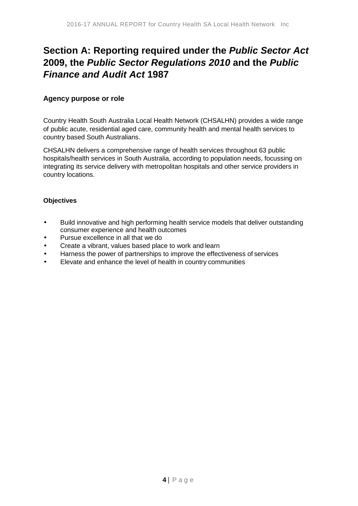# <span id="page-3-0"></span>**Section A: Reporting required under the** *Public Sector Act*  **2009, the** *Public Sector Regulations 2010* **and the** *Public Finance and Audit Act* **1987**

### <span id="page-3-1"></span>**Agency purpose or role**

Country Health South Australia Local Health Network (CHSALHN) provides a wide range of public acute, residential aged care, community health and mental health services to country based South Australians.

CHSALHN delivers a comprehensive range of health services throughout 63 public hospitals/health services in South Australia, according to population needs, focussing on integrating its service delivery with metropolitan hospitals and other service providers in country locations.

### **Objectives**

- Build innovative and high performing health service models that deliver outstanding consumer experience and health outcomes
- Pursue excellence in all that we do
- Create a vibrant, values based place to work and learn
- Harness the power of partnerships to improve the effectiveness of services  $\blacksquare$
- Elevate and enhance the level of health in country communities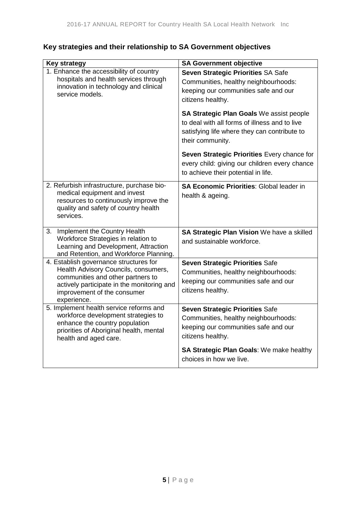| <b>Key strategy</b>                                                                                                                                                                                             | <b>SA Government objective</b>                                                                                                                                |
|-----------------------------------------------------------------------------------------------------------------------------------------------------------------------------------------------------------------|---------------------------------------------------------------------------------------------------------------------------------------------------------------|
| 1. Enhance the accessibility of country<br>hospitals and health services through<br>innovation in technology and clinical<br>service models.                                                                    | Seven Strategic Priorities SA Safe<br>Communities, healthy neighbourhoods:<br>keeping our communities safe and our<br>citizens healthy.                       |
|                                                                                                                                                                                                                 | SA Strategic Plan Goals We assist people<br>to deal with all forms of illness and to live<br>satisfying life where they can contribute to<br>their community. |
|                                                                                                                                                                                                                 | Seven Strategic Priorities Every chance for<br>every child: giving our children every chance<br>to achieve their potential in life.                           |
| 2. Refurbish infrastructure, purchase bio-<br>medical equipment and invest<br>resources to continuously improve the<br>quality and safety of country health<br>services.                                        | SA Economic Priorities: Global leader in<br>health & ageing.                                                                                                  |
| 3. Implement the Country Health<br>Workforce Strategies in relation to<br>Learning and Development, Attraction<br>and Retention, and Workforce Planning.                                                        | SA Strategic Plan Vision We have a skilled<br>and sustainable workforce.                                                                                      |
| 4. Establish governance structures for<br>Health Advisory Councils, consumers,<br>communities and other partners to<br>actively participate in the monitoring and<br>improvement of the consumer<br>experience. | Seven Strategic Priorities Safe<br>Communities, healthy neighbourhoods:<br>keeping our communities safe and our<br>citizens healthy.                          |
| 5. Implement health service reforms and<br>workforce development strategies to<br>enhance the country population<br>priorities of Aboriginal health, mental<br>health and aged care.                            | Seven Strategic Priorities Safe<br>Communities, healthy neighbourhoods:<br>keeping our communities safe and our<br>citizens healthy.                          |
|                                                                                                                                                                                                                 | SA Strategic Plan Goals: We make healthy<br>choices in how we live.                                                                                           |

# **Key strategies and their relationship to SA Government objectives**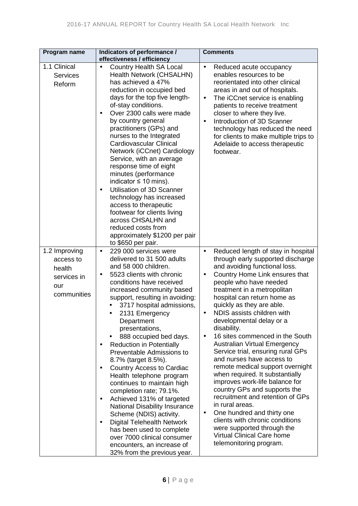| Program name                                                              | Indicators of performance /<br>effectiveness / efficiency                                                                                                                                                                                                                                                                                                                                                                                                                                                                                                                                                                                                                                                                                                                                                                                  | <b>Comments</b>                                                                                                                                                                                                                                                                                                                                                                                                                                                                                                                                                                                                                                                                                                                                                                                                                                                                  |
|---------------------------------------------------------------------------|--------------------------------------------------------------------------------------------------------------------------------------------------------------------------------------------------------------------------------------------------------------------------------------------------------------------------------------------------------------------------------------------------------------------------------------------------------------------------------------------------------------------------------------------------------------------------------------------------------------------------------------------------------------------------------------------------------------------------------------------------------------------------------------------------------------------------------------------|----------------------------------------------------------------------------------------------------------------------------------------------------------------------------------------------------------------------------------------------------------------------------------------------------------------------------------------------------------------------------------------------------------------------------------------------------------------------------------------------------------------------------------------------------------------------------------------------------------------------------------------------------------------------------------------------------------------------------------------------------------------------------------------------------------------------------------------------------------------------------------|
| 1.1 Clinical<br><b>Services</b><br>Reform                                 | <b>Country Health SA Local</b><br>Health Network (CHSALHN)<br>has achieved a 47%<br>reduction in occupied bed<br>days for the top five length-<br>of-stay conditions.<br>Over 2300 calls were made<br>by country general<br>practitioners (GPs) and<br>nurses to the Integrated<br><b>Cardiovascular Clinical</b><br>Network (iCCnet) Cardiology<br>Service, with an average<br>response time of eight<br>minutes (performance<br>indicator $\leq 10$ mins).<br>Utilisation of 3D Scanner<br>$\blacksquare$<br>technology has increased<br>access to therapeutic<br>footwear for clients living<br>across CHSALHN and<br>reduced costs from<br>approximately \$1200 per pair<br>to \$650 per pair.                                                                                                                                         | Reduced acute occupancy<br>enables resources to be<br>reorientated into other clinical<br>areas in and out of hospitals.<br>The iCCnet service is enabling<br>$\blacksquare$<br>patients to receive treatment<br>closer to where they live.<br>Introduction of 3D Scanner<br>technology has reduced the need<br>for clients to make multiple trips to<br>Adelaide to access therapeutic<br>footwear.                                                                                                                                                                                                                                                                                                                                                                                                                                                                             |
| 1.2 Improving<br>access to<br>health<br>services in<br>our<br>communities | 229 000 services were<br>delivered to 31 500 adults<br>and 58 000 children.<br>5523 clients with chronic<br>conditions have received<br>increased community based<br>support, resulting in avoiding:<br>3717 hospital admissions,<br>2131 Emergency<br>Department<br>presentations,<br>888 occupied bed days.<br><b>Reduction in Potentially</b><br>Preventable Admissions to<br>8.7% (target 8.5%).<br><b>Country Access to Cardiac</b><br>$\blacksquare$<br>Health telephone program<br>continues to maintain high<br>completion rate; 79.1%.<br>Achieved 131% of targeted<br>$\blacksquare$<br>National Disability Insurance<br>Scheme (NDIS) activity.<br><b>Digital Telehealth Network</b><br>$\blacksquare$<br>has been used to complete<br>over 7000 clinical consumer<br>encounters, an increase of<br>32% from the previous year. | Reduced length of stay in hospital<br>through early supported discharge<br>and avoiding functional loss.<br>Country Home Link ensures that<br>$\blacksquare$<br>people who have needed<br>treatment in a metropolitan<br>hospital can return home as<br>quickly as they are able.<br>NDIS assists children with<br>developmental delay or a<br>disability.<br>16 sites commenced in the South<br><b>Australian Virtual Emergency</b><br>Service trial, ensuring rural GPs<br>and nurses have access to<br>remote medical support overnight<br>when required. It substantially<br>improves work-life balance for<br>country GPs and supports the<br>recruitment and retention of GPs<br>in rural areas.<br>One hundred and thirty one<br>$\blacksquare$<br>clients with chronic conditions<br>were supported through the<br>Virtual Clinical Care home<br>telemonitoring program. |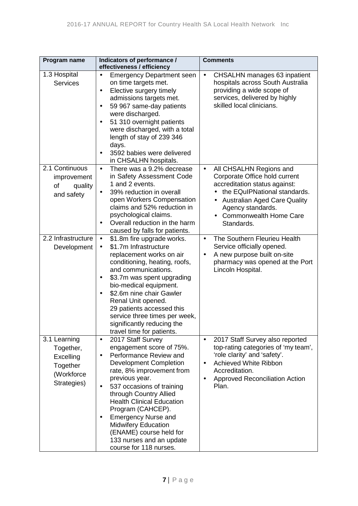| Program name                                                                    | Indicators of performance /<br>effectiveness / efficiency                                                                                                                                                                                                                                                                                                                                                                              | <b>Comments</b>                                                                                                                                                                                                                                                  |
|---------------------------------------------------------------------------------|----------------------------------------------------------------------------------------------------------------------------------------------------------------------------------------------------------------------------------------------------------------------------------------------------------------------------------------------------------------------------------------------------------------------------------------|------------------------------------------------------------------------------------------------------------------------------------------------------------------------------------------------------------------------------------------------------------------|
| 1.3 Hospital<br><b>Services</b>                                                 | <b>Emergency Department seen</b><br>on time targets met.<br>Elective surgery timely<br>admissions targets met.<br>59 967 same-day patients<br>$\blacksquare$<br>were discharged.<br>51 310 overnight patients<br>$\blacksquare$<br>were discharged, with a total<br>length of stay of 239 346<br>days.<br>3592 babies were delivered<br>in CHSALHN hospitals.                                                                          | <b>CHSALHN</b> manages 63 inpatient<br>hospitals across South Australia<br>providing a wide scope of<br>services, delivered by highly<br>skilled local clinicians.                                                                                               |
| 2.1 Continuous<br>improvement<br>of<br>quality<br>and safety                    | There was a 9.2% decrease<br>in Safety Assessment Code<br>1 and 2 events.<br>39% reduction in overall<br>open Workers Compensation<br>claims and 52% reduction in<br>psychological claims.<br>Overall reduction in the harm<br>caused by falls for patients.                                                                                                                                                                           | All CHSALHN Regions and<br>$\blacksquare$<br>Corporate Office hold current<br>accreditation status against:<br>the EQuIPNational standards.<br><b>Australian Aged Care Quality</b><br>Agency standards.<br><b>Commonwealth Home Care</b><br>Standards.           |
| 2.2 Infrastructure<br>Development                                               | \$1.8m fire upgrade works.<br>$\blacksquare$<br>\$1.7m Infrastructure<br>replacement works on air<br>conditioning, heating, roofs,<br>and communications.<br>\$3.7m was spent upgrading<br>bio-medical equipment.<br>\$2.6m nine chair Gawler<br>$\blacksquare$<br>Renal Unit opened.<br>29 patients accessed this<br>service three times per week,<br>significantly reducing the<br>travel time for patients.                         | The Southern Fleurieu Health<br>٠<br>Service officially opened.<br>A new purpose built on-site<br>pharmacy was opened at the Port<br>Lincoln Hospital.                                                                                                           |
| 3.1 Learning<br>Together,<br>Excelling<br>Together<br>(Workforce<br>Strategies) | 2017 Staff Survey<br>$\blacksquare$<br>engagement score of 75%.<br>Performance Review and<br><b>Development Completion</b><br>rate, 8% improvement from<br>previous year.<br>537 occasions of training<br>through Country Allied<br><b>Health Clinical Education</b><br>Program (CAHCEP).<br><b>Emergency Nurse and</b><br><b>Midwifery Education</b><br>(ENAME) course held for<br>133 nurses and an update<br>course for 118 nurses. | 2017 Staff Survey also reported<br>$\blacksquare$<br>top-rating categories of 'my team',<br>'role clarity' and 'safety'.<br><b>Achieved White Ribbon</b><br>$\blacksquare$<br>Accreditation.<br><b>Approved Reconciliation Action</b><br>$\blacksquare$<br>Plan. |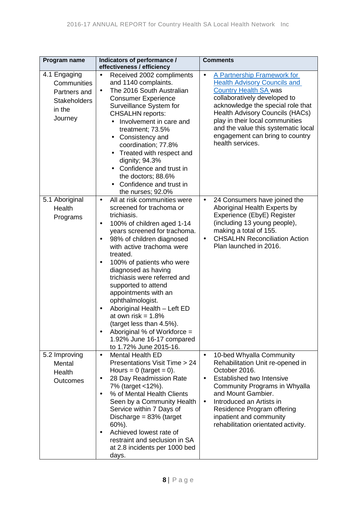| Program name                                                                            | Indicators of performance /<br>effectiveness / efficiency                                                                                                                                                                                                                                                                                                                                                                                                                                                                                                                                   | <b>Comments</b>                                                                                                                                                                                                                                                                                                                                          |
|-----------------------------------------------------------------------------------------|---------------------------------------------------------------------------------------------------------------------------------------------------------------------------------------------------------------------------------------------------------------------------------------------------------------------------------------------------------------------------------------------------------------------------------------------------------------------------------------------------------------------------------------------------------------------------------------------|----------------------------------------------------------------------------------------------------------------------------------------------------------------------------------------------------------------------------------------------------------------------------------------------------------------------------------------------------------|
| 4.1 Engaging<br>Communities<br>Partners and<br><b>Stakeholders</b><br>in the<br>Journey | Received 2002 compliments<br>and 1140 complaints.<br>The 2016 South Australian<br><b>Consumer Experience</b><br>Surveillance System for<br><b>CHSALHN</b> reports:<br>Involvement in care and<br>treatment; 73.5%<br>Consistency and<br>coordination; 77.8%<br>Treated with respect and<br>dignity; 94.3%<br>Confidence and trust in<br>the doctors; 88.6%<br>Confidence and trust in<br>the nurses; 92.0%                                                                                                                                                                                  | A Partnership Framework for<br>ä,<br><b>Health Advisory Councils and</b><br><b>Country Health SA was</b><br>collaboratively developed to<br>acknowledge the special role that<br><b>Health Advisory Councils (HACs)</b><br>play in their local communities<br>and the value this systematic local<br>engagement can bring to country<br>health services. |
| 5.1 Aboriginal<br>Health<br>Programs                                                    | All at risk communities were<br>$\cdot$<br>screened for trachoma or<br>trichiasis.<br>100% of children aged 1-14<br>$\blacksquare$<br>years screened for trachoma.<br>98% of children diagnosed<br>with active trachoma were<br>treated.<br>100% of patients who were<br>diagnosed as having<br>trichiasis were referred and<br>supported to attend<br>appointments with an<br>ophthalmologist.<br>Aboriginal Health - Left ED<br>at own risk = $1.8\%$<br>(target less than 4.5%).<br>Aboriginal % of Workforce =<br>$\blacksquare$<br>1.92% June 16-17 compared<br>to 1.72% June 2015-16. | 24 Consumers have joined the<br>Aboriginal Health Experts by<br>Experience (EbyE) Register<br>(including 13 young people),<br>making a total of 155.<br><b>CHSALHN Reconciliation Action</b><br>٠<br>Plan launched in 2016.                                                                                                                              |
| 5.2 Improving<br>Mental<br>Health<br><b>Outcomes</b>                                    | <b>Mental Health ED</b><br>$\blacksquare$<br>Presentations Visit Time > 24<br>Hours = $0$ (target = 0).<br>28 Day Readmission Rate<br>7% (target <12%).<br>% of Mental Health Clients<br>$\blacksquare$<br>Seen by a Community Health<br>Service within 7 Days of<br>Discharge = $83%$ (target<br>$60\%$ ).<br>Achieved lowest rate of<br>$\blacksquare$<br>restraint and seclusion in SA<br>at 2.8 incidents per 1000 bed<br>days.                                                                                                                                                         | 10-bed Whyalla Community<br>$\blacksquare$<br>Rehabilitation Unit re-opened in<br>October 2016.<br>Established two Intensive<br>$\blacksquare$<br>Community Programs in Whyalla<br>and Mount Gambier.<br>Introduced an Artists in<br>$\blacksquare$<br>Residence Program offering<br>inpatient and community<br>rehabilitation orientated activity.      |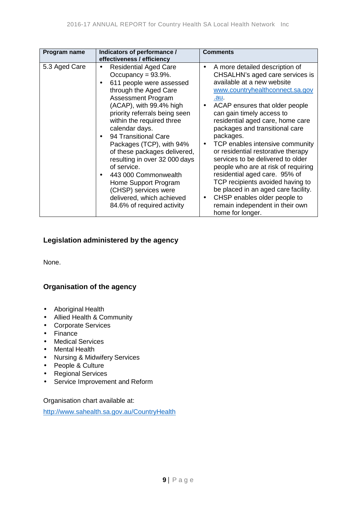| Program name  | Indicators of performance /                                                                                                                                                                                                                                                                                                                                                                                                                                                                                         | <b>Comments</b>                                                                                                                                                                                                                                                                                                                                                                                                                                                                                                                                                                                                                                                                                                                     |
|---------------|---------------------------------------------------------------------------------------------------------------------------------------------------------------------------------------------------------------------------------------------------------------------------------------------------------------------------------------------------------------------------------------------------------------------------------------------------------------------------------------------------------------------|-------------------------------------------------------------------------------------------------------------------------------------------------------------------------------------------------------------------------------------------------------------------------------------------------------------------------------------------------------------------------------------------------------------------------------------------------------------------------------------------------------------------------------------------------------------------------------------------------------------------------------------------------------------------------------------------------------------------------------------|
|               | effectiveness / efficiency                                                                                                                                                                                                                                                                                                                                                                                                                                                                                          |                                                                                                                                                                                                                                                                                                                                                                                                                                                                                                                                                                                                                                                                                                                                     |
| 5.3 Aged Care | <b>Residential Aged Care</b><br>Occupancy = $93.9\%$ .<br>611 people were assessed<br>through the Aged Care<br>Assessment Program<br>(ACAP), with 99.4% high<br>priority referrals being seen<br>within the required three<br>calendar days.<br>94 Transitional Care<br>Packages (TCP), with 94%<br>of these packages delivered,<br>resulting in over 32 000 days<br>of service.<br>443 000 Commonwealth<br>Home Support Program<br>(CHSP) services were<br>delivered, which achieved<br>84.6% of required activity | A more detailed description of<br>$\blacksquare$<br>CHSALHN's aged care services is<br>available at a new website<br>www.countryhealthconnect.sa.gov<br><u>.au.</u><br>ACAP ensures that older people<br>$\blacksquare$<br>can gain timely access to<br>residential aged care, home care<br>packages and transitional care<br>packages.<br>TCP enables intensive community<br>$\blacksquare$<br>or residential restorative therapy<br>services to be delivered to older<br>people who are at risk of requiring<br>residential aged care. 95% of<br>TCP recipients avoided having to<br>be placed in an aged care facility.<br>CHSP enables older people to<br>$\blacksquare$<br>remain independent in their own<br>home for longer. |

### <span id="page-8-0"></span>**Legislation administered by the agency**

None.

### <span id="page-8-1"></span>**Organisation of the agency**

- Aboriginal Health
- Allied Health & Community  $\mathbf{r}$
- Corporate Services
- . Finance
- Medical Services
- Mental Health
- Nursing & Midwifery Services
- People & Culture  $\mathcal{L}^{\text{max}}$
- Regional Services  $\mathcal{L}^{\mathcal{L}}$
- Service Improvement and Reform  $\epsilon$

Organisation chart available at:

<span id="page-8-2"></span>[http://www.sahealth.sa.gov.au/CountryHealth](http://www.sahealth.sa.gov.au/wps/wcm/connect/public+content/sa+health+internet/about+us/our+local+health+networks/country+health+sa+local+health+network/about+us/about+country+health+sa)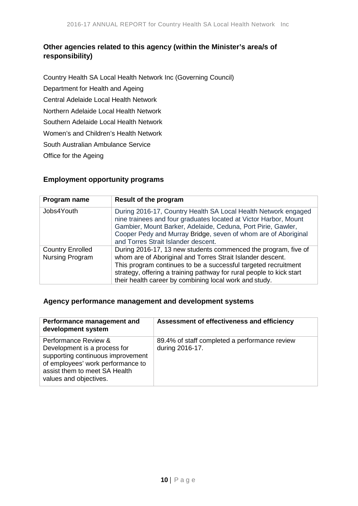### **Other agencies related to this agency (within the Minister's area/s of responsibility)**

Country Health SA Local Health Network Inc (Governing Council) Department for Health and Ageing Central Adelaide Local Health Network Northern Adelaide Local Health Network Southern Adelaide Local Health Network Women's and Children's Health Network South Australian Ambulance Service Office for the Ageing

### <span id="page-9-0"></span>**Employment opportunity programs**

| Program name                               | Result of the program                                                                                                                                                                                                                                                                                                            |
|--------------------------------------------|----------------------------------------------------------------------------------------------------------------------------------------------------------------------------------------------------------------------------------------------------------------------------------------------------------------------------------|
| Jobs4Youth                                 | During 2016-17, Country Health SA Local Health Network engaged<br>nine trainees and four graduates located at Victor Harbor, Mount<br>Gambier, Mount Barker, Adelaide, Ceduna, Port Pirie, Gawler,<br>Cooper Pedy and Murray Bridge, seven of whom are of Aboriginal<br>and Torres Strait Islander descent.                      |
| <b>Country Enrolled</b><br>Nursing Program | During 2016-17, 13 new students commenced the program, five of<br>whom are of Aboriginal and Torres Strait Islander descent.<br>This program continues to be a successful targeted recruitment<br>strategy, offering a training pathway for rural people to kick start<br>their health career by combining local work and study. |

### <span id="page-9-1"></span>**Agency performance management and development systems**

| Performance management and<br>development system                                                                                                                                          | Assessment of effectiveness and efficiency                       |
|-------------------------------------------------------------------------------------------------------------------------------------------------------------------------------------------|------------------------------------------------------------------|
| Performance Review &<br>Development is a process for<br>supporting continuous improvement<br>of employees' work performance to<br>assist them to meet SA Health<br>values and objectives. | 89.4% of staff completed a performance review<br>during 2016-17. |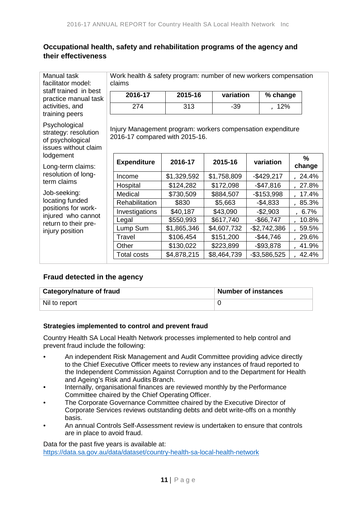### <span id="page-10-0"></span>**Occupational health, safety and rehabilitation programs of the agency and their effectiveness**

facilitator model: staff trained in best practice manual task activities, and training peers

Psychological strategy: resolution of psychological issues without claim **lodgement** 

Long-term claims: resolution of longterm claims

Job-seeking: locating funded positions for workinjured who cannot return to their preinjury position

Manual task Work health & safety program: number of new workers compensation <br>facilitator model: claims

| 2016-17 | 2015-16 | variation | % change |
|---------|---------|-----------|----------|
|         | 313     | -39       | a12%     |

Injury Management program: workers compensation expenditure 2016-17 compared with 2015-16.

| <b>Expenditure</b> | 2016-17     | 2015-16     | variation     | %<br>change  |
|--------------------|-------------|-------------|---------------|--------------|
| Income             | \$1,329,592 | \$1,758,809 | $-$429,217$   | a24.4%       |
| Hospital           | \$124,282   | \$172,098   | $-$47,816$    | a27.8%       |
| Medical            | \$730,509   | \$884,507   | $-$153,998$   | $a_{17.4\%}$ |
| Rehabilitation     | \$830       | \$5,663     | $-$4,833$     | a85.3%       |
| Investigations     | \$40,187    | \$43,090    | $-$2,903$     | a6.7%        |
| Legal              | \$550,993   | \$617,740   | $-$66,747$    | $a_{10.8\%}$ |
| Lump Sum           | \$1,865,346 | \$4,607,732 | $-$2,742,386$ | a59.5%       |
| Travel             | \$106,454   | \$151,200   | $-$44,746$    | a29.6%       |
| Other              | \$130,022   | \$223,899   | $-$ \$93,878  | $a$ 41.9%    |
| <b>Total costs</b> | \$4,878,215 | \$8,464,739 | $-$3,586,525$ | $a$ 42.4%    |

### <span id="page-10-1"></span>**Fraud detected in the agency**

| <b>Category/nature of fraud</b> | Number of instances |
|---------------------------------|---------------------|
| Nil to report                   |                     |

### <span id="page-10-2"></span>**Strategies implemented to control and prevent fraud**

Country Health SA Local Health Network processes implemented to help control and prevent fraud include the following:

- An independent Risk Management and Audit Committee providing advice directly to the Chief Executive Officer meets to review any instances of fraud reported to the Independent Commission Against Corruption and to the Department for Health and Ageing's Risk and Audits Branch.
- Internally, organisational finances are reviewed monthly by the Performance Committee chaired by the Chief Operating Officer.
- The Corporate Governance Committee chaired by the Executive Director of Corporate Services reviews outstanding debts and debt write-offs on a monthly basis.
- An annual Controls Self-Assessment review is undertaken to ensure that controls are in place to avoid fraud.

<span id="page-10-3"></span>Data for the past five years is available at: <https://data.sa.gov.au/data/dataset/country-health-sa-local-health-network>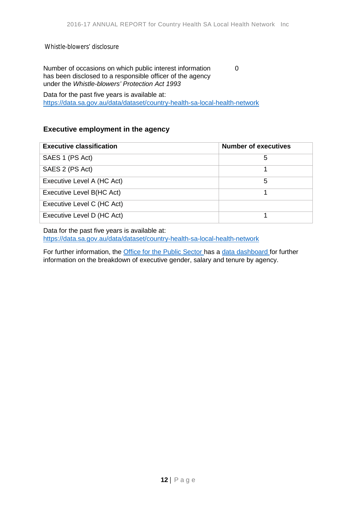Whistle-blowers' disclosure

Number of occasions on which public interest information has been disclosed to a responsible officer of the agency under the *Whistle-blowers' Protection Act 1993*

0

Data for the past five years is available at: <https://data.sa.gov.au/data/dataset/country-health-sa-local-health-network>

### <span id="page-11-0"></span>**Executive employment in the agency**

| <b>Executive classification</b> | <b>Number of executives</b> |
|---------------------------------|-----------------------------|
| SAES 1 (PS Act)                 | 5                           |
| SAES 2 (PS Act)                 |                             |
| Executive Level A (HC Act)      | 5                           |
| Executive Level B(HC Act)       |                             |
| Executive Level C (HC Act)      |                             |
| Executive Level D (HC Act)      |                             |

Data for the past five years is available at: <https://data.sa.gov.au/data/dataset/country-health-sa-local-health-network>

<span id="page-11-1"></span>For further information, the **Office for the Public Sector** has a [data dashboard f](http://publicsector.sa.gov.au/about/office-for-the-public-sector/dashboard/)or further information on the breakdown of executive gender, salary and tenure by agency.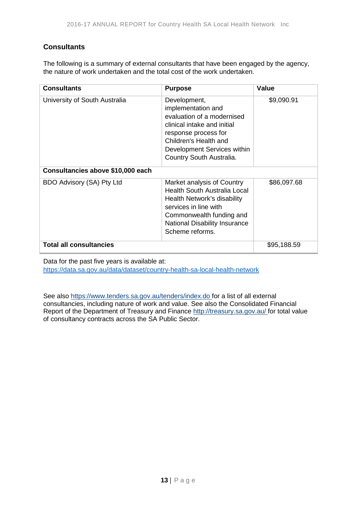### **Consultants**

The following is a summary of external consultants that have been engaged by the agency, the nature of work undertaken and the total cost of the work undertaken.

| <b>Consultants</b>                | <b>Purpose</b>                                                                                                                                                                                                   | Value       |
|-----------------------------------|------------------------------------------------------------------------------------------------------------------------------------------------------------------------------------------------------------------|-------------|
| University of South Australia     | Development,<br>implementation and<br>evaluation of a modernised<br>clinical intake and initial<br>response process for<br>Children's Health and<br>Development Services within<br>Country South Australia.      | \$9,090.91  |
| Consultancies above \$10,000 each |                                                                                                                                                                                                                  |             |
| BDO Advisory (SA) Pty Ltd         | Market analysis of Country<br><b>Health South Australia Local</b><br>Health Network's disability<br>services in line with<br>Commonwealth funding and<br><b>National Disability Insurance</b><br>Scheme reforms. | \$86,097.68 |
| <b>Total all consultancies</b>    |                                                                                                                                                                                                                  | \$95,188.59 |

Data for the past five years is available at: <https://data.sa.gov.au/data/dataset/country-health-sa-local-health-network>

<span id="page-12-0"></span>See also [https://www.tenders.sa.gov.au/tenders/index.do f](https://www.tenders.sa.gov.au/tenders/index.do)or a list of all external consultancies, including nature of work and value. See also the Consolidated Financial Report of the Department of Treasury and Finance<http://treasury.sa.gov.au/> for total value of consultancy contracts across the SA Public Sector.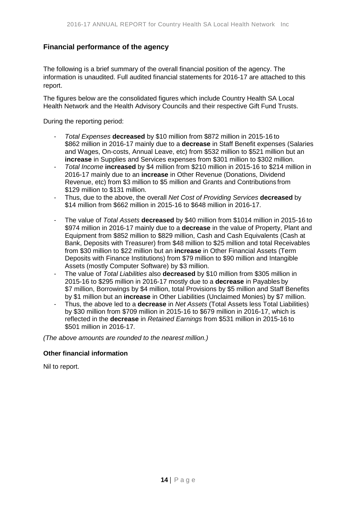### **Financial performance of the agency**

The following is a brief summary of the overall financial position of the agency. The information is unaudited. Full audited financial statements for 2016-17 are attached to this report.

The figures below are the consolidated figures which include Country Health SA Local Health Network and the Health Advisory Councils and their respective Gift Fund Trusts.

During the reporting period:

- *Total Expenses* **decreased** by \$10 million from \$872 million in 2015-16 to \$862 million in 2016-17 mainly due to a **decrease** in Staff Benefit expenses (Salaries and Wages, On-costs, Annual Leave, etc) from \$532 million to \$521 million but an **increase** in Supplies and Services expenses from \$301 million to \$302 million.
- *Total Income* **increased** by \$4 million from \$210 million in 2015-16 to \$214 million in 2016-17 mainly due to an **increase** in Other Revenue (Donations, Dividend Revenue, etc) from \$3 million to \$5 million and Grants and Contributions from \$129 million to \$131 million.
- Thus, due to the above, the overall *Net Cost of Providing Services* **decreased** by \$14 million from \$662 million in 2015-16 to \$648 million in 2016-17.
- The value of *Total Assets* **decreased** by \$40 million from \$1014 million in 2015-16 to \$974 million in 2016-17 mainly due to a **decrease** in the value of Property, Plant and Equipment from \$852 million to \$829 million, Cash and Cash Equivalents (Cash at Bank, Deposits with Treasurer) from \$48 million to \$25 million and total Receivables from \$30 million to \$22 million but an **increase** in Other Financial Assets (Term Deposits with Finance Institutions) from \$79 million to \$90 million and Intangible Assets (mostly Computer Software) by \$3 million.
- The value of *Total Liabilities* also **decreased** by \$10 million from \$305 million in 2015-16 to \$295 million in 2016-17 mostly due to a **decrease** in Payables by \$7 million, Borrowings by \$4 million, total Provisions by \$5 million and Staff Benefits by \$1 million but an **increase** in Other Liabilities (Unclaimed Monies) by \$7 million.
- Thus, the above led to a **decrease** in *Net Assets* (Total Assets less Total Liabilities) by \$30 million from \$709 million in 2015-16 to \$679 million in 2016-17, which is reflected in the **decrease** in *Retained Earnings* from \$531 million in 2015-16 to \$501 million in 2016-17.

*(The above amounts are rounded to the nearest million.)*

### **Other financial information**

<span id="page-13-0"></span>Nil to report.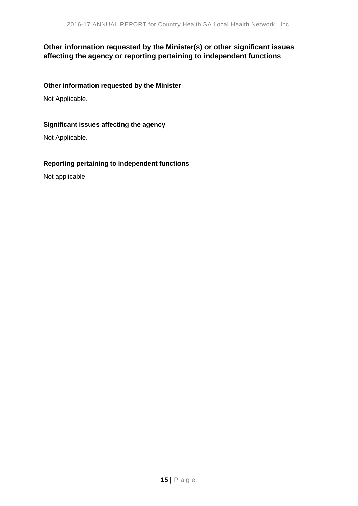### **Other information requested by the Minister(s) or other significant issues affecting the agency or reporting pertaining to independent functions**

### **Other information requested by the Minister**

Not Applicable.

### **Significant issues affecting the agency**

Not Applicable.

### **Reporting pertaining to independent functions**

Not applicable.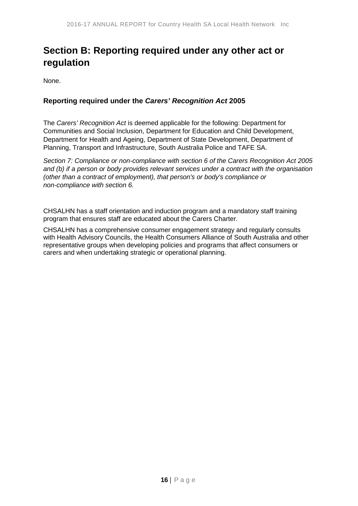# <span id="page-15-0"></span>**Section B: Reporting required under any other act or regulation**

None.

### <span id="page-15-1"></span>**Reporting required under the** *Carers' Recognition Act* **2005**

The *Carers' Recognition Act* is deemed applicable for the following: Department for Communities and Social Inclusion, Department for Education and Child Development, Department for Health and Ageing, Department of State Development, Department of Planning, Transport and Infrastructure, South Australia Police and TAFE SA.

*Section 7: Compliance or non-compliance with section 6 of the Carers Recognition Act 2005 and (b) if a person or body provides relevant services under a contract with the organisation (other than a contract of employment), that person's or body's compliance or non-compliance with section 6.*

CHSALHN has a staff orientation and induction program and a mandatory staff training program that ensures staff are educated about the Carers Charter.

CHSALHN has a comprehensive consumer engagement strategy and regularly consults with Health Advisory Councils, the Health Consumers Alliance of South Australia and other representative groups when developing policies and programs that affect consumers or carers and when undertaking strategic or operational planning.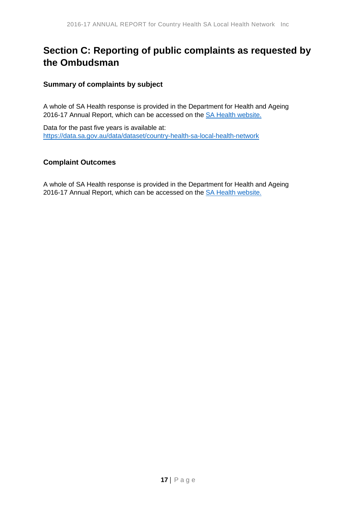# <span id="page-16-0"></span>**Section C: Reporting of public complaints as requested by the Ombudsman**

### <span id="page-16-1"></span>**Summary of complaints by subject**

A whole of SA Health response is provided in the Department for Health and Ageing 2016-17 Annual Report, which can be accessed on the [SA Health website.](http://www.sahealth.sa.gov.au/wps/wcm/connect/public%20content/sa%20health%20internet/about%20us/publications%20and%20resources/reports?WCM_PI=1&WCM_Page.4545488043df989f8273bfd404a53267=1)

Data for the past five years is available at: <https://data.sa.gov.au/data/dataset/country-health-sa-local-health-network>

### <span id="page-16-2"></span>**Complaint Outcomes**

A whole of SA Health response is provided in the Department for Health and Ageing 2016-17 Annual Report, which can be accessed on the **SA Health website.**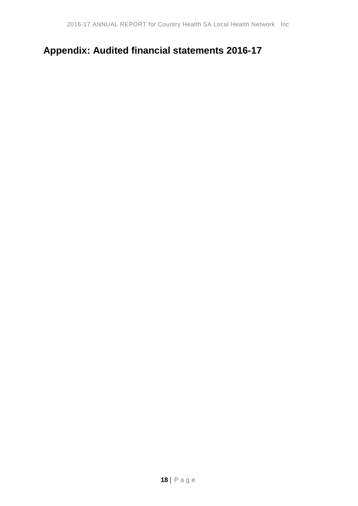# <span id="page-17-0"></span>**Appendix: Audited financial statements 2016-17**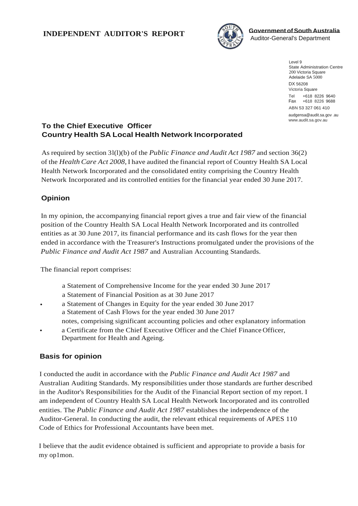

Level 9 State Administration Centre 200 Victoria Square Adelaide SA 5000 DX 56208 Victoria Square Tel +618 8226 9640 Fax +618 8226 9688 ABN 53 327 061 410 [audgensa@audit.sa.gov](mailto:audgensa@audit.sa.gov) .au [www.audit.sa.gov.au](http://www.audit.sa.gov.au/)

### **To the Chief Executive Officer Country Health SA Local Health Network Incorporated**

As required by section 3l(l)(b) of the *Public Finance and Audit Act 1987* and section 36(2) of the *Health Care Act 2008,* I have audited the financial report of Country Health SA Local Health Network Incorporated and the consolidated entity comprising the Country Health Network Incorporated and its controlled entities for the financial year ended 30 June 2017.

### **Opinion**

In my opinion, the accompanying financial report gives a true and fair view of the financial position of the Country Health SA Local Health Network Incorporated and its controlled entities as at 30 June 2017, its financial performance and its cash flows for the year then ended in accordance with the Treasurer's Instructions promulgated under the provisions of the *Public Finance and Audit Act 1987* and Australian Accounting Standards.

The financial report comprises:

- a Statement of Comprehensive Income for the year ended 30 June 2017
- a Statement of Financial Position as at 30 June 2017
- a Statement of Changes in Equity for the year ended 30 June 2017 a Statement of Cash Flows for the year ended 30 June 2017 notes, comprising significant accounting policies and other explanatory information
- a Certificate from the Chief Executive Officer and the Chief Finance Officer, Department for Health and Ageing.

### **Basis for opinion**

I conducted the audit in accordance with the *Public Finance and Audit Act 1987* and Australian Auditing Standards. My responsibilities under those standards are further described in the Auditor's Responsibilities for the Audit of the Financial Report section of my report. I am independent of Country Health SA Local Health Network Incorporated and its controlled entities. The *Public Finance and Audit Act 1987* establishes the independence of the Auditor-General. In conducting the audit, the relevant ethical requirements of APES 110 Code of Ethics for Professional Accountants have been met.

I believe that the audit evidence obtained is sufficient and appropriate to provide a basis for my op1mon.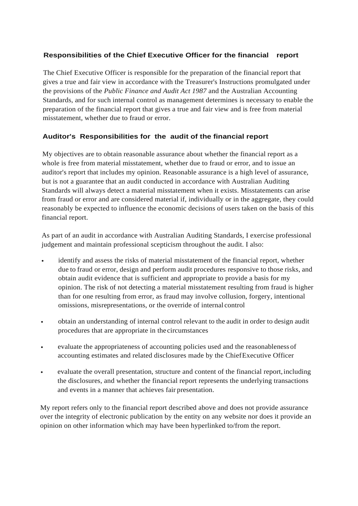### **Responsibilities of the Chief Executive Officer for the financial report**

The Chief Executive Officer is responsible for the preparation of the financial report that gives a true and fair view in accordance with the Treasurer's Instructions promulgated under the provisions of the *Public Finance and Audit Act 1987* and the Australian Accounting Standards, and for such internal control as management determines is necessary to enable the preparation of the financial report that gives a true and fair view and is free from material misstatement, whether due to fraud or error.

### **Auditor's Responsibilities for the audit of the financial report**

My objectives are to obtain reasonable assurance about whether the financial report as a whole is free from material misstatement, whether due to fraud or error, and to issue an auditor's report that includes my opinion. Reasonable assurance is a high level of assurance, but is not a guarantee that an audit conducted in accordance with Australian Auditing Standards will always detect a material misstatement when it exists. Misstatements can arise from fraud or error and are considered material if, individually or in the aggregate, they could reasonably be expected to influence the economic decisions of users taken on the basis of this financial report.

As part of an audit in accordance with Australian Auditing Standards, I exercise professional judgement and maintain professional scepticism throughout the audit. I also:

- identify and assess the risks of material misstatement of the financial report, whether due to fraud or error, design and perform audit procedures responsive to those risks, and obtain audit evidence that is sufficient and appropriate to provide a basis for my opinion. The risk of not detecting a material misstatement resulting from fraud is higher than for one resulting from error, as fraud may involve collusion, forgery, intentional omissions, misrepresentations, or the override of internal control
- obtain an understanding of internal control relevant to the audit in order to design audit procedures that are appropriate in the circumstances
- evaluate the appropriateness of accounting policies used and the reasonableness of accounting estimates and related disclosures made by the ChiefExecutive Officer
- evaluate the overall presentation, structure and content of the financial report,including the disclosures, and whether the financial report represents the underlying transactions and events in a manner that achieves fair presentation.

My report refers only to the financial report described above and does not provide assurance over the integrity of electronic publication by the entity on any website nor does it provide an opinion on other information which may have been hyperlinked to/from the report.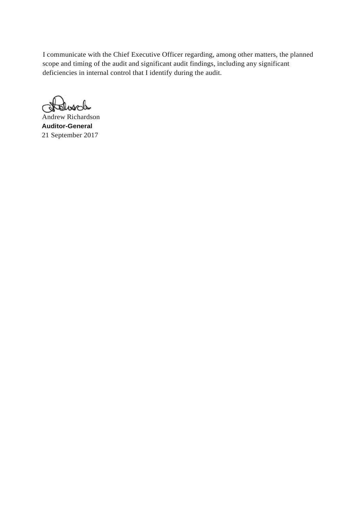I communicate with the Chief Executive Officer regarding, among other matters, the planned scope and timing of the audit and significant audit findings, including any significant deficiencies in internal control that I identify during the audit.

tolusch Q

Andrew Richardson **Auditor-General**  21 September 2017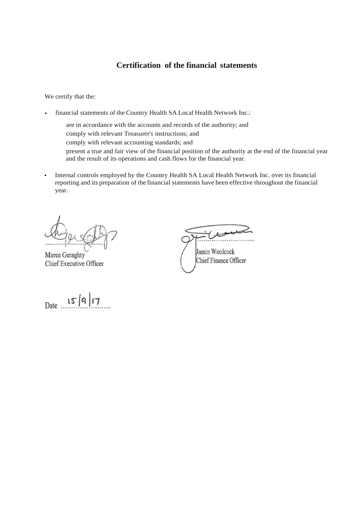### **Certification of the financial statements**

We certify that the:

- financial statements of the Country Health SA Local Health Network Inc.:
	- are in accordance with the accounts and records of the authority; and comply with relevant Treasurer's instructions; and comply with relevant accounting standards; and present a true and fair view of the financial position of the authority at the end of the financial year and the result of its operations and cash flows for the financial year.
- Internal controls employed by the Country Health SA Local Health Network Inc. over its financial reporting and its preparation of the financial statements have been effective throughout the financial year.

(Cought)  $\overline{\phantom{a}}$ 

Maree Geraghty Chief Executive Officer

 $C:=C$  $\mathbf{w}$  in  $\mathbf{u}$ 

 $\frac{1}{2}$  WOOICOCK

Date **. . . '.. j J1 ."?......**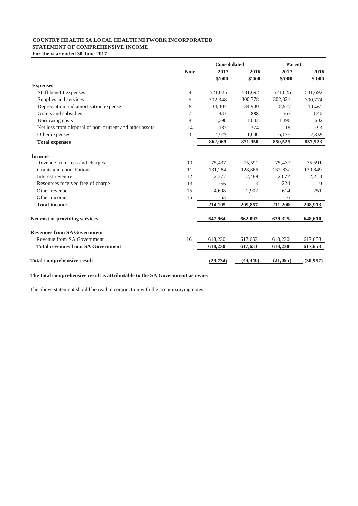#### **COUNTRY HEALTH SA LOCAL HEALTH NETWORK INCORPORATED STATEMENT OF COMPREHENSIVE INCOME**

**For the year ended 30 June 2017**

|                                                         |                | <b>Consolidated</b> |           | Parent   |           |
|---------------------------------------------------------|----------------|---------------------|-----------|----------|-----------|
|                                                         | <b>Note</b>    | 2017                | 2016      | 2017     | 2016      |
|                                                         |                | \$'000              | \$'000    | \$'000   | \$'000    |
| <b>Expenses</b>                                         |                |                     |           |          |           |
| Staff benefit expenses                                  | $\overline{4}$ | 521,025             | 531,692   | 521,025  | 531,692   |
| Supplies and services                                   | 5              | 302,348             | 300,778   | 302,324  | 300,774   |
| Depreciation and amortisation expense                   | 6              | 34,307              | 34,930    | 18,917   | 19,461    |
| Grants and subsidies                                    | 7              | 833                 | 888       | 567      | 846       |
| Borrowing costs                                         | 8              | 1,396               | 1,602     | 1,396    | 1,602     |
| Net loss from disposal of non-c urrent and other assets | 14             | 187                 | 374       | 118      | 293       |
| Other expenses                                          | 9              | 1,973               | 1,686     | 6,178    | 2,855     |
| <b>Total expenses</b>                                   |                | 862,069             | 871,950   | 850,525  | 857,523   |
| <b>Income</b>                                           |                |                     |           |          |           |
| Revenue from fees and charges                           | 10             | 75,437              | 75,591    | 75,437   | 75,591    |
| Grants and contributions                                | 11             | 131,284             | 128,866   | 132,832  | 130,849   |
| Interest revenue                                        | 12             | 2,377               | 2,489     | 2,077    | 2,213     |
| Resources received free of charge                       | 13             | 256                 | 9         | 224      | 9         |
| Other revenue                                           | 15             | 4,698               | 2,902     | 614      | 251       |
| Other income                                            | 15             | 53                  |           | 16       |           |
| <b>Total income</b>                                     |                | 214,105             | 209,857   | 211,200  | 208,913   |
| Net cost of providing services                          |                | 647,964             | 662,093   | 639,325  | 648,610   |
| <b>Revenues from SA Government</b>                      |                |                     |           |          |           |
| Revenue from SA Government                              | 16             | 618,230             | 617,653   | 618,230  | 617,653   |
| <b>Total revenues from SA Government</b>                |                | 618,230             | 617,653   | 618,230  | 617,653   |
| <b>Total comprehensive result</b>                       |                | (29, 734)           | (44, 440) | (21,095) | (30, 957) |

#### **The total comprehensive result is attributable to the SA Government as owner**

The above statement should be read in conjunction with the accompanying notes .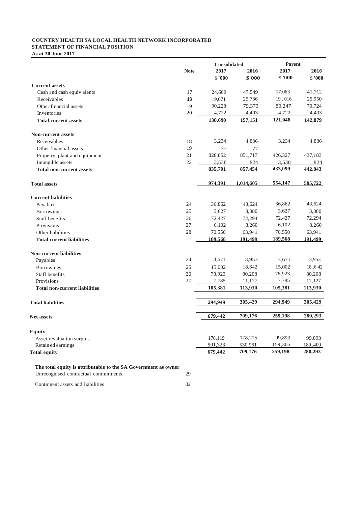#### **COUNTRY HEALTH SA LOCAL HEALTH NETWORK INCORPORATED STATEMENT OF FINANCIAL POSITION**

**As at 30 June 2017**

|                                                                                                        |             | <b>Consolidated</b> |           | <b>Parent</b> |         |
|--------------------------------------------------------------------------------------------------------|-------------|---------------------|-----------|---------------|---------|
|                                                                                                        | <b>Note</b> | 2017                | 2016      | 2017          | 2016    |
|                                                                                                        |             | \$'000              | \$'000    | \$'000        | \$'000  |
| <b>Current assets</b>                                                                                  |             |                     |           |               |         |
| Cash and cash equiv alents                                                                             | 17          | 24,669              | 47,549    | 17,063        | 41,712  |
| Receivables                                                                                            | 18          | 19,071              | 25,736    | 19,016        | 25,950  |
| Other financial assets                                                                                 | 19          | 90,228              | 79,373    | 80,247        | 70,724  |
| Inventories                                                                                            | 20          | 4,722               | 4,493     | 4,722         | 4,493   |
| <b>Total current assets</b>                                                                            |             | 138,690             | 157,151   | 121,048       | 142,879 |
| <b>Non-current assets</b>                                                                              |             |                     |           |               |         |
| Receivabl es                                                                                           | 18          | 3,234               | 4,836     | 3,234         | 4,836   |
| Other financial assets                                                                                 | 19          | 77                  | 77        |               |         |
| Property, plant and equipment                                                                          | 21          | 828,852             | 851,717   | 426,327       | 437,183 |
| Intangible assets                                                                                      | 22          | 3,538               | 824       | 3,538         | 824     |
| <b>Total non-current assets</b>                                                                        |             | 835,701             | 857,454   | 433,099       | 442,843 |
| <b>Total assets</b>                                                                                    |             | 974,391             | 1,014,605 | 554,147       | 585,722 |
|                                                                                                        |             |                     |           |               |         |
| <b>Current liabilities</b>                                                                             |             |                     |           |               |         |
| Payables                                                                                               | 24          | 36,862              | 43,624    | 36,862        | 43,624  |
| <b>Borrowings</b>                                                                                      | 25          | 3,627               | 3,380     | 3,627         | 3,380   |
| <b>Staff benefits</b>                                                                                  | 26          | 72,427              | 72,294    | 72,427        | 72,294  |
| Provisions                                                                                             | 27          | 6,102               | 8,260     | 6,102         | 8,260   |
| Other liabilities                                                                                      | 28          | 70,550              | 63,941    | 70,550        | 63,941  |
| <b>Total current liabilities</b>                                                                       |             | 189.568             | 191.499   | 189,568       | 191.499 |
| <b>Non-current liabilities</b>                                                                         |             |                     |           |               |         |
| Payables                                                                                               | 24          | 3,671               | 3,953     | 3,671         | 3,953   |
| <b>Borrowings</b>                                                                                      | 25          | 15,002              | 18,642    | 15,002        | 18,642  |
| Staff benefits                                                                                         | 26          | 78,923              | 80,208    | 78,923        | 80,208  |
| Provisions                                                                                             | 27          | 7,785               | 11,127    | 7,785         | 11,127  |
| <b>Total non-current liabilities</b>                                                                   |             | 105,381             | 113,930   | 105,381       | 113,930 |
| <b>Total liabilities</b>                                                                               |             | 294,949             | 305,429   | 294,949       | 305,429 |
|                                                                                                        |             |                     |           |               |         |
| <b>Net assets</b>                                                                                      |             | 679,442             | 709,176   | 259,198       | 280,293 |
| <b>Equity</b>                                                                                          |             |                     |           |               |         |
| Asset revaluation surplus                                                                              |             | 178,119             | 178,215   | 99,893        | 99,893  |
| Retain ed earnings                                                                                     |             | 501,323             | 530,961   | 159,305       | 180,400 |
| <b>Total equity</b>                                                                                    |             | 679,442             | 709,176   | 259,198       | 280,293 |
|                                                                                                        |             |                     |           |               |         |
| The total equity is attributable to the SA Government as owner<br>Unrecognised contractual commitments | 29          |                     |           |               |         |
|                                                                                                        |             |                     |           |               |         |

Contingent assets and liabilities 32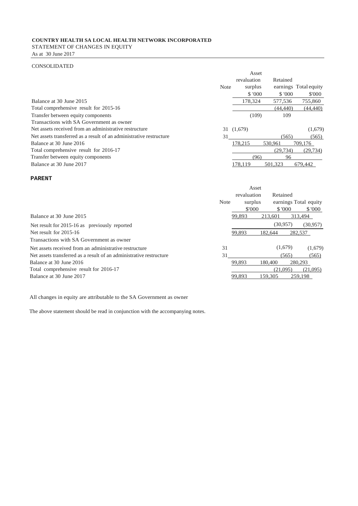### **COUNTRY HEALTH SA LOCAL HEALTH NETWORK INCORPORATED** STATEMENT OF CHANGES IN EQUITY

As at 30 June 2017

#### CONSOLIDATED

|                                                                     |             | Asset       |           |                       |
|---------------------------------------------------------------------|-------------|-------------|-----------|-----------------------|
|                                                                     |             | revaluation | Retained  |                       |
|                                                                     | <b>Note</b> | surplus     |           | earnings Total equity |
|                                                                     |             | \$'000      | \$'000    | \$'000                |
| Balance at 30 June 2015                                             |             | 178,324     | 577,536   | 755,860               |
| Total comprehensive result for 2015-16                              |             |             | (44, 440) | (44, 440)             |
| Transfer between equity components                                  |             | (109)       | 109       |                       |
| Transactions with SA Government as owner                            |             |             |           |                       |
| Net assets received from an administrative restructure              |             | 31 (1,679)  |           | (1,679)               |
| Net assets transferred as a result of an administrative restructure | 31          |             | (565)     | (565)                 |
| Balance at 30 June 2016                                             |             | 178.215     | 530.961   | 709,176               |
| Total comprehensive result for 2016-17                              |             |             | (29.734)  | (29, 734)             |
| Transfer between equity components                                  |             | (96)        | 96        |                       |
| Balance at 30 June 2017                                             |             | 178.119     | 501.323   | 679,442               |

#### **PARENT**

|                                                                     | <b>Note</b> | Asset<br>revaluation<br>surplus<br>\$'000 | Retained<br>\$ '000 |       | earnings Total equity<br>\$ '000 |
|---------------------------------------------------------------------|-------------|-------------------------------------------|---------------------|-------|----------------------------------|
| Balance at 30 June 2015                                             |             | 99,893                                    | 213,601             |       | 313,494                          |
| Net result for 2015-16 as previously reported                       |             |                                           | (30.957)            |       | (30, 957)                        |
| Net result for $2015-16$                                            |             | 99,893                                    | 182,644             |       | 282,537                          |
| Transactions with SA Government as owner                            |             |                                           |                     |       |                                  |
| Net assets received from an administrative restructure              | 31          |                                           | (1,679)             |       | (1,679)                          |
| Net assets transferred as a result of an administrative restructure | 31          |                                           |                     | (565) | (565)                            |
| Balance at 30 June 2016                                             |             | 99,893                                    | 180,400             |       | 280,293                          |
| Total comprehensive result for 2016-17                              |             |                                           | (21.095)            |       | (21,095)                         |
| Balance at 30 June 2017                                             |             | 99,893                                    | 159.305             |       | 259,198                          |

All changes in equity are attributable to the SA Government as owner

The above statement should be read in conjunction with the accompanying notes.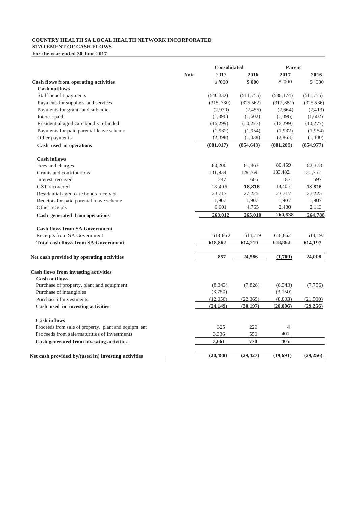### **COUNTRY HEALTH SA LOCAL HEALTH NETWORK INCORPORATED**

**STATEMENT OF CASH FLOWS For the year ended 30 June 2017**

|                                                                     |             | <b>Consolidated</b> |            | <b>Parent</b>  |            |  |
|---------------------------------------------------------------------|-------------|---------------------|------------|----------------|------------|--|
|                                                                     | <b>Note</b> | 2017                | 2016       | 2017           | 2016       |  |
| Cash flows from operating activities                                |             | \$ '000             | \$'000     | \$ 7000        | \$ 7000    |  |
| <b>Cash outflows</b>                                                |             |                     |            |                |            |  |
| Staff benefit payments                                              |             | (540, 332)          | (511, 755) | (538, 174)     | (511, 755) |  |
| Payments for supplie s and services                                 |             | (315, 730)          | (325, 562) | (317, 881)     | (325, 536) |  |
| Payments for grants and subsidies                                   |             | (2,930)             | (2,455)    | (2,664)        | (2, 413)   |  |
| Interest paid                                                       |             | (1,396)             | (1,602)    | (1,396)        | (1,602)    |  |
| Residential aged care bond s refunded                               |             | (16,299)            | (I 0, 277) | (16,299)       | (10, 277)  |  |
| Payments for paid parental leave scheme                             |             | (1,932)             | (1,954)    | (1,932)        | (1,954)    |  |
| Other payments                                                      |             | (2,398)             | (1,038)    | (2,863)        | (1,440)    |  |
| Cash used in operations                                             |             | (881, 017)          | (854, 643) | (881, 209)     | (854, 977) |  |
| <b>Cash inflows</b>                                                 |             |                     |            |                |            |  |
| Fees and charges                                                    |             | 80,200              | 81,863     | 80,459         | 82,378     |  |
| Grants and contributions                                            |             | 131,934             | 129,769    | 133,482        | 131,752    |  |
| Interest received                                                   |             | 247                 | 665        | 187            | 597        |  |
| GST recovered                                                       |             | 18,406              | 18,816     | 18,406         | 18,816     |  |
| Residential aged care bonds received                                |             | 23,717              | 27,225     | 23,717         | 27,225     |  |
| Receipts for paid parental leave scheme                             |             | 1,907               | 1,907      | 1,907          | 1,907      |  |
| Other receipts                                                      |             | 6,601               | 4,765      | 2,480          | 2,113      |  |
| Cash generated from operations                                      |             | 263,012             | 265,010    | 260,638        | 264,788    |  |
| <b>Cash flows from SA Government</b>                                |             |                     |            |                |            |  |
| Receipts from SA Government                                         |             | 618,862             | 614,219    | 618,862        | 614,197    |  |
| <b>Total cash flows from SA Government</b>                          |             | 618,862             | 614,219    | 618,862        | 614,197    |  |
| Net cash provided by operating activities                           |             | 857                 | 24.586     | (1,709)        | 24,008     |  |
|                                                                     |             |                     |            |                |            |  |
| <b>Cash flows from investing activities</b><br><b>Cash outflows</b> |             |                     |            |                |            |  |
| Purchase of property, plant and equipment                           |             | (8,343)             | (7,828)    | (8,343)        | (7,756)    |  |
| Purchase of intangibles                                             |             | (3,750)             |            | (3,750)        |            |  |
| Purchase of investments                                             |             | (12,056)            | (22, 369)  | (8,003)        | (21,500)   |  |
| Cash used in investing activities                                   |             | (24, 149)           | (30, 197)  | (20,096)       | (29, 256)  |  |
| <b>Cash inflows</b>                                                 |             |                     |            |                |            |  |
| Proceeds from sale of property, plant and equipm ent                |             | 325                 | 220        | $\overline{4}$ |            |  |
| Proceeds from sale/maturities of investments                        |             | 3,336               | 550        | 401            |            |  |
| Cash generated from investing activities                            |             | 3,661               | 770        | 405            |            |  |
|                                                                     |             |                     |            |                |            |  |
| Net cash provided by/(used in) investing activities                 |             | (20, 488)           | (29, 427)  | (19,691)       | (29, 256)  |  |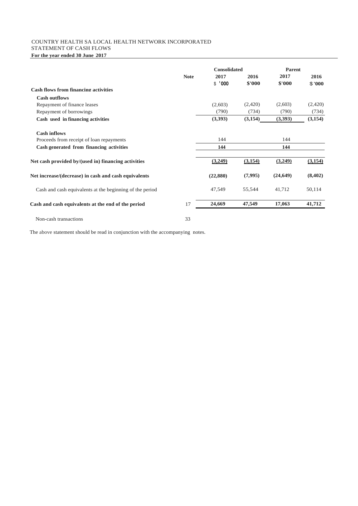#### COUNTRY HEALTH SA LOCAL HEALTH NETWORK INCORPORATED STATEMENT OF CASH FLOWS

**For the year ended 30 June 2017**

|                                                          |             | <b>Consolidated</b> |                | <b>Parent</b>  |                |
|----------------------------------------------------------|-------------|---------------------|----------------|----------------|----------------|
|                                                          | <b>Note</b> | 2017<br>\$1000      | 2016<br>\$'000 | 2017<br>\$'000 | 2016<br>\$'000 |
| <b>Cash flows from financing activities</b>              |             |                     |                |                |                |
| <b>Cash outflows</b>                                     |             |                     |                |                |                |
| Repayment of finance leases                              |             | (2,603)             | (2,420)        | (2,603)        | (2,420)        |
| Repayment of borrowings                                  |             | (790)               | (734)          | (790)          | (734)          |
| Cash used in financing activities                        |             | (3,393)             | (3, 154)       | (3,393)        | (3,154)        |
| <b>Cash inflows</b>                                      |             |                     |                |                |                |
| Proceeds from receipt of loan repayments                 |             | 144                 |                | 144            |                |
| Cash generated from financing activities                 |             | 144                 |                | 144            |                |
| Net cash provided by/(used in) financing activities      |             | (3,249)             | (3,154)        | (3,249)        | (3,154)        |
| Net increase/(decrease) in cash and cash equivalents     |             | (22,880)            | (7,995)        | (24, 649)      | (8,402)        |
| Cash and cash equivalents at the beginning of the period |             | 47,549              | 55,544         | 41,712         | 50,114         |
| Cash and cash equivalents at the end of the period       | 17          | 24,669              | 47,549         | 17,063         | 41,712         |
| Non-cash transactions                                    | 33          |                     |                |                |                |

The above statement should be read in conjunction with the accompanying notes.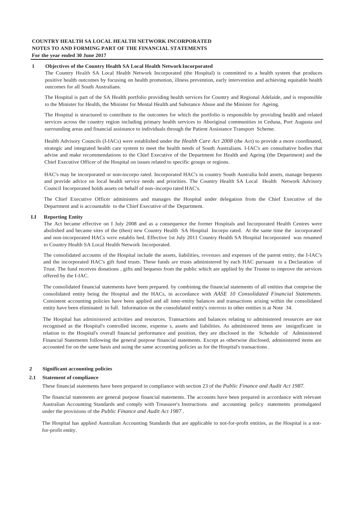#### **1 Objectives of the Country Health SA Local Health NetworkIncorporated**

The Country Health SA Local Health Network Incorporated (the Hospital) is committed to a health system that produces positive health outcomes by focusing on health promotion, illness prevention, early intervention and achieving equitable health outcomes for all South Australians.

The Hospital is part of the SA Health portfolio providing health services for Country and Regional Adelaide, and is responsible to the Minister for Health, the Minister for Mental Health and Substance Abuse and the Minister for Ageing.

The Hospital is structured to contribute to the outcomes for which the portfolio is responsible by providing health and related services across the country region including primary health services to Aboriginal communities in Ceduna, Port Augusta and surrounding areas and financial assistance to individuals through the Patient Assistance Transport Scheme.

Health Advisory Councils (I-IACs) were established under the *Health Care Act 2008* (the Act) to provide a more coordinated, strategic and integrated health care system to meet the health needs of South Australians. I-IAC's are consultative bodies that advise and make recommendations to the Chief Executive of the Department for Health and Ageing (the Department) and the Chief Executive Officer of the Hospital on issues related to specific groups or regions.

HAC's may be incorporated or non-incorpo rated. Incorporated HAC's in country South Australia hold assets, manage bequests and provide advice on local health service needs and priorities. The Country Health SA Local Health Network Advisory Council Incorporated holds assets on behalf of non-incorpo rated HAC's.

The Chief Executive Officer administers and manages the Hospital under delegation from the Chief Executive of the Department and is accountable to the Chief Executive of the Department.

#### **I.I Reporting Entity**

The Act became effective on I July 2008 and as a consequence the former Hospitals and Incorporated Health Centres were abolished and became sites of the (then) new Country Health SA Hospital Incorpo rated. At the same time the incorporated and non-incorporated HACs were establis hed. Effective 1st July 2011 Country Health SA Hospital Incorporated was renamed to Country Health SA Local Health Network Incorporated.

The consolidated accounts of the Hospital include the assets, liabilities, revenues and expenses of the parent entity, the I-IAC's and the incorporated HAC's gift fund trusts. These funds are trusts administered by each HAC pursuant to a Declaration of Trust. The fund receives donations , gifts and bequests from the public which are applied by the Trustee to improve the services offered by the I-IAC.

The consolidated financial statements have been prepared. by combining the financial statements of all entities that comprise the consolidated entity being the Hospital and the HACs, in accordance with *AASE 10 Consolidated Financial Statements.*  Consistent accounting policies have been applied and all inter-entity balances and transactions arising within the consolidated entity have been eliminated in full. Information on the consolidated entity's interests in other entities is at Note 34.

The Hospital has administered activities and resources. Transactions and balances relating to administered resources are not recognised as the Hospital's controlled income, expense s, assets and liabilities. As administered items are insignificant in relation to the Hospital's overall financial performance and position, they are disclosed in the Schedule of Administered Financial Statements following the general purpose financial statements. Except as otherwise disclosed, administered items are accounted for on the same basis and using the same accounting policies as for the Hospital's transactions .

#### **2 Significant accounting policies**

#### **2.1 Statement of compliance**

These financial statements have been prepared in compliance with section 23 of the *Public Finance and Audit Act 1987.*

The financial statements are general purpose financial statements. The accounts have been prepared in accordance with relevant Australian Accounting Standards and comply with Treasurer's Instructions and accounting policy statements promulgated under the provisions of the *Public Finance and Audit Act 1987 .*

The Hospital has applied Australian Accounting Standards that are applicable to not-for-profit entities, as the Hospital is a notfor-profit entity.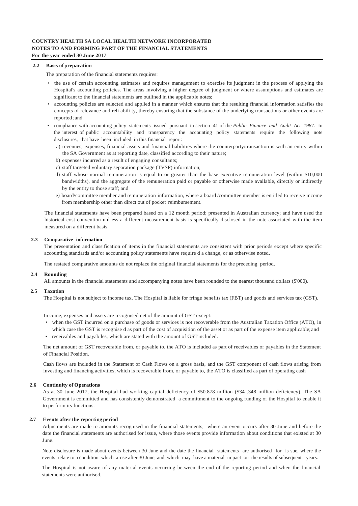#### **2.2 Basis of preparation**

The preparation of the financial statements requires:

- the use of certain accounting estimates and requires management to exercise its judgment in the process of applying the Hospital's accounting policies. The areas involving a higher degree of judgment or where assumptions and estimates are significant to the financial statements are outlined in the applicable notes;
- accounting policies are selected and applied in a manner which ensures that the resulting financial information satisfies the concepts of relevance and reli abili ty, thereby ensuring that the substance of the underlying transactions or other events are reported; and
- compliance with accounting policy statements issued pursuant to section 41 of the *Public Finance and Audit Act 1987.* In the interest of public accountability and transparency the accounting policy statements require the following note disclosures, that have been included in this financial report:
	- a) revenues, expenses, financial assets and financial liabilities where the counterparty/transaction is with an entity within the SA Government as at reporting date, classified according to their nature;
	- b) expenses incurred as a result of engaging consultants;
	- c) staff targeted voluntary separation package (TVSP) information;
	- d) staff whose normal remuneration is equal to or greater than the base executive remuneration level (within \$10,000 bandwidths), and the aggregate of the remuneration paid or payable or otherwise made available, directly or indirectly by the entity to those staff; and
	- e) board/committee member and remuneration information, where a board /committee member is entitled to receive income from membership other than direct out of pocket reimbursement.

The financial statements have been prepared based on a 12 month period; presented in Australian currency; and have used the historical cost convention unl ess a different measurement basis is specifically disclosed in the note associated with the item measured on a different basis.

#### **2.3 Comparative information**

The presentation and classification of items in the financial statements are consistent with prior periods except where specific accounting standards and/or accounting policy statements have require d a change, or as otherwise noted.

The restated comparative amounts do not replace the original financial statements for the preceding period.

#### **2.4 Rounding**

All amounts in the financial statements and accompanying notes have been rounded to the nearest thousand dollars (\$'000).

#### **2.5 Taxation**

The Hospital is not subject to income tax. The Hospital is liable for fringe benefits tax (FBT) and goods and services tax (GST).

In come, expenses and assets are recognised net of the amount of GST except:

- when the GST incurred on a purchase of goods or services is not recoverable from the Australian Taxation Office (ATO), in which case the GST is recognise d as part of the cost of acquisition of the asset or as part of the expense item applicable; and receivables and payab les, which are stated with the amount of GST included.
- The net amount of GST recoverable from, or payable to, the ATO is included as part of receivables or payables in the Statement

of Financial Position.

Cash flows are included in the Statement of Cash Flows on a gross basis, and the GST component of cash flows arising from investing and financing activities, which is recoverable from, or payable to, the ATO is classified as part of operating cash

#### **2.6 Continuity of Operations**

As at 30 June 2017, the Hospital had working capital deficiency of \$50.878 million (\$34 .348 million deficiency). The SA Government is committed and has consistently demonstrated a commitment to the ongoing funding of the Hospital to enable it to perform its functions.

#### **2.7 Events after the reporting period**

Adjustments are made to amounts recognised in the financial statements, where an event occurs after 30 June and before the date the financial statements are authorised for issue, where those events provide information about conditions that existed at 30 June.

Note disclosure is made about events between 30 June and the date the financial statements are authorised for is sue, where the events relate to a condition which arose after 30 June, and which may have a material impact on the results of subsequent years.

The Hospital is not aware of any material events occurring between the end of the reporting period and when the financial statements were authorised.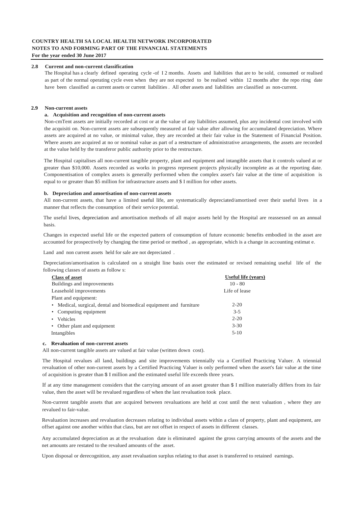#### **2.8 Current and non-current classification**

The Hospital has a clearly defined operating cycle -of I 2 months. Assets and liabilities that are to be sold, consumed or realised as part of the normal operating cycle even when they are not expected to be realised within 12 months after the repo rting date have been classified as current assets or current liabilities . All other assets and liabilities are classified as non-current.

#### **2.9 Non-current assets**

#### **a. Acquisition and recognition of non-current assets**

Non-cmTent assets are initially recorded at cost or at the value of any liabilities assumed, plus any incidental cost involved with the acquisiti on. Non-current assets are subsequently measured at fair value after allowing for accumulated depreciation. Where assets are acquired at no value, or minimal value, they are recorded at their fair value in the Statement of Financial Position. Where assets are acquired at no or nominal value as part of a restructure of administrative arrangements, the assets are recorded at the value held by the transferor public authority prior to the restructure.

The Hospital capitalises all non-current tangible property, plant and equipment and intangible assets that it controls valued at or greater than \$10,000. Assets recorded as works in progress represent projects physically incomplete as at the reporting date. Componentisation of complex assets is generally performed when the complex asset's fair value at the time of acquisition is equal to or greater than \$5 million for infrastructure assets and \$ I million for other assets.

#### **b. Depreciation and amortisation of non-current assets**

All non-current assets, that have a limited useful life, are systematically depreciated/amortised over their useful lives in a manner that reflects the consumption of their service potential.

The useful lives, depreciation and amortisation methods of all major assets held by the Hospital are reassessed on an annual basis.

Changes in expected useful life or the expected pattern of consumption of future economic benefits embodied in the asset are accounted for prospectively by changing the time period or method , as appropriate, which is a change in accounting estimat e.

Land and non current assets held for sale are not depreciated .

Depreciation/amortisation is calculated on a straight line basis over the estimated or revised remaining useful life of the following classes of assets as follow s:

| <b>Class of asset</b>                                              | Useful life (years) |
|--------------------------------------------------------------------|---------------------|
| Buildings and improvements                                         | $10 - 80$           |
| Leasehold improvements                                             | Life of lease       |
| Plant and equipment:                                               |                     |
| • Medical, surgical, dental and biomedical equipment and furniture | $2 - 20$            |
| • Computing equipment                                              | $3 - 5$             |
| Vehicles<br>$\bullet$                                              | $2 - 20$            |
| • Other plant and equipment                                        | $3 - 30$            |
| Intangibles                                                        | $5 - 10$            |

#### **c. Revaluation of non-current assets**

All non-current tangible assets are valued at fair value (written down cost).

The Hospital revalues all land, buildings and site improvements triennially via a Certified Practicing Valuer. A triennial revaluation of other non-current assets by a Certified Practicing Valuer is only performed when the asset's fair value at the time of acquisition is greater than \$ I million and the estimated useful life exceeds three years.

If at any time management considers that the carrying amount of an asset greater than \$ I million materially differs from its fair value, then the asset will be revalued regardless of when the last revaluation took place.

Non-current tangible assets that are acquired between revaluations are held at cost until the next valuation , where they are revalued to fair-value.

Revaluation increases and revaluation decreases relating to individual assets within a class of property, plant and equipment, are offset against one another within that class, but are not offset in respect of assets in different classes.

Any accumulated depreciation as at the revaluation date is eliminated against the gross carrying amounts of the assets and the net amounts are restated to the revalued amounts of the asset.

Upon disposal or derecognition, any asset revaluation surplus relating to that asset is transferred to retained earnings.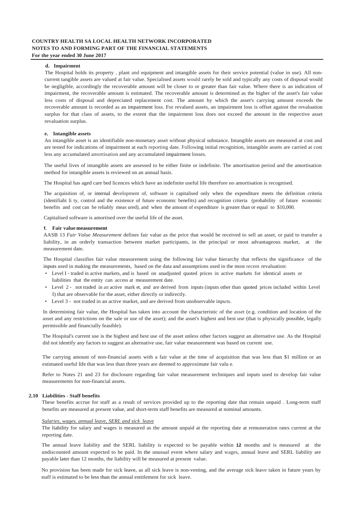#### **d. Impairment**

The Hospital holds its property , plant and equipment and intangible assets for their service potential (value in use). All noncurrent tangible assets are valued at fair value. Specialised assets would rarely be sold and typically any costs of disposal would be negligible, accordingly the recoverable amount will be closer to or greater than fair value. Where there is an indication of impairment, the recoverable amount is estimated. The recoverable amount is determined as the higher of the asset's fair value less costs of disposal and depreciated replacement cost. The amount by which the asset's carrying amount exceeds the recoverable amount is recorded as an impairment loss. For revalued assets, an impairment loss is offset against the revaluation surplus for that class of assets, to the extent that the impairment loss does not exceed the amount in the respective asset revaluation surplus.

#### **e. Intangible assets**

An intangible asset is an identifiable non-monetary asset without physical substance. Intangible assets are measured at cost and are tested for indications of impairment at each reporting date. Following initial recognition, intangible assets are carried at cost less any accumulated amortisation and any accumulated impairment losses.

The useful lives of intangible assets are assessed to be either finite or indefinite. The amortisation period and the amortisation method for intangible assets is reviewed on an annual basis.

The Hospital has aged care bed licences which have an indefinite useful life therefore no amortisation is recognised.

The acquisition of, or internal development of, software is capitalised only when the expenditure meets the definition criteria (identifiabi li ty, control and the existence of future economic benefits) and recognition criteria (probability of future economic benefits and cost can be reliably meas ured), and when the amount of expenditure is greater than or equal to \$10,000.

Capitalised software is amortised over the useful life of the asset.

#### **f. Fair value measurement**

AASB 13 *Fair Value Measurement* defines fair value as the price that would be received to sell an asset, or paid to transfer a liability, in an orderly transaction between market participants, in the principal or most advantageous market, at the measurement date.

The Hospital classifies fair value measurement using the following fair value hierarchy that reflects the significance of the inputs used in making the measurements, based on the data and assumptions used in the most recent revaluation:

- Level I traded in active markets, and is based on unadjusted quoted prices in active markets for identical assets or liabilities that the entity can access at measurement date.
- Level 2 not traded in an active mark et, and are derived from inputs (inputs other than quoted prices included within Level I) that are observable for the asset, either directly or indirectly.
- Level 3 not traded in an active market, and are derived from unobservable inpu ts.

In determining fair value, the Hospital has taken into account the characteristic of the asset (e.g. condition and location of the asset and any restrictions on the sale or use of the asset); and the asset's highest and best use (that is physically possible, legally permissible and financially feasible).

The Hospital's current use is the highest and best use of the asset unless other factors suggest an alternative use. As the Hospital did not identify any factors to suggest an alternative use, fair value measurement was based on current use.

The carrying amount of non-financial assets with a fair value at the time of acquisition that was less than \$1 million or an estimated useful life that was less than three years are deemed to approximate fair valu e.

Refer to Notes 21 and 23 for disclosure regarding fair value measurement techniques and inputs used to develop fair value measurements for non-financial assets.

#### **2.10 Liabilities** - **Staff benefits**

These benefits accrue for staff as a result of services provided up to the reporting date that remain unpaid . Long-term staff benefits are measured at present value, and short-term staff benefits are measured at nominal amounts.

#### *Salaries, wages. annual leave, SERL and sick leave*

The liability for salary and wages is measured as the amount unpaid at the reporting date at remuneration rates current at the reporting date.

The annual leave liability and the SERL liability is expected to be payable within **12** months and is measured at the undiscounted amount expected to be paid. In the unusual event where salary and wages, annual leave and SERL liability are payable later than 12 months, the liability will be measured at present value.

No provision has been made for sick leave, as all sick leave is non-vesting, and the average sick leave taken in future years by staff is estimated to be less than the annual entitlement for sick leave.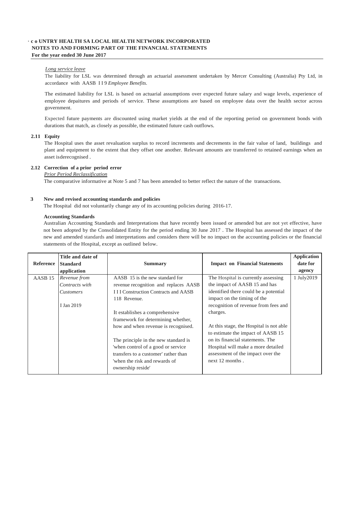#### *Long service leave*

The liability for LSL was determined through an actuarial assessment undertaken by Mercer Consulting (Australia) Pty Ltd, in accordance with AASB I I 9 *Employee Benefits.*

The estimated liability for LSL is based on actuarial assumptions over expected future salary and wage levels, experience of employee depaitures and periods of service. These assumptions are based on employee data over the health sector across government.

Expected future payments are discounted using market yields at the end of the reporting period on government bonds with durations that match, as closely as possible, the estimated future cash outflows.

#### **2.11 Equity**

The Hospital uses the asset revaluation surplus to record increments and decrements in the fair value of land, buildings and plant and equipment to the extent that they offset one another. Relevant amounts are transferred to retained earnings when an asset isderecognised .

#### **2.12 Correction of a prior period error**

#### *Prior Period Reclassification*

The comparative informative at Note 5 and 7 has been amended to better reflect the nature of the transactions.

#### **3 New and revised accounting standards and policies**

The Hospital did not voluntarily change any of its accounting policies during 2016-17.

#### **Accounting Standards**

Australian Accounting Standards and Interpretations that have recently been issued or amended but are not yet effective, have not been adopted by the Consolidated Entity for the period ending 30 June 2017 . The Hospital has assessed the impact of the new and amended standards and interpretations and considers there will be no impact on the accounting policies or the financial statements of the Hospital, except as outlined below.

|                    | Title and date of |                                                    |                                         | <b>Application</b> |
|--------------------|-------------------|----------------------------------------------------|-----------------------------------------|--------------------|
| Reference          | <b>Standard</b>   | <b>Summary</b>                                     | <b>Impact on Financial Statements</b>   | date for           |
|                    | application       |                                                    |                                         | agency             |
| AASB <sub>15</sub> | Revenue from      | AASB 15 is the new standard for                    | The Hospital is currently assessing     | 1 July2019         |
|                    | Contracts with    | revenue recognition and replaces AASB              | the impact of AASB 15 and has           |                    |
|                    | <i>Customers</i>  | <b>III Construction Contracts and AASB</b>         | identified there could be a potential   |                    |
|                    |                   | 118 Revenue.                                       | impact on the timing of the             |                    |
|                    | I Jan 2019        |                                                    | recognition of revenue from fees and    |                    |
|                    |                   | It establishes a comprehensive                     | charges.                                |                    |
|                    |                   | framework for determining whether,                 |                                         |                    |
|                    |                   | how and when revenue is recognised.                | At this stage, the Hospital is not able |                    |
|                    |                   |                                                    | to estimate the impact of AASB 15       |                    |
|                    |                   | The principle in the new standard is               | on its financial statements. The        |                    |
|                    |                   | 'when control of a good or service                 | Hospital will make a more detailed      |                    |
|                    |                   | transfers to a customer' rather than               | assessment of the impact over the       |                    |
|                    |                   | 'when the risk and rewards of<br>ownership reside' | next 12 months.                         |                    |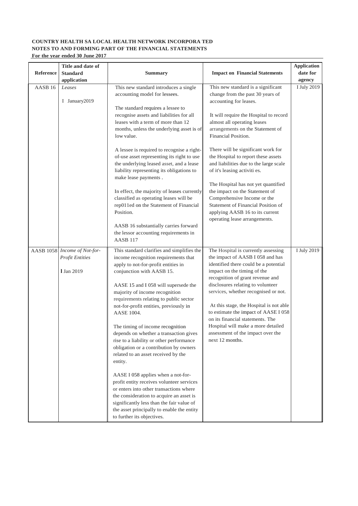| Reference          | Title and date of<br><b>Standard</b><br>application                         | <b>Summary</b>                                                                                                                                                                                                                                                                                                                                                                                                                                                                                                                                           | <b>Impact on Financial Statements</b>                                                                                                                                                                                                                                                                                                                                                                                                                                                 | <b>Application</b><br>date for<br>agency |
|--------------------|-----------------------------------------------------------------------------|----------------------------------------------------------------------------------------------------------------------------------------------------------------------------------------------------------------------------------------------------------------------------------------------------------------------------------------------------------------------------------------------------------------------------------------------------------------------------------------------------------------------------------------------------------|---------------------------------------------------------------------------------------------------------------------------------------------------------------------------------------------------------------------------------------------------------------------------------------------------------------------------------------------------------------------------------------------------------------------------------------------------------------------------------------|------------------------------------------|
| AASB <sub>16</sub> | Leases<br>I January2019                                                     | This new standard introduces a single<br>accounting model for lessees.<br>The standard requires a lessee to<br>recognise assets and liabilities for all<br>leases with a term of more than 12<br>months, unless the underlying asset is of<br>low value.                                                                                                                                                                                                                                                                                                 | This new standard is a significant<br>change from the past 30 years of<br>accounting for leases.<br>It will require the Hospital to record<br>almost all operating leases<br>arrangements on the Statement of<br>Financial Position.                                                                                                                                                                                                                                                  | I July 2019                              |
|                    |                                                                             | A lessee is required to recognise a right-<br>of-use asset representing its right to use<br>the underlying leased asset, and a lease<br>liability representing its obligations to<br>make lease payments.                                                                                                                                                                                                                                                                                                                                                | There will be significant work for<br>the Hospital to report these assets<br>and liabilities due to the large scale<br>of it's leasing activiti es.                                                                                                                                                                                                                                                                                                                                   |                                          |
|                    |                                                                             | In effect, the majority of leases currently<br>classified as operating leases will be<br>rep011ed on the Statement of Financial<br>Position.                                                                                                                                                                                                                                                                                                                                                                                                             | The Hospital has not yet quantified<br>the impact on the Statement of<br>Comprehensive Income or the<br>Statement of Financial Position of<br>applying AASB 16 to its current<br>operating lease arrangements.                                                                                                                                                                                                                                                                        |                                          |
|                    |                                                                             | AASB 16 substantially carries forward<br>the lessor accounting requirements in<br>AASB <sub>117</sub>                                                                                                                                                                                                                                                                                                                                                                                                                                                    |                                                                                                                                                                                                                                                                                                                                                                                                                                                                                       |                                          |
|                    | AASB 1058 Income of Not-for-<br><b>Profit Entities</b><br><b>1 Jan 2019</b> | This standard clarifies and simplifies the<br>income recognition requirements that<br>apply to not-for-profit entities in<br>conjunction with AASB 15.<br>AASE 15 and I 058 will supersede the<br>majority of income recognition<br>requirements relating to public sector<br>not-for-profit entities, previously in<br>AASE 1004.<br>The timing of income recognition<br>depends on whether a transaction gives<br>rise to a liability or other performance<br>obligation or a contribution by owners<br>related to an asset received by the<br>entity. | The Hospital is currently assessing<br>the impact of AASB I 058 and has<br>identified there could be a potential<br>impact on the timing of the<br>recognition of grant revenue and<br>disclosures relating to volunteer<br>services, whether recognised or not.<br>At this stage, the Hospital is not able<br>to estimate the impact of AASE I 058<br>on its financial statements. The<br>Hospital will make a more detailed<br>assessment of the impact over the<br>next 12 months. | I July 2019                              |
|                    |                                                                             | AASE I 058 applies when a not-for-<br>profit entity receives volunteer services<br>or enters into other transactions where<br>the consideration to acquire an asset is<br>significantly less than the fair value of<br>the asset principally to enable the entity<br>to further its objectives.                                                                                                                                                                                                                                                          |                                                                                                                                                                                                                                                                                                                                                                                                                                                                                       |                                          |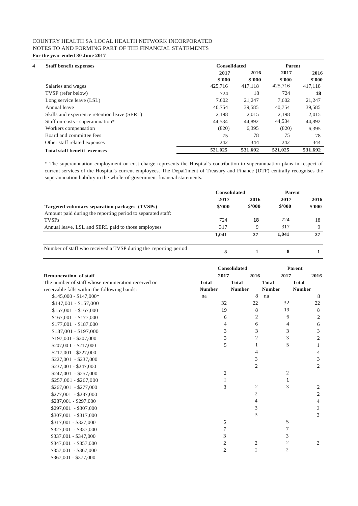| 4 | <b>Staff benefit expenses</b>                | Consolidated |         | Parent  |         |
|---|----------------------------------------------|--------------|---------|---------|---------|
|   |                                              | 2017         | 2016    | 2017    | 2016    |
|   |                                              | \$'000       | \$'000  | \$'000  | \$'000  |
|   | Salaries and wages                           | 425,716      | 417,118 | 425,716 | 417,118 |
|   | TVSP (refer below)                           | 724          | 18      | 724     | 18      |
|   | Long service leave (LSL)                     | 7.602        | 21,247  | 7.602   | 21,247  |
|   | Annual leave                                 | 40.754       | 39.585  | 40,754  | 39,585  |
|   | Skills and experience retention leave (SERL) | 2.198        | 2.015   | 2.198   | 2.015   |
|   | Staff on-costs - superannuation*             | 44,534       | 44,892  | 44,534  | 44,892  |
|   | Workers compensation                         | (820)        | 6,395   | (820)   | 6,395   |
|   | Board and committee fees                     | 75           | 78      | 75      | 78      |
|   | Other staff related expenses                 | 242          | 344     | 242     | 344     |
|   | <b>Total staff benefit exeenses</b>          | 521,025      | 531,692 | 521,025 | 531,692 |

\* The superannuation employment on-cost charge represents the Hospital's contribution to superannuation plans in respect of current services of the Hospital's current employees. The Depai1ment of Treasury and Finance (DTF) centrally recognises the superannuation liability in the whole-of-government financial statements.

|                                                                 | <b>Consolidated</b> |        | Parent |        |
|-----------------------------------------------------------------|---------------------|--------|--------|--------|
|                                                                 | 2017                | 2016   | 2017   | 2016   |
| Targeted voluntary separation packages (TVSPs)                  | \$'000              | \$'000 | \$'000 | \$'000 |
| Amount paid during the reporting period to separated staff:     |                     |        |        |        |
| <b>TVSPs</b>                                                    | 724                 | 18     | 724    | 18     |
| Annual leave, LSL and SERL paid to those employees              | 317                 | Q      | 317    | 9      |
|                                                                 | 1.041               | 27     | 1.041  | 27     |
| Number of staff who received a TVSP during the reporting period | 8                   |        | 8      |        |

|                                                    |                | Consolidated   |                | <b>Parent</b>  |
|----------------------------------------------------|----------------|----------------|----------------|----------------|
| <b>Remuneration of staff</b>                       | 2017           | 2016           | 2017           | 2016           |
| The number of staff whose remuneration received or | <b>Total</b>   | <b>Total</b>   | <b>Total</b>   | <b>Total</b>   |
| receivable falls within the following bands:       | <b>Number</b>  | <b>Number</b>  | <b>Number</b>  | <b>Number</b>  |
| $$145,000 - $147,000*$                             | na             | 8              | na             | 8              |
| $$147,001 - $157,000$                              | 32             | 22             | 32             | 22             |
| $$157,001 - $167,000$                              | 19             | 8              | 19             | 8              |
| $$167,001 - $177,000$                              | 6              | 2              | 6              | $\mathbf{2}$   |
| $$177,001 - $187,000$                              | 4              | 6              | 4              | 6              |
| \$187,001 - \$197,000                              | 3              | 3              | 3              | $\mathfrak{Z}$ |
| $$197,001 - $207,000$                              | 3              | $\overline{2}$ | 3              | $\mathbf{2}$   |
| \$207,00 I - \$217,000                             | 5              | 1              | 5              | 1              |
| $$217,001 - $227,000$                              |                | 4              |                | $\overline{4}$ |
| $$227,001 - $237,000$                              |                | 3              |                | 3              |
| $$237,001 - $247,000$                              |                | $\overline{c}$ |                | $\mathfrak{2}$ |
| $$247,001 - $257,000$                              | $\sqrt{2}$     |                | 2              |                |
| $$257,001 - $267,000$                              | Ι              |                | 1              |                |
| $$267,001 - $277,000$                              | 3              | $\mathfrak{2}$ | 3              | 2              |
| $$277,001 - $287,000$                              |                | $\mathbf{2}$   |                | $\sqrt{2}$     |
| $$287,001 - $297,000$                              |                | 4              |                | $\overline{4}$ |
| \$297,001 - \$307,000                              |                | 3              |                | 3              |
| $$307,001 - $317,000$                              |                | 3              |                | 3              |
| \$317,001 - \$327,000                              | 5              |                | 5              |                |
| \$327,001 - \$337,000                              | 7              |                | 7              |                |
| \$337,001 - \$347,000                              | 3              |                | 3              |                |
| $$347,001 - $357,000$                              | $\mathfrak{2}$ | $\overline{c}$ | $\mathfrak{2}$ | $\mathbf{2}$   |
| $$357,001 - $367,000$                              | $\mathfrak{2}$ | I              | $\mathfrak{2}$ |                |
| \$367,001 - \$377,000                              |                |                |                |                |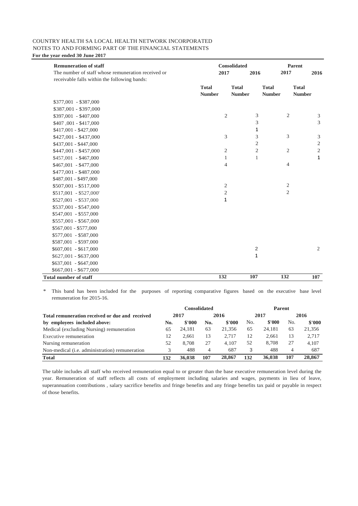| <b>Remuneration of staff</b>                       |                               | <b>Consolidated</b>           |                |                               | Parent                        |
|----------------------------------------------------|-------------------------------|-------------------------------|----------------|-------------------------------|-------------------------------|
| The number of staff whose remuneration received or | 2017                          |                               | 2016           | 2017                          | 2016                          |
| receivable falls within the following bands:       |                               |                               |                |                               |                               |
|                                                    | <b>Total</b><br><b>Number</b> | <b>Total</b><br><b>Number</b> |                | <b>Total</b><br><b>Number</b> | <b>Total</b><br><b>Number</b> |
| $$377,001 - $387,000$                              |                               |                               |                |                               |                               |
| \$387,001 - \$397,000                              |                               |                               |                |                               |                               |
| \$397,001 - \$407,000                              |                               | $\mathfrak{2}$                | 3              | $\mathbf{2}$                  | 3                             |
| \$407,001 - \$417,000                              |                               |                               | 3              |                               | $\mathfrak{Z}$                |
| \$417,001 - \$427,000                              |                               |                               | 1              |                               |                               |
| \$427,001 - \$437,000                              |                               | 3                             | 3              | 3                             | 3                             |
| \$437,001 - \$447,000                              |                               |                               | $\overline{c}$ |                               | $\sqrt{2}$                    |
| \$447,001 - \$457,000                              |                               | $\mathfrak{2}$                | 2              | $\sqrt{2}$                    | $\sqrt{2}$                    |
| $$457,001 - $467,000$                              |                               | $\mathbf{1}$                  | $\mathbf{1}$   |                               | 1                             |
| $$467,001 - $477,000$                              |                               | 4                             |                | $\overline{4}$                |                               |
| \$477,001 - \$487,000                              |                               |                               |                |                               |                               |
| \$487,001 - \$497,000                              |                               |                               |                |                               |                               |
| \$507,001 - \$517,000                              |                               | $\overline{2}$                |                | $\sqrt{2}$                    |                               |
| \$517,001 - \$527,000'                             |                               | $\mathbf{2}$                  |                | $\sqrt{2}$                    |                               |
| \$527,001 - \$537,000                              |                               | 1                             |                |                               |                               |
| \$537,001 - \$547,000                              |                               |                               |                |                               |                               |
| \$547,001 - \$557,000                              |                               |                               |                |                               |                               |
| \$557,001 - \$567,000                              |                               |                               |                |                               |                               |
| $$567,001 - $577,000$                              |                               |                               |                |                               |                               |
| \$577,001 - \$587,000                              |                               |                               |                |                               |                               |
| \$587,001 - \$597,000                              |                               |                               |                |                               |                               |
| $$607,001 - $617,000$                              |                               |                               | $\sqrt{2}$     |                               | $\mathfrak{2}$                |
| $$627,001 - $637,000$                              |                               |                               | 1              |                               |                               |
| $$637,001 - $647,000$                              |                               |                               |                |                               |                               |
| $$667,001 - $677,000$                              |                               |                               |                |                               |                               |
| <b>Total number of staff</b>                       | 132                           |                               | 107            | 132                           | 107                           |

\* This band has been included for the purposes of reporting comparative figures based on the executive base level remuneration for 2015-16.

|                                                        | Consolidated |        |     |        | <b>Parent</b> |        |     |        |  |
|--------------------------------------------------------|--------------|--------|-----|--------|---------------|--------|-----|--------|--|
| Total remuneration received or due and received        |              | 2017   |     | 2016   |               | 2017   |     | 2016   |  |
| by employees included above:                           | No.          | \$'000 | No. | \$'000 | No.           | \$'000 | No. | \$'000 |  |
| Medical (excluding Nursing) remuneration               | 65           | 24.181 | 63  | 21,356 | 65            | 24.181 | 63  | 21,356 |  |
| Executive remuneration                                 | 12           | 2.661  | 13  | 2.717  | 12            | 2.661  | 13  | 2.717  |  |
| Nursing remuneration                                   | 52           | 8.708  | 27  | 4.107  | 52            | 8.708  | 27  | 4.107  |  |
| Non-medical ( <i>i.e.</i> administration) remuneration | 3            | 488    | 4   | 687    | 3             | 488    | 4   | 687    |  |
| <b>Total</b>                                           | 132          | 36,038 | 107 | 28,867 | 132           | 36,038 | 107 | 28,867 |  |

The table includes all staff who received remuneration equal to or greater than the base executive remuneration level during the year. Remuneration of staff reflects all costs of employment including salaries and wages, payments in lieu of leave, superannuation contributions , salary sacrifice benefits and fringe benefits and any fringe benefits tax paid or payable in respect of those benefits.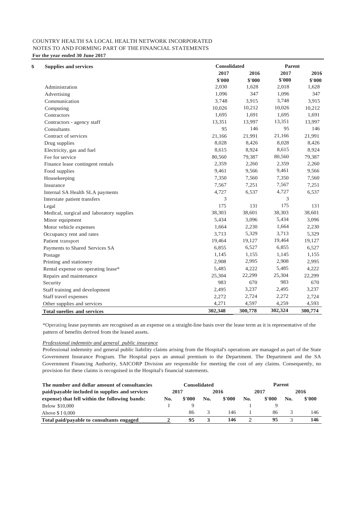| <b>Supplies and services</b>              |         | <b>Consolidated</b> |         |         |
|-------------------------------------------|---------|---------------------|---------|---------|
|                                           | 2017    | 2016                | 2017    | 2016    |
|                                           | \$'000  | \$'000              | \$'000  | \$'000  |
| Administration                            | 2,030   | 1,628               | 2,018   | 1,628   |
| Advertising                               | 1,096   | 347                 | 1,096   | 347     |
| Communication                             | 3,748   | 3,915               | 3,748   | 3,915   |
| Computing                                 | 10,026  | 10,212              | 10,026  | 10,212  |
| Contractors                               | 1,695   | 1,691               | 1,695   | 1,691   |
| Contractors - agency staff                | 13,351  | 13,997              | 13,351  | 13,997  |
| Consultants                               | 95      | 146                 | 95      | 146     |
| Contract of services                      | 21,166  | 21,991              | 21,166  | 21,991  |
| Drug supplies                             | 8,028   | 8,426               | 8,028   | 8,426   |
| Electricity, gas and fuel                 | 8,615   | 8,924               | 8,615   | 8,924   |
| Fee for service                           | 80,560  | 79,387              | 80,560  | 79,387  |
| Finance lease contingent rentals          | 2,359   | 2,260               | 2,359   | 2,260   |
| Food supplies                             | 9,461   | 9,566               | 9,461   | 9,566   |
| Housekeeping                              | 7,350   | 7,560               | 7,350   | 7,560   |
| Insurance                                 | 7,567   | 7,251               | 7,567   | 7,251   |
| Internal SA Health SLA payments           | 4,727   | 6,537               | 4,727   | 6,537   |
| Interstate patient transfers              | 3       |                     | 3       |         |
| Legal                                     | 175     | 131                 | 175     | 131     |
| Medical, surgical and laboratory supplies | 38,303  | 38,601              | 38,303  | 38,601  |
| Minor equipment                           | 5,434   | 3,096               | 5,434   | 3,096   |
| Motor vehicle expenses                    | 1,664   | 2,230               | 1,664   | 2,230   |
| Occupancy rent and rates                  | 3,713   | 5,329               | 3,713   | 5,329   |
| Patient transport                         | 19,464  | 19,127              | 19,464  | 19,127  |
| Payments to Shared Services SA            | 6,855   | 6,527               | 6,855   | 6,527   |
| Postage                                   | 1,145   | 1,155               | 1,145   | 1,155   |
| Printing and stationery                   | 2,908   | 2,995               | 2,908   | 2,995   |
| Rental expense on operating lease*        | 5,485   | 4,222               | 5,485   | 4,222   |
| Repairs and maintenance                   | 25,304  | 22,299              | 25,304  | 22,299  |
| Security                                  | 983     | 670                 | 983     | 670     |
| Staff training and development            | 2,495   | 3,237               | 2,495   | 3,237   |
| Staff travel expenses                     | 2,272   | 2,724               | 2,272   | 2,724   |
| Other supplies and services               | 4,271   | 4,597               | 4,259   | 4,593   |
| <b>Total sueelies and services</b>        | 302,348 | 300,778             | 302,324 | 300,774 |

\*Operating lease payments are recognised as an expense on a straight-line basis over the lease term as it is representative of the pattern of benefits derived from the leased assets.

#### *Professional indemnitv and general public insurance*

Professional indemnity and general public liability claims arising from the Hospital's operations are managed as part of the State Government Insurance Program. The Hospital pays an annual premium to the Department. The Department and the SA Government Financing Authority, SAICORP Division are responsible for meeting the cost of any claims. Consequently, no provision for these claims is recognised in the Hospital's financial statements.

| The number and dollar amount of consultancies  | Consolidated |              |     | <b>Parent</b> |     |        |      |        |
|------------------------------------------------|--------------|--------------|-----|---------------|-----|--------|------|--------|
| paid/payable included in supplies and services |              | 2016<br>2017 |     | 2017          |     |        | 2016 |        |
| expense) that fell within the following bands: | No.          | \$'000       | No. | \$'000        | No. | \$'000 | No.  | \$'000 |
| Below \$10,000                                 |              |              |     |               |     |        |      |        |
| Above \$10,000                                 |              | 86           |     | 146           |     | 86     |      | 146    |
| Total paid/payable to consultants engaged      |              | 95           |     | 146           |     | 95     |      | 146    |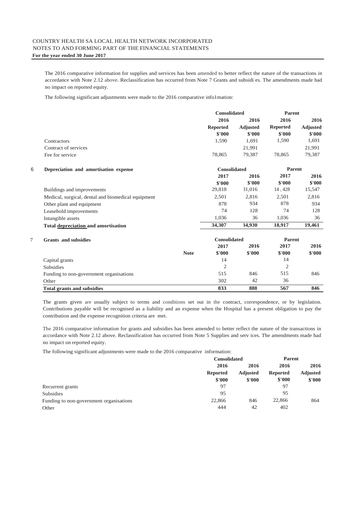The 2016 comparative information for supplies and services has been amended to better reflect the nature of the transactions in accordance with Note 2.12 above. Reclassification has occurred from Note 7 Grants and subsidi es. The amendments made had no impact on reported equity.

The following significant adjustments were made to the 2016 comparative info1mation:

|   |                                                    |             | <b>Consolidated</b> |                 | <b>Parent</b>   |                 |
|---|----------------------------------------------------|-------------|---------------------|-----------------|-----------------|-----------------|
|   |                                                    |             | 2016                | 2016            | 2016            | 2016            |
|   |                                                    |             | <b>Reported</b>     | <b>Adjusted</b> | <b>Reported</b> | <b>Adjusted</b> |
|   |                                                    |             | \$'000              | \$'000          | \$'000          | \$'000          |
|   | Contractors                                        |             | 1,590               | 1,691           | 1,590           | 1,691           |
|   | Contract of services                               |             |                     | 21,991          |                 | 21,991          |
|   | Fee for service                                    |             | 78,865              | 79,387          | 78,865          | 79,387          |
| 6 | Depreciation and amortisation expense              |             | <b>Consolidated</b> |                 | <b>Parent</b>   |                 |
|   |                                                    |             | 2017                | 2016            | 2017            | 2016            |
|   |                                                    |             | \$'000              | \$'000          | \$'000          | \$'000          |
|   | Buildings and improvements                         |             | 29,818              | 31,016          | 14, 428         | 15,547          |
|   | Medical, surgical, dental and biomedical equipment |             | 2,501               | 2,816           | 2,501           | 2,816           |
|   | Other plant and equipment                          |             | 878                 | 934             | 878             | 934             |
|   | Leasehold improvements                             |             | 74                  | 128             | 74              | 128             |
|   | Intangible assets                                  |             | 1.036               | 36              | 1,036           | 36              |
|   | Total depreciation and amortisation                |             | 34,307              | 34,930          | 18,917          | 19,461          |
| 7 | <b>Grants</b> and subsidies                        |             | <b>Consolidated</b> |                 | <b>Parent</b>   |                 |
|   |                                                    |             | 2017                | 2016            | 2017            | 2016            |
|   |                                                    | <b>Note</b> | \$'000              | \$'000          | \$'000          | \$'000          |
|   | Capital grants                                     |             | 14                  |                 | 14              |                 |
|   | <b>Subsidies</b>                                   |             | $\overline{2}$      |                 | $\overline{2}$  |                 |
|   | Funding to non-government organisations            |             | 515                 | 846             | 515             | 846             |
|   | Other                                              |             | 302                 | 42              | 36              |                 |
|   | <b>Total grants and subsidies</b>                  |             | 833                 | 888             | 567             | 846             |

The grants given are usually subject to terms and conditions set out in the contract, correspondence, or by legislation. Contributions payable will be recognised as a liability and an expense when the Hospital has a present obligation to pay the contribution and the expense recognition criteria are met.

The 2016 comparative information for grants and subsidies has been amended to better reflect the nature of the transactions in accordance with Note 2.12 above. Reclassification has occurred from Note 5 Supplies and serv ices. The amendments made had no impact on reported equity.

The following significant adjustments were made to the 2016 comparative information:

|                                         | <b>Consolidated</b>               |     | <b>Parent</b>   |                 |
|-----------------------------------------|-----------------------------------|-----|-----------------|-----------------|
|                                         | 2016<br><b>Reported</b><br>\$'000 |     | 2016            | 2016            |
|                                         |                                   |     | <b>Reported</b> | <b>Adjusted</b> |
|                                         |                                   |     | \$'000          | \$'000          |
| Recurrent grants                        | 97                                |     | 97              |                 |
| <b>Subsidies</b>                        | 95                                |     | 95              |                 |
| Funding to non-government organisations | 22,866                            | 846 | 22,866          | 864             |
| Other                                   | 444                               | 42  | 402             |                 |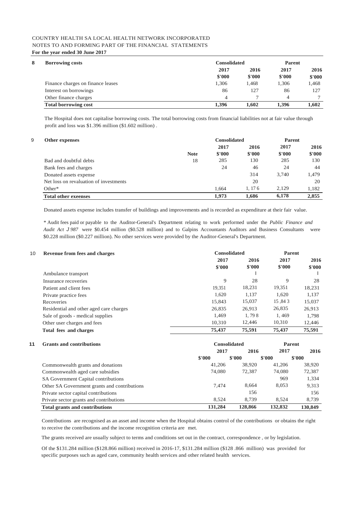| 8<br><b>Borrowing costs</b>       | <b>Consolidated</b> | <b>Parent</b> |        |        |
|-----------------------------------|---------------------|---------------|--------|--------|
|                                   | 2017                | 2016          | 2017   | 2016   |
|                                   | \$'000              | \$'000        | \$'000 | \$'000 |
| Finance charges on finance leases | 1.306               | 1,468         | 1,306  | 1.468  |
| Interest on borrowings            | 86                  | 127           | 86     | 127    |
| Other finance charges             | $\overline{4}$      |               | 4      |        |
| <b>Total borrowing cost</b>       | 1.396               | 1.602         | 1.396  | 1.602  |

The Hospital does not capitalise borrowing costs. The total borrowing costs from financial liabilities not at fair value through profit and loss was \$1.396 million (\$1.602 million) .

| 9<br>Other expenses                    |             | <b>Consolidated</b> |        | <b>Parent</b> |        |  |
|----------------------------------------|-------------|---------------------|--------|---------------|--------|--|
|                                        |             | 2017                | 2016   | 2017          | 2016   |  |
|                                        | <b>Note</b> | \$'000              | \$'000 | \$'000        | \$'000 |  |
| Bad and doubtful debts                 | 18          | 285                 | 130    | 285           | 130    |  |
| Bank fees and charges                  |             | 24                  | 46     | 24            | 44     |  |
| Donated assets expense                 |             |                     | 314    | 3.740         | 1,479  |  |
| Net loss on revaluation of investments |             |                     | 20     |               | 20     |  |
| $Other*$                               |             | 1.664               | 1.176  | 2.129         | 1.182  |  |
| <b>Total other exeenses</b>            |             | 1.973               | 1.686  | 6,178         | 2,855  |  |

Donated assets expense includes transfer of buildings and improvements and is recorded as expenditure at their fair value.

\* Audit fees paid or payable to the Auditor-General's Department relating to work performed under the *Public Finance and Audit Act J 987* were \$0.454 million (\$0.528 million) and to Galpins Accountants Auditors and Business Consultants were \$0.228 million (\$0.227 million). No other services were provided by the Auditor-General's Department.

| 10 | <b>Revenue from fees and charges</b>    |        | <b>Consolidated</b> |        |        |
|----|-----------------------------------------|--------|---------------------|--------|--------|
|    |                                         | 2017   | 2016                | 2017   | 2016   |
|    |                                         | \$'000 | \$'000              | \$'000 | \$'000 |
|    | Ambulance transport                     |        |                     |        |        |
|    | Insurance recoveries                    | 9      | 28                  | 9      | 28     |
|    | Patient and client fees                 | 19.351 | 18,231              | 19,351 | 18,231 |
|    | Private practice fees                   | 1.620  | 1.137               | 1,620  | 1.137  |
|    | Recoveries                              | 15.843 | 15,037              | 15.843 | 15,037 |
|    | Residential and other aged care charges | 26.835 | 26.913              | 26,835 | 26,913 |
|    | Sale of goods - medical supplies        | 1.469  | 1,798               | 1.469  | 1,798  |
|    | Other user charges and fees             | 10.310 | 12.446              | 10,310 | 12,446 |
|    | Total fees and charges                  | 75,437 | 75,591              | 75,437 | 75,591 |

#### **11 Grants and contributions Consolidated Parent**

| ATT ATTIS ATTU AVITU IIVUUVIIS               |         |         | .       |         |  |
|----------------------------------------------|---------|---------|---------|---------|--|
|                                              | 2017    | 2016    | 2017    | 2016    |  |
|                                              | \$'000  | \$'000  | \$'000  | \$'000  |  |
| Commonwealth grants and donations            | 41,206  | 38,920  | 41,206  | 38,920  |  |
| Commonwealth aged care subsidies             | 74,080  | 72,387  | 74,080  | 72,387  |  |
| SA Government Capital contributions          |         |         | 969     | 1,334   |  |
| Other SA Government grants and contributions | 7.474   | 8.664   | 8,053   | 9,313   |  |
| Private sector capital contributions         |         | 156     |         | 156     |  |
| Private sector grants and contributions      | 8.524   | 8.739   | 8.524   | 8.739   |  |
| <b>Total grants and contributions</b>        | 131.284 | 128,866 | 132,832 | 130,849 |  |

Contributions are recognised as an asset and income when the Hospital obtains control of the contributions or obtains the right to receive the contributions and the income recognition criteria are met.

The grants received are usually subject to terms and conditions set out in the contract, correspondence , or by legislation.

Of the \$131.284 million (\$128.866 million) received in 2016-17, \$131.284 million (\$128 .866 million) was provided for specific purposes such as aged care, community health services and other related health services.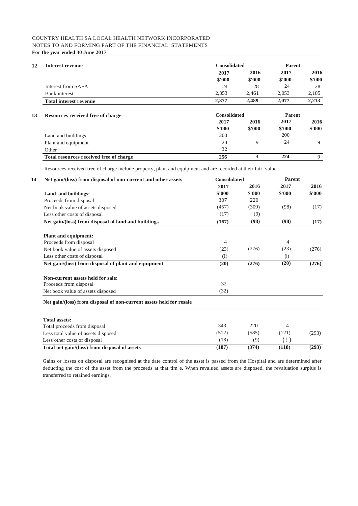| Interest revenue              | <b>Consolidated</b> |        |        | <b>Parent</b> |  |  |
|-------------------------------|---------------------|--------|--------|---------------|--|--|
|                               | 2017                | 2016   | 2017   | 2016          |  |  |
|                               | \$'000              | \$'000 | \$'000 | \$'000        |  |  |
| Interest from SAFA            | 24                  | 28     | 24     | 28            |  |  |
| Bank interest                 | 2.353               | 2.461  | 2.053  | 2,185         |  |  |
| <b>Total interest revenue</b> | 2,377               | 2.489  | 2,077  | 2,213         |  |  |

#### **13 Resources received free of charge Consolidated Parent**

|                                         | 2017   | 2016   | 2017   | 2016   |
|-----------------------------------------|--------|--------|--------|--------|
|                                         | \$'000 | \$'000 | \$'000 | \$'000 |
| Land and buildings                      | 200    |        | 200    |        |
| Plant and equipment                     | 24     |        | 24     |        |
| Other                                   | 32     |        |        |        |
| Total resources received free of charge | 256    |        | 224    | Q      |

Resources received free of charge include property, plant and equipment and are recorded at their fair value.

| Net gain/(loss) from disposal of non-current and other assets       | <b>Consolidated</b> |        | <b>Parent</b>  |        |  |
|---------------------------------------------------------------------|---------------------|--------|----------------|--------|--|
|                                                                     | 2017                | 2016   | 2017           | 2016   |  |
| Land and buildings:                                                 | \$'000              | \$'000 | \$'000         | \$'000 |  |
| Proceeds from disposal                                              | 307                 | 220    |                |        |  |
| Net book value of assets disposed                                   | (457)               | (309)  | (98)           | (17)   |  |
| Less other costs of disposal                                        | (17)                | (9)    |                |        |  |
| Net gain/(loss) from disposal of land and buildings                 | (167)               | (98)   | (98)           | (17)   |  |
| <b>Plant and equipment:</b>                                         |                     |        |                |        |  |
| Proceeds from disposal                                              | 4                   |        | 4              |        |  |
| Net book value of assets disposed                                   | (23)                | (276)  | (23)           | (276)  |  |
| Less other costs of disposal                                        | (I)                 |        | (1)            |        |  |
| Net gain/(loss) from disposal of plant and equipment                | (20)                | (276)  | (20)           | (276)  |  |
| Non-current assets held for sale:                                   |                     |        |                |        |  |
| Proceeds from disposal                                              | 32                  |        |                |        |  |
| Net book value of assets disposed                                   | (32)                |        |                |        |  |
| Net gain/(loss) from disposal of non-current assets held for resale |                     |        |                |        |  |
| <b>Total assets:</b>                                                |                     |        |                |        |  |
| Total proceeds from disposal                                        | 343                 | 220    | $\overline{4}$ |        |  |
| Less total value of assets disposed                                 | (512)               | (585)  | (121)          | (293)  |  |
| Less other costs of disposal                                        | (18)                | (9)    | $(\; ! \;)$    |        |  |
| Total net gain/(loss) from disposal of assets                       | (187)               | (374)  | (118)          | (293)  |  |

Gains or losses on disposal are recognised at the date control of the asset is passed from the Hospital and are determined after deducting the cost of the asset from the proceeds at that tim e. When revalued assets are disposed, the revaluation surplus is transferred to retained earnings.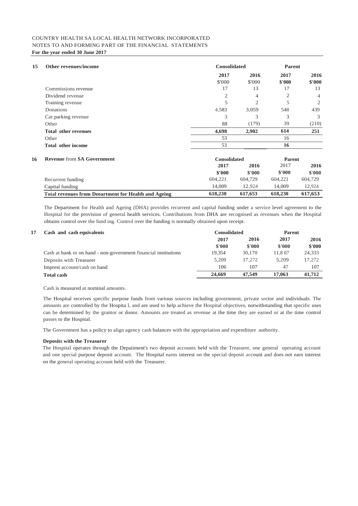| 15 | Other revenues/income                                       | <b>Consolidated</b> | <b>Parent</b>  |                |                |
|----|-------------------------------------------------------------|---------------------|----------------|----------------|----------------|
|    |                                                             | 2017                | 2016           | 2017           | 2016           |
|    |                                                             | \$'000              | \$'000         | \$'000         | \$'000         |
|    | Commissions revenue                                         | 17                  | 13             | 17             | 13             |
|    | Dividend revenue                                            | 2                   | $\overline{4}$ | $\overline{2}$ | $\overline{4}$ |
|    | Training revenue                                            | 5                   | $\overline{2}$ | 5              | $\overline{2}$ |
|    | Donations                                                   | 4,583               | 3,059          | 548            | 439            |
|    | Car parking revenue                                         | 3                   | 3              | 3              | 3              |
|    | Other                                                       | 88                  | (179)          | 39             | (210)          |
|    | <b>Total other revenues</b>                                 | 4,698               | 2,902          | 614            | 251            |
|    | Other                                                       | 53                  |                | 16             |                |
|    | <b>Total other income</b>                                   | 53                  |                | 16             |                |
| 16 | <b>Revenue from SA Government</b>                           | <b>Consolidated</b> |                | <b>Parent</b>  |                |
|    |                                                             | 2017                | 2016           | 2017           | 2016           |
|    |                                                             | \$'000              | \$'000         | \$'000         | \$'000         |
|    | Recurrent funding                                           | 604,221             | 604,729        | 604,221        | 604,729        |
|    | Capital funding                                             | 14,009              | 12,924         | 14,009         | 12,924         |
|    | <b>Total revenues from Deeartment for Health and Ageing</b> | 618,230             | 617,653        | 618,230        | 617,653        |

The Department for Health and Ageing (DHA) provides recurrent and capital funding under a service level agreement to the Hospital for the provision of general health services. Contributions from DHA are recognised as revenues when the Hospital obtains control over the fund ing. Control over the funding is normally obtained upon receipt.

#### **17 Cash and cash equivalents Consolidated Parent 2017 2016 2017 2016 \$'000 \$'000 \$'000 \$'000** Cash at bank or on hand - non-government financial institutions Deposits with Treasurer 5,209 17,272 5,209 17,272 Imprest account/cash on hand 106 107 47 107 **Total cash 24,669 47,549 17,063 41,712**

Cash is measured at nominal amounts.

The Hospital receives specific purpose funds from various sources including government, private sector and individuals. The amounts are controlled by the Hospita l, and are used to help achieve the Hospital objectives, notwithstanding that specific uses can be determined by the grantor or donor. Amounts are treated as revenue at the time they are earned or at the time control passes to the Hospital.

The Government has a policy to align agency cash balances with the appropriation and expenditure authority.

#### **Deposits with the Treasurer**

The Hospital operates through the Depaiiment's two deposit accounts held with the Treasurer, one general operating account and one special purpose deposit account. The Hospital earns interest on the special deposit account and does not earn interest on the general operating account held with the Treasurer.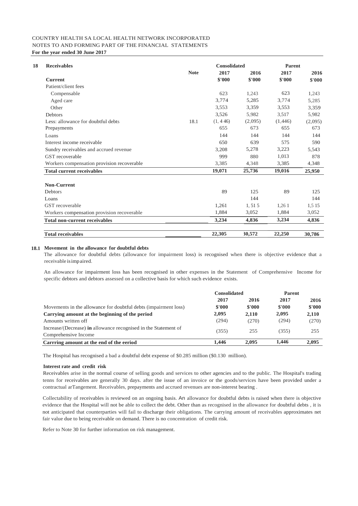| <b>Receivables</b>                         |             | <b>Consolidated</b> |         |         | <b>Parent</b> |  |  |
|--------------------------------------------|-------------|---------------------|---------|---------|---------------|--|--|
|                                            | <b>Note</b> | 2017                | 2016    | 2017    | 2016          |  |  |
| <b>Current</b>                             |             | \$'000              | \$'000  | \$'000  | \$'000        |  |  |
| Patient/client fees                        |             |                     |         |         |               |  |  |
| Compensable                                |             | 623                 | 1,243   | 623     | 1,243         |  |  |
| Aged care                                  |             | 3.774               | 5,285   | 3.774   | 5,285         |  |  |
| Other                                      |             | 3.553               | 3.359   | 3.553   | 3.359         |  |  |
| <b>Debtors</b>                             |             | 3,526               | 5,982   | 3,517   | 5,982         |  |  |
| Less: allowance for doubtful debts         | 18.1        | (1, 446)            | (2,095) | (1,446) | (2,095)       |  |  |
| Prepayments                                |             | 655                 | 673     | 655     | 673           |  |  |
| Loans                                      |             | 144                 | 144     | 144     | 144           |  |  |
| Interest income receivable                 |             | 650                 | 639     | 575     | 590           |  |  |
| Sundry receivables and accrued revenue     |             | 3,208               | 5,278   | 3,223   | 5,543         |  |  |
| GST recoverable                            |             | 999                 | 880     | 1.013   | 878           |  |  |
| Workers compensation provision recoverable |             | 3,385               | 4,348   | 3,385   | 4,348         |  |  |
| <b>Total current receivables</b>           |             | 19,071              | 25,736  | 19,016  | 25,950        |  |  |
| <b>Non-Current</b>                         |             |                     |         |         |               |  |  |
| Debtors                                    |             | 89                  | 125     | 89      | 125           |  |  |
| Loans                                      |             |                     | 144     |         | 144           |  |  |
| GST recoverable                            |             | 1,261               | 1, 51 5 | 1,261   | 1,5 15        |  |  |
| Workers compensation provision recoverable |             | 1.884               | 3,052   | 1,884   | 3,052         |  |  |
| <b>Total non-current receivables</b>       |             | 3,234               | 4,836   | 3,234   | 4,836         |  |  |
| <b>Total receivables</b>                   |             | 22,305              | 30,572  | 22,250  | 30,786        |  |  |

#### **18.1 Movement in the allowance for doubtful debts**

The allowance for doubtful debts (allowance for impairment loss) is recognised when there is objective evidence that a receivable isimpaired.

An allowance for impairment loss has been recognised in other expenses in the Statement of Comprehensive Income for specific debtors and debtors assessed on a collective basis for which such evidence exists.

|                                                                 | <b>Consolidated</b> |        | Parent |        |
|-----------------------------------------------------------------|---------------------|--------|--------|--------|
|                                                                 | 2017                | 2016   | 2017   | 2016   |
| Movements in the allowance for doubtful debts (impairment loss) | \$'000              | \$'000 | \$'000 | \$'000 |
| Carrying amount at the beginning of the period                  | 2.095               | 2,110  | 2,095  | 2,110  |
| Amounts written off                                             | (294)               | (270)  | (294)  | (270)  |
| Increase/(Decrease) in allowance recognised in the Statement of | (355)               | 255    | (355)  | 255    |
| Comprehensive Income                                            |                     |        |        |        |
| Carrring amount at the end of the eeriod                        | 1.446               | 2.095  | 1.446  | 2.095  |

The Hospital has recognised a bad a doubtful debt expense of \$0.285 million (\$0.130 million).

#### **Interest rate and credit risk**

Receivables arise in the normal course of selling goods and services to other agencies and to the public. The Hospital's trading tenns for receivables are generally 30 days. after the issue of an invoice or the goods/services have been provided under a contractual arTangement. Receivables, prepayments and accrued revenues are non-interest bearing .

Collectability of receivables is reviewed on an ongoing basis. An allowance for doubtful debts is raised when there is objective evidence that the Hospital will not be able to collect the debt. Other than as recognised in the allowance for doubtful debts , it is not anticipated that counterparties will fail to discharge their obligations. The carrying amount of receivables approximates net fair value due to being receivable on demand. There is no concentration of credit risk.

Refer to Note 30 for further information on risk management.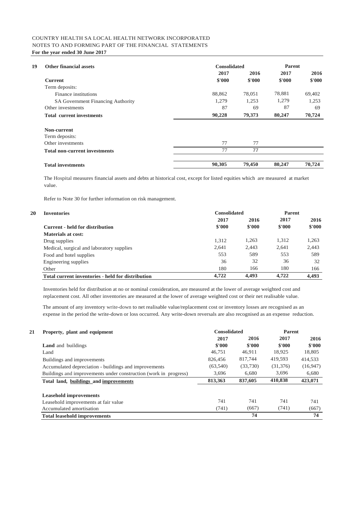| 19 | <b>Other financial assets</b>        | <b>Consolidated</b> | <b>Parent</b> |        |        |
|----|--------------------------------------|---------------------|---------------|--------|--------|
|    |                                      | 2017                | 2016          | 2017   | 2016   |
|    | <b>Current</b>                       | \$'000              | \$'000        | \$'000 | \$'000 |
|    | Term deposits:                       |                     |               |        |        |
|    | Finance institutions                 | 88,862              | 78,051        | 78,881 | 69,402 |
|    | SA Government Financing Authority    | 1,279               | 1.253         | 1.279  | 1,253  |
|    | Other investments                    | 87                  | 69            | 87     | 69     |
|    | <b>Total current investments</b>     | 90,228              | 79,373        | 80,247 | 70,724 |
|    | Non-current                          |                     |               |        |        |
|    | Term deposits:                       |                     |               |        |        |
|    | Other investments                    | 77                  | 77            |        |        |
|    | <b>Total non-current investments</b> | 77                  | 77            |        |        |
|    | <b>Total investments</b>             | 90,305              | 79,450        | 80,247 | 70,724 |

The Hospital measures financial assets and debts at historical cost, except for listed equities which are measured at market value.

Refer to Note 30 for further information on risk management.

**20**

| <b>Inventories</b>                                | <b>Consolidated</b> | <b>Parent</b> |        |        |
|---------------------------------------------------|---------------------|---------------|--------|--------|
|                                                   | 2017                | 2016          | 2017   | 2016   |
| Current - held for distribution                   | \$'000              | \$'000        | \$'000 | \$'000 |
| Materials at cost:                                |                     |               |        |        |
| Drug supplies                                     | 1,312               | 1,263         | 1,312  | 1,263  |
| Medical, surgical and laboratory supplies         | 2.641               | 2.443         | 2.641  | 2,443  |
| Food and hotel supplies                           | 553                 | 589           | 553    | 589    |
| Engineering supplies                              | 36                  | 32            | 36     | 32     |
| Other                                             | 180                 | 166           | 180    | 166    |
| Total current inventories - held for distribution | 4,722               | 4.493         | 4.722  | 4.493  |

Inventories held for distribution at no or nominal consideration, are measured at the lower of average weighted cost and replacement cost. All other inventories are measured at the lower of average weighted cost or their net realisable value.

The amount of any inventory write-down to net realisable value/replacement cost or inventory losses are recognised as an expense in the period the write-down or loss occurred. Any write-down reversals are also recognised as an expense reduction.

| Property, plant and equipment                                    | <b>Consolidated</b> |          | Parent    |          |
|------------------------------------------------------------------|---------------------|----------|-----------|----------|
|                                                                  | 2017                | 2016     | 2017      | 2016     |
| <b>Land</b> and buildings                                        | \$'000              | \$'000   | \$'000    | \$'000   |
| Land                                                             | 46.751              | 46,911   | 18,925    | 18,805   |
| Buildings and improvements                                       | 826,456             | 817,744  | 419.593   | 414,533  |
| Accumulated depreciation - buildings and improvements            | (63, 540)           | (33,730) | (31, 376) | (16,947) |
| Buildings and improvements under construction (work in progress) | 3,696               | 6.680    | 3,696     | 6,680    |
| Total land, buildings and improvements                           | 813,363             | 837,605  | 410,838   | 423,071  |
| <b>Leasehold improvements</b>                                    |                     |          |           |          |
| Leasehold improvements at fair value                             | 741                 | 741      | 741       | 741      |
| Accumulated amortisation                                         | (741)               | (667)    | (741)     | (667)    |
| <b>Total leasehold improvements</b>                              |                     | 74       |           | 74       |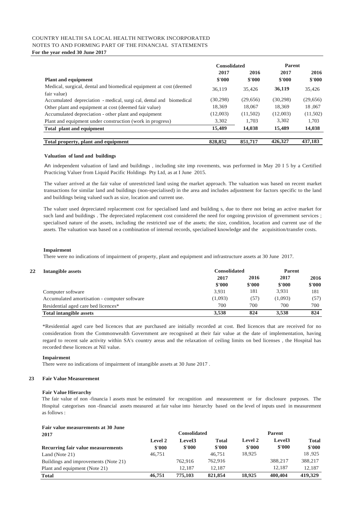### COUNTRY HEALTH SA LOCAL HEALTH NETWORK INCORPORATED NOTES TO AND FORMING PART OF THE FINANCIAL STATEMENTS

**For the year ended 30 June 2017**

|                                                                                     | <b>Consolidated</b> |                | <b>Parent</b>  |                |
|-------------------------------------------------------------------------------------|---------------------|----------------|----------------|----------------|
| <b>Plant and equipment</b>                                                          | 2017<br>\$'000      | 2016<br>\$'000 | 2017<br>\$'000 | 2016<br>\$'000 |
| Medical, surgical, dental and biomedical equipment at cost (deemed)                 | 36,119              | 35.426         | 36,119         | 35.426         |
| fair value)<br>Accumulated depreciation - medical, surgi cal, dental and biomedical | (30, 298)           | (29,656)       | (30, 298)      | (29,656)       |
| Other plant and equipment at cost (deemed fair value)                               | 18,369              | 18,067         | 18,369         | 18,067         |
| Accumulated depreciation - other plant and equipment                                | (12,003)            | (11,502)       | (12,003)       | (11,502)       |
| Plant and equipment under construction (work in progress)                           | 3,302               | 1,703          | 3.302          | 1.703          |
| Total plant and equipment                                                           | 15,489              | 14,038         | 15,489         | 14,038         |
| Total property, plant and equipment                                                 | 828,852             | 851,717        | 426,327        | 437,183        |

#### **Valuation of land and buildings**

An independent valuation of land and buildings , including site imp rovements, was performed in May 20 I 5 by a Certified Practicing Valuer from Liquid Pacific Holdings Pty Ltd, as at I June 2015.

The valuer arrived at the fair value of unrestricted land using the market approach. The valuation was based on recent market transactions for similar land and buildings (non-specialised) in the area and includes adjustment for factors specific to the land and buildings being valued such as size, location and current use.

The valuer used depreciated replacement cost for specialised land and building s, due to there not being an active market for such land and buildings . The depreciated replacement cost considered the need for ongoing provision of government services ; specialised nature of the assets, including the restricted use of the assets; the size, condition, location and current use of the assets. The valuation was based on a combination of internal records, specialised knowledge and the acquisition/transfer costs.

#### **Impairment**

There were no indications of impairment of property, plant and equipment and infrastructure assets at 30 June 2017.

| 22<br>Intangible assets                      |         | <b>Consolidated</b> |         |        |
|----------------------------------------------|---------|---------------------|---------|--------|
|                                              | 2017    | 2016                | 2017    | 2016   |
|                                              | \$'000  | \$'000              | \$'000  | \$'000 |
| Computer software                            | 3.931   | 181                 | 3.931   | 181    |
| Accumulated amortisation - computer software | (1,093) | (57)                | (1,093) | (57)   |
| Residential aged care bed licences*          | 700     | 700                 | 700     | 700    |
| <b>Total intangible assets</b>               | 3,538   | 824                 | 3.538   | 824    |

\*Residential aged care bed licences that are purchased are initially recorded at cost. Bed licences that are received for no consideration from the Commonwealth Government are recognised at their fair value at the date of implementation, having regard to recent sale activity within SA's country areas and the relaxation of ceiling limits on bed licenses , the Hospital has recorded these licences at Nil value.

#### **Impairment**

There were no indications of impairment of intangible assets at 30 June 2017 .

#### **23 Fair Value Measurement**

#### **Fair Value Hierarchy**

The fair value of non -financia l assets must be estimated for recognition and measurement or for disclosure purposes. The Hospital categorises non -financial assets measured at fair value into hierarchy based on the level of inputs used in measurement as follows :

### **Fair value measurements at 30 June**

| 2017                                 | <b>Consolidated</b> |                    |         | <b>Parent</b> |                    |              |
|--------------------------------------|---------------------|--------------------|---------|---------------|--------------------|--------------|
|                                      | Level 2             | Level <sub>3</sub> | Total   | Level 2       | Level <sub>3</sub> | <b>Total</b> |
| Recurring fair value measurements    | \$'000              | \$'000             | \$'000  | \$'000        | \$'000             | \$'000       |
| Land (Note 21)                       | 46.751              |                    | 46.751  | 18.925        |                    | 18.925       |
| Buildings and improvements (Note 21) |                     | 762,916            | 762,916 |               | 388.217            | 388,217      |
| Plant and equipment (Note 21)        |                     | 12.187             | 12.187  |               | 12.187             | 12.187       |
| <b>Total</b>                         | 46,751              | 775,103            | 821,854 | 18,925        | 400,404            | 419,329      |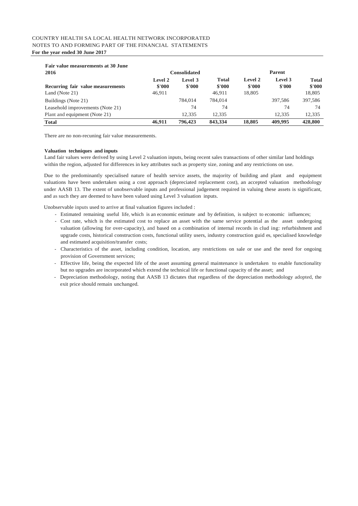| <b>Fair value measurements at 30 June</b> |                   |                     |                        |                   |                   |                        |  |
|-------------------------------------------|-------------------|---------------------|------------------------|-------------------|-------------------|------------------------|--|
| 2016                                      |                   | <b>Consolidated</b> |                        | <b>Parent</b>     |                   |                        |  |
| Recurring fair value measurements         | Level 2<br>\$'000 | Level 3<br>\$'000   | <b>Total</b><br>\$'000 | Level 2<br>\$'000 | Level 3<br>\$'000 | <b>Total</b><br>\$'000 |  |
| Land (Note 21)                            | 46.911            |                     | 46.911                 | 18,805            |                   | 18,805                 |  |
| Buildings (Note 21)                       |                   | 784,014             | 784,014                |                   | 397.586           | 397.586                |  |
| Leasehold improvements (Note 21)          |                   | 74                  | 74                     |                   | 74                | 74                     |  |
| Plant and equipment (Note 21)             |                   | 12.335              | 12.335                 |                   | 12.335            | 12,335                 |  |
| <b>Total</b>                              | 46.911            | 796,423             | 843.334                | 18,805            | 409,995           | 428,800                |  |

There are no non-recuning fair value measurements.

#### **Valuation techniques and inputs**

Land fair values were derived by using Level 2 valuation inputs, being recent sales transactions of other similar land holdings within the region, adjusted for differences in key attributes such as property size, zoning and any restrictions on use.

Due to the predominantly specialised nature of health service assets, the majority of building and plant and equipment valuations have been undertaken using a cost approach (depreciated replacement cost), an accepted valuation methodology under AASB 13. The extent of unobservable inputs and professional judgement required in valuing these assets is significant, and as such they are deemed to have been valued using Level 3 valuation inputs.

Unobservable inputs used to arrive at final valuation figures included :

- Estimated remaining useful life, which is an economic estimate and by definition, is subject to economic influences;
- Cost rate, which is the estimated cost to replace an asset with the same service potential as the asset undergoing valuation (allowing for over-capacity), and based on a combination of internal records in clud ing: refurbishment and upgrade costs, historical construction costs, functional utility users, industry construction guid es, specialised knowledge and estimated acquisition/transfer costs;
- Characteristics of the asset, including condition, location, any restrictions on sale or use and the need for ongoing provision of Government services;
- Effective life, being the expected life of the asset assuming general maintenance is undertaken to enable functionality but no upgrades are incorporated which extend the technical life or functional capacity of the asset; and
- Depreciation methodology, noting that AASB 13 dictates that regardless of the depreciation methodology adopted, the exit price should remain unchanged.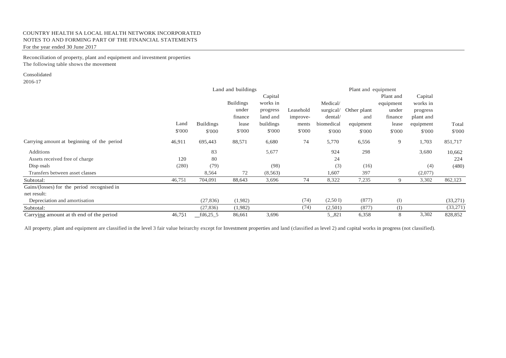Reconciliation of property, plant and equipment and investment properties The following table shows the movement

### Consolidated

2016-17

|                                             |        | Land and buildings |                  |           |           |            | Plant and equipment |           |           |          |
|---------------------------------------------|--------|--------------------|------------------|-----------|-----------|------------|---------------------|-----------|-----------|----------|
|                                             |        |                    |                  | Capital   |           |            |                     | Plant and | Capital   |          |
|                                             |        |                    | <b>Buildings</b> | works in  |           | Medical/   |                     | equipment | works in  |          |
|                                             |        |                    | under            | progress  | Leasehold | surgical/  | Other plant         | under     | progress  |          |
|                                             |        |                    | finance          | land and  | improve-  | dental/    | and                 | finance   | plant and |          |
|                                             | Land   | <b>Buildings</b>   | lease            | buildings | ments     | biomedical | equipment           | lease     | equipment | Total    |
|                                             | \$'000 | \$'000             | \$'000           | \$'000    | \$'000    | \$'000     | \$'000              | \$'000    | \$'000    | \$'000   |
| Carrying amount at beginning of the period  | 46,911 | 695,443            | 88,571           | 6,680     | 74        | 5,770      | 6,556               | 9         | 1,703     | 851,717  |
| Additions                                   |        | 83                 |                  | 5,677     |           | 924        | 298                 |           | 3,680     | 10,662   |
| Assets received free of charge              | 120    | 80                 |                  |           |           | 24         |                     |           |           | 224      |
| Disp osals                                  | (280)  | (79)               |                  | (98)      |           | (3)        | (16)                |           | (4)       | (480)    |
| Transfers between asset classes             |        | 8,564              | 72               | (8, 563)  |           | 1,607      | 397                 |           | (2,077)   |          |
| Subtotal:                                   | 46,751 | 704,091            | 88,643           | 3,696     | 74        | 8,322      | 7,235               | 9         | 3,302     | 862,123  |
| Gains/(losses) for the period recognised in |        |                    |                  |           |           |            |                     |           |           |          |
| net result:                                 |        |                    |                  |           |           |            |                     |           |           |          |
| Depreciation and amortisation               |        | (27, 836)          | (1,982)          |           | (74)      | (2,50)     | (877)               | (I)       |           | (33,271) |
| Subtotal:                                   |        | (27, 836)          | (1,982)          |           | (74)      | (2,501)    | (877)               | (I)       |           | (33,271) |
| Carrying amount at the nd of the period     | 46,751 | $fit16,25\_5$      | 86,661           | 3,696     |           | 5,821      | 6,358               | 8         | 3,302     | 828,852  |

All property, plant and equipment are classified in the level 3 fair value heirarchy except for Investment properties and land (classified as level 2) and capital works in progress (not classified).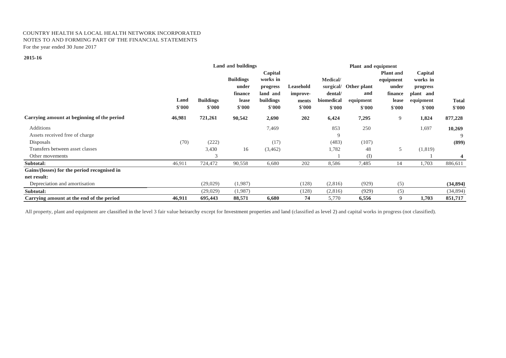#### **2015-16**

|                                             | <b>Land and buildings</b> |                            |                                                         |                                                                    | Plant and equipment                      |                                                          |                                           |                                                                      |                                                                     |                        |
|---------------------------------------------|---------------------------|----------------------------|---------------------------------------------------------|--------------------------------------------------------------------|------------------------------------------|----------------------------------------------------------|-------------------------------------------|----------------------------------------------------------------------|---------------------------------------------------------------------|------------------------|
|                                             | Land<br>\$'000            | <b>Buildings</b><br>\$'000 | <b>Buildings</b><br>under<br>finance<br>lease<br>\$'000 | Capital<br>works in<br>progress<br>land and<br>buildings<br>\$'000 | Leasehold<br>improve-<br>ments<br>\$'000 | Medical/<br>surgical/<br>dental/<br>biomedical<br>\$'000 | Other plant<br>and<br>equipment<br>\$'000 | <b>Plant</b> and<br>equipment<br>under<br>finance<br>lease<br>\$'000 | Capital<br>works in<br>progress<br>plant and<br>equipment<br>\$'000 | <b>Total</b><br>\$'000 |
| Carrying amount at beginning of the period  | 46,981                    | 721,261                    | 90,542                                                  | 2,690                                                              | 202                                      | 6,424                                                    | 7,295                                     | 9                                                                    | 1,824                                                               | 877,228                |
| Additions                                   |                           |                            |                                                         | 7,469                                                              |                                          | 853                                                      | 250                                       |                                                                      | 1,697                                                               | 10,269                 |
| Assets received free of charge              |                           |                            |                                                         |                                                                    |                                          | 9                                                        |                                           |                                                                      |                                                                     | 9                      |
| Disposals                                   | (70)                      | (222)                      |                                                         | (17)                                                               |                                          | (483)                                                    | (107)                                     |                                                                      |                                                                     | (899)                  |
| Transfers between asset classes             |                           | 3,430                      | 16                                                      | (3, 462)                                                           |                                          | 1,782                                                    | 48                                        | 5                                                                    | (1, 819)                                                            |                        |
| Other movements                             |                           | 3                          |                                                         |                                                                    |                                          |                                                          | (I)                                       |                                                                      |                                                                     | 4                      |
| Subtotal:                                   | 46,911                    | 724,472                    | 90,558                                                  | 6,680                                                              | 202                                      | 8,586                                                    | 7,485                                     | 14                                                                   | 1,703                                                               | 886,611                |
| Gains/(losses) for the period recognised in |                           |                            |                                                         |                                                                    |                                          |                                                          |                                           |                                                                      |                                                                     |                        |
| net result:                                 |                           |                            |                                                         |                                                                    |                                          |                                                          |                                           |                                                                      |                                                                     |                        |
| Depreciation and amortisation               |                           | (29,029)                   | (1,987)                                                 |                                                                    | (128)                                    | (2,816)                                                  | (929)                                     | (5)                                                                  |                                                                     | (34, 894)              |
| Subtotal:                                   |                           | (29,029)                   | (1,987)                                                 |                                                                    | (128)                                    | (2,816)                                                  | (929)                                     | (5)                                                                  |                                                                     | (34,894)               |
| Carrying amount at the end of the period    | 46,911                    | 695,443                    | 88,571                                                  | 6,680                                                              | 74                                       | 5,770                                                    | 6,556                                     | 9                                                                    | 1,703                                                               | 851,717                |

All property, plant and equipment are classified in the level 3 fair value heirarchy except for Investment properties and land (classified as level 2) and capital works in progress (not classified).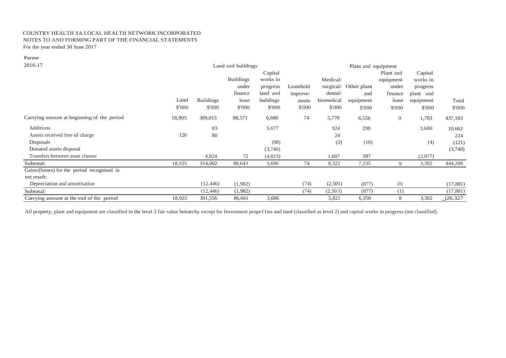| ۰.<br>$\sim$<br>× |
|-------------------|
|-------------------|

| 2016-17                                     |        | Land and buildings |                  |           |           | Plant and equipment |             |           |           |           |
|---------------------------------------------|--------|--------------------|------------------|-----------|-----------|---------------------|-------------|-----------|-----------|-----------|
|                                             |        |                    |                  | Capital   |           |                     |             | Plant and | Capital   |           |
|                                             |        |                    | <b>Buildings</b> | works in  |           | Medical/            |             | equipment | works in  |           |
|                                             |        |                    | under            | progress  | Leasehold | surgical/           | Other plant | under     | progress  |           |
|                                             |        |                    | finance          | land and  | improve-  | dental/             | and         | finance   | plant and |           |
|                                             | Land   | <b>Buildings</b>   | lease            | buildings | ments     | biomedical          | equipment   | lease     | equipment | Total     |
|                                             | \$'000 | \$'000             | \$'000           | \$'000    | \$'000    | \$'000              | \$'000      | \$'000    | \$'000    | \$'000    |
| Carrying amount at beginning of the period  | 18,805 | 309,015            | 88,571           | 6,680     | 74        | 5,770               | 6,556       | 9         | 1,703     | 437,183   |
| Additions                                   |        | 83                 |                  | 5,677     |           | 924                 | 298         |           | 3,680     | 10,662    |
| Assets received free of charge              | 120    | 80                 |                  |           |           | 24                  |             |           |           | 224       |
| Disposals                                   |        |                    |                  | (98)      |           | (3)                 | (16)        |           | (4)       | (121)     |
| Donated assets disposal                     |        |                    |                  | (3,740)   |           |                     |             |           |           | (3,740)   |
| Transfers between asset classes             |        | 4,824              | 72               | (4,823)   |           | 1,607               | 397         |           | (2,077)   |           |
| Subtotal:                                   | 18,925 | 314,002            | 88,643           | 3,696     | 74        | 8,322               | 7,235       | 9         | 3,302     | 444,208   |
| Gains/(losses) for the period recognised in |        |                    |                  |           |           |                     |             |           |           |           |
| net result:                                 |        |                    |                  |           |           |                     |             |           |           |           |
| Depreciation and amortisation               |        | (12, 446)          | (1,982)          |           | (74)      | (2,501)             | (877)       | (I)       |           | (17, 881) |
| Subtotal:                                   |        | (12, 446)          | (1,982)          |           | (74)      | (2,50 I)            | (877)       | (1)       |           | (17, 881) |
| Carrying amount at the end of the period    | 18,925 | 301,556            | 86,661           | 3,696     |           | 5,821               | 6,358       | 8         | 3,302     | j26,327   |

All property, plant and equipment are classified in the level 3 fair value heirarchy except for Investment prope11ies and land (classified as level 2) and capital works in progress (not classified).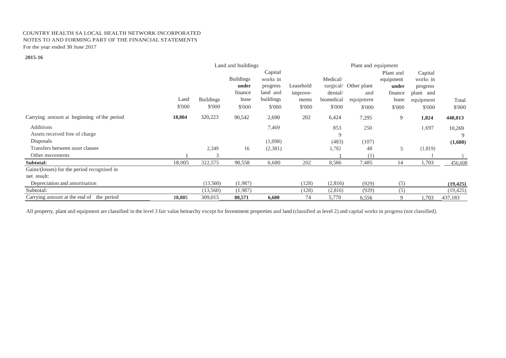#### **2015-16**

|                                             | Land and buildings |                  |                  |           |           |            | Plant and equipment |             |           |           |
|---------------------------------------------|--------------------|------------------|------------------|-----------|-----------|------------|---------------------|-------------|-----------|-----------|
|                                             |                    |                  |                  | Capital   |           |            |                     | Plant and   | Capital   |           |
|                                             |                    |                  | <b>Buildings</b> | works in  |           | Medical/   |                     | equipment   | works in  |           |
|                                             |                    |                  | under            | progress  | Leasehold | surgical/  | Other plant         | under       | progress  |           |
|                                             |                    |                  | finance          | land and  | improve-  | dental/    | and                 | finance     | plant and |           |
|                                             | Land               | <b>Buildings</b> | lease            | buildings | ments     | biomedical | equipment           | lease       | equipment | Total     |
|                                             | \$'000             | \$'000           | \$'000           | \$'000    | \$'000    | \$'000     | \$'000              | \$'000      | \$'000    | \$'000    |
| Carrying amount at beginning of the period  | 18,804             | 320,223          | 90,542           | 2,690     | 202       | 6,424      | 7,295               | 9           | 1,824     | 448,013   |
| Additions                                   |                    |                  |                  | 7,469     |           | 853        | 250                 |             | 1,697     | 10,269    |
| Assets received free of charge              |                    |                  |                  |           |           | 9          |                     |             |           | 9         |
| <b>Disposals</b>                            |                    |                  |                  | (1,098)   |           | (483)      | (107)               |             |           | (1,688)   |
| Transfers between asset classes             |                    | 2,349            | 16               | (2,381)   |           | 1,782      | 48                  | 5           | (1, 819)  |           |
| Other movements                             |                    | 3                |                  |           |           |            | (1)                 |             |           | 5         |
| Subtotal:                                   | 18,805             | 322,575          | 90,558           | 6,680     | 202       | 8,586      | 7,485               | 14          | 1,703     | 456,608   |
| Gains/(losses) for the period recognised in |                    |                  |                  |           |           |            |                     |             |           |           |
| net result:                                 |                    |                  |                  |           |           |            |                     |             |           |           |
| Depreciation and amortisation               |                    | (13,560)         | (1,987)          |           | (128)     | (2,816)    | (929)               | (5)         |           | (19, 425) |
| Subtotal:                                   |                    | (13,560)         | (1,987)          |           | (128)     | (2,816)    | (929)               | (5)         |           | (19, 425) |
| Carrying amount at the end of the period    | 18,805             | 309,015          | 88,571           | 6,680     | 74        | 5,770      | 6,556               | $\mathbf Q$ | 1,703     | 437,183   |

All property, plant and equipment are classified in the level 3 fair value heirarchy except for Investment properties and land (classified as level 2) and capital works in progress (not classified).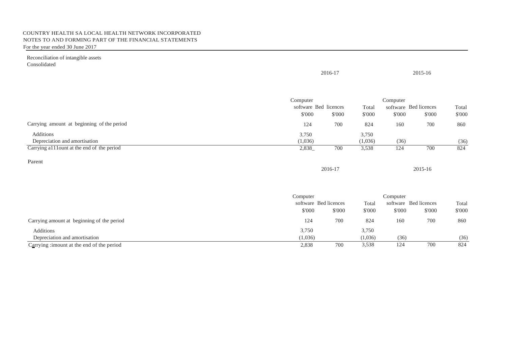Reconciliation of intangible assets Consolidated

|                                             |                                   | 2016-17 |                  |          | 2015-16               |        |  |
|---------------------------------------------|-----------------------------------|---------|------------------|----------|-----------------------|--------|--|
|                                             | Computer<br>software Bed licences |         | Total            | Computer | software Bed licences | Total  |  |
|                                             | \$'000                            | \$'000  | \$'000           | \$'000   | \$'000                | \$'000 |  |
| Carrying amount at beginning of the period  | 124                               | 700     | 824              | 160      | 700                   | 860    |  |
| Additions<br>Depreciation and amortisation  | 3,750<br>(1,036)                  |         | 3,750<br>(1,036) | (36)     |                       | (36)   |  |
| Carrying all lount at the end of the period | 2,838_                            | 700     | 3,538            | 124      | 700                   | 824    |  |
| Parent                                      |                                   | 2016-17 |                  |          | 2015-16               |        |  |
|                                             | Computer                          |         |                  | Computer |                       |        |  |
|                                             | software Bed licences             |         | Total            |          | software Bed licences | Total  |  |
|                                             | \$'000                            | \$'000  | \$'000           | \$'000   | \$'000                | \$'000 |  |
| Carrying amount at beginning of the period  | 124                               | 700     | 824              | 160      | 700                   | 860    |  |
| Additions                                   | 3,750                             |         | 3,750            |          |                       |        |  |
| Depreciation and amortisation               | (1,036)                           |         | (1,036)          | (36)     |                       | (36)   |  |

Carrying : imount at the end of the period 824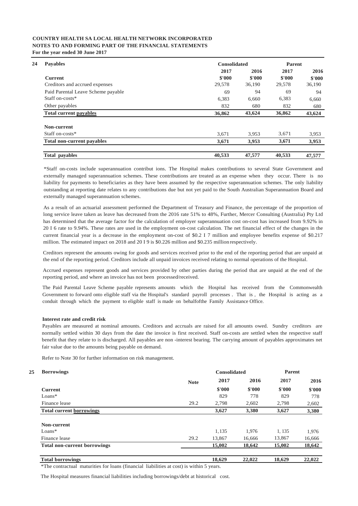| <b>Payables</b>                    | <b>Consolidated</b> |        | Parent |        |  |
|------------------------------------|---------------------|--------|--------|--------|--|
|                                    | 2017                | 2016   | 2017   | 2016   |  |
| <b>Current</b>                     | \$'000              | \$'000 | \$'000 | \$'000 |  |
| Creditors and accrued expenses     | 29,578              | 36,190 | 29,578 | 36,190 |  |
| Paid Parental Leave Scheme payable | 69                  | 94     | 69     | 94     |  |
| Staff on-costs*                    | 6,383               | 6.660  | 6,383  | 6,660  |  |
| Other payables                     | 832                 | 680    | 832    | 680    |  |
| <b>Total current payables</b>      | 36,862              | 43,624 | 36,862 | 43,624 |  |
| Non-current                        |                     |        |        |        |  |
| Staff on-costs*                    | 3,671               | 3.953  | 3,671  | 3,953  |  |
| <b>Total non-current payables</b>  | 3,671               | 3,953  | 3,671  | 3,953  |  |
| Total payables                     | 40,533              | 47,577 | 40,533 | 47,577 |  |

\*Staff on-costs include superannuation contribut ions. The Hospital makes contributions to several State Government and externally managed superannuation schemes. These contributions are treated as an expense when they occur. There is no liability for payments to beneficiaries as they have been assumed by the respective superannuation schemes. The only liability outstanding at reporting date relates to any contributions due but not yet paid to the South Australian Superannuation Board and externally managed superannuation schemes.

As a result of an actuarial assessment performed the Department of Treasury and Finance, the percentage of the proportion of long service leave taken as leave has decreased from the 2016 rate 51% to 48%, Further, Mercer Consulting (Australia) Pty Ltd has determined that the average factor for the calculation of employer superannuation cost on-cost has increased from 9.92% in 20 I 6 rate to 9.94%. These rates are used in the employment on-cost calculation. The net financial effect of the changes in the current financial year is a decrease in the employment on-cost of \$0.2 I 7 million and employee benefits expense of \$0.217 million. The estimated impact on 2018 and 20 I 9 is \$0.226 million and \$0.235 million respectively.

Creditors represent the amounts owing for goods and services received prior to the end of the reporting period that are unpaid at the end of the reporting period. Creditors include all unpaid invoices received relating to normal operations of the Hospital.

Accrued expenses represent goods and services provided by other parties during the period that are unpaid at the end of the reporting period, and where an invoice has not been processed/received.

The Paid Parental Leave Scheme payable represents amounts which the Hospital has received from the Commonwealth Government to forward onto eligible staff via the Hospital's standard payroll processes . That is , the Hospital is acting as a conduit through which the payment to eligible staff is made on behalfofthe Family Assistance Office.

#### **Interest rate and credit risk**

Payables are measured at nominal amounts. Creditors and accruals are raised for all amounts owed. Sundry creditors are normally settled within 30 days from the date the invoice is first received. Staff on-costs are settled when the respective staff benefit that they relate to is discharged. All payables are non -interest bearing. The carrying amount of payables approximates net fair value due to the amounts being payable on demand.

Refer to Note 30 for further information on risk management.

#### **25**

| <b>Borrowings</b>                   |             | <b>Consolidated</b> |        | <b>Parent</b> |        |  |
|-------------------------------------|-------------|---------------------|--------|---------------|--------|--|
|                                     | <b>Note</b> | 2017                | 2016   | 2017          | 2016   |  |
| <b>Current</b>                      |             | \$'000              | \$'000 | \$'000        | \$'000 |  |
| $Loans*$                            |             | 829                 | 778    | 829           | 778    |  |
| Finance lease                       | 29.2        | 2,798               | 2,602  | 2.798         | 2,602  |  |
| <b>Total current borrowings</b>     |             | 3,627               | 3,380  | 3,627         | 3,380  |  |
| Non-current                         |             |                     |        |               |        |  |
| $Loans*$                            |             | 1,135               | 1,976  | 1, 135        | 1,976  |  |
| Finance lease                       | 29.2        | 13,867              | 16,666 | 13,867        | 16,666 |  |
| <b>Total non-current borrowings</b> |             | 15,002              | 18,642 | 15,002        | 18,642 |  |
| <b>Total borrowings</b>             |             | 18,629              | 22,022 | 18,629        | 22,022 |  |

\*The contractual maturities for loans (financial liabilities at cost) is within 5 years.

The Hospital measures financial liabilities including borrowings/debt at historical cost.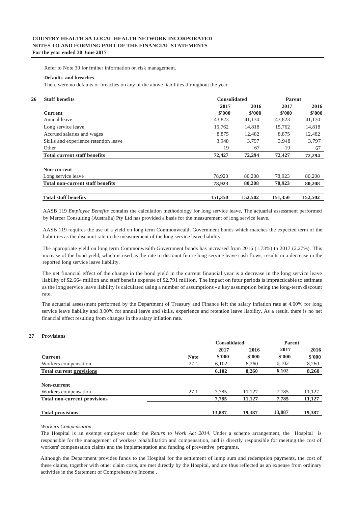Refer to Note 30 for fmiher information on risk management.

#### **Defaults and breaches**

There were no defaults or breaches on any of the above liabilities throughout the year.

| <b>Staff benefits</b>                   | <b>Consolidated</b> |         | <b>Parent</b> |         |  |
|-----------------------------------------|---------------------|---------|---------------|---------|--|
|                                         | 2017                | 2016    | 2017          | 2016    |  |
| <b>Current</b>                          | \$'000              | \$'000  | \$'000        | \$'000  |  |
| Annual leave                            | 43,823              | 41,130  | 43,823        | 41,130  |  |
| Long service leave                      | 15,762              | 14,818  | 15,762        | 14,818  |  |
| Accrued salaries and wages              | 8,875               | 12,482  | 8,875         | 12,482  |  |
| Skills and experience retention leave   | 3,948               | 3.797   | 3.948         | 3,797   |  |
| Other                                   | 19                  | 67      | 19            | 67      |  |
| <b>Total current staff benefits</b>     | 72,427              | 72,294  | 72,427        | 72,294  |  |
| Non-current                             |                     |         |               |         |  |
| Long service leave                      | 78,923              | 80,208  | 78,923        | 80,208  |  |
| <b>Total non-current staff benefits</b> | 78,923              | 80,208  | 78,923        | 80,208  |  |
| <b>Total staff benefits</b>             | 151,350             | 152,502 | 151,350       | 152,502 |  |

AASB 119 *Employee Benefits* contains the calculation methodology for long service leave. The actuarial assessment performed by Mercer Consulting (Australia) Pty Ltd has provided a basis for the measurement of long service leave.

AASB 119 requires the use of a yield on long term Commonwealth Government bonds which matches the expected term of the liabilities as the discount rate in the measurement of the long service leave liability.

The appropriate yield on long term Commonwealth Government bonds has increased from 2016 (1.73%) to 2017 (2.27%). This increase of the bond yield, which is used as the rate to discount future long service leave cash flows, results in a decrease in the reported long service leave liability.

The net financial effect of the change in the bond yield in the current financial year is a decrease in the long service leave liability of \$2.664 million and staff benefit expense of \$2.791 million. The impact on futur periods is impracticable to estimate as the long service leave liability is calculated using a number of assumptions - a key assumption being the long-term discount rate.

The actuarial assessment performed by the Department of Treasury and Finance left the salary inflation rate at 4.00% for long service leave liability and 3.00% for annual leave and skills, experience and retention leave liability. As a result, there is no net financial effect resulting from changes in the salary inflation rate.

#### **27 Provisions**

|                                     |             | <b>Consolidated</b> |        | <b>Parent</b> |        |
|-------------------------------------|-------------|---------------------|--------|---------------|--------|
|                                     |             | 2017                | 2016   | 2017          | 2016   |
| <b>Current</b>                      | <b>Note</b> | \$'000              | \$'000 | \$'000        | \$'000 |
| Workers compensation                | 27.1        | 6,102               | 8,260  | 6,102         | 8,260  |
| <b>Total current provisions</b>     |             | 6,102               | 8.260  | 6,102         | 8,260  |
|                                     |             |                     |        |               |        |
| Non-current                         |             |                     |        |               |        |
| Workers compensation                | 27.1        | 7.785               | 11.127 | 7,785         | 11,127 |
| <b>Total non-current provisions</b> |             | 7,785               | 11,127 | 7,785         | 11,127 |
|                                     |             |                     |        |               |        |
| <b>Total provisions</b>             |             | 13,887              | 19,387 | 13,887        | 19,387 |

#### *Workers Compensation*

The Hospital is an exempt employer under the *Return to Work Act 2014.* Under a scheme arrangement, the Hospital is responsible for the management of workers rehabilitation and compensation, and is directly responsible for meeting the cost of workers' compensation claims and the implementation and funding of preventive programs.

Although the Department provides funds to the Hospital for the settlement of lump sum and redemption payments, the cost of these claims, together with other claim costs, are met directly by the Hospital, and are thus reflected as an expense from ordinary activities in the Statement of Comprehensive Income .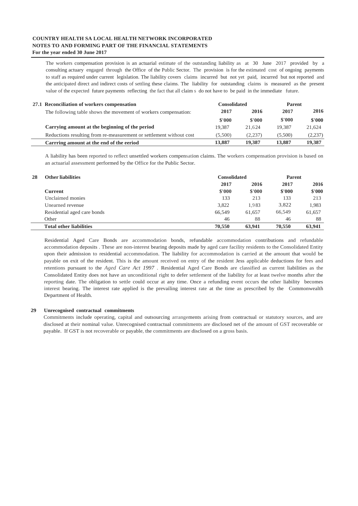The workers compensation provision is an actuarial estimate of the outstanding liability as at 30 June 2017 provided by a consulting actuary engaged through the Office of the Public Sector. The provision is for the estimated cost of ongoing payments to staff as required under current legislation. The liability covers claims incurred but not yet paid, incurred but not reported and the anticipated direct and indirect costs of settling these claims. The liability for outstanding claims is measured as the present value of the expected future payments reflecting the fact that all claim s do not have to be paid in the immediate future.

| 27.1 Reconciliation of workers compensation                         | <b>Consolidated</b> |         | Parent  |         |  |
|---------------------------------------------------------------------|---------------------|---------|---------|---------|--|
| The following table shows the movement of workers compensation:     | 2017                | 2016    | 2017    | 2016    |  |
|                                                                     | \$'000              | \$'000  | \$'000  | \$'000  |  |
| Carrying amount at the beginning of the period                      | 19.387              | 21.624  | 19.387  | 21.624  |  |
| Reductions resulting from re-measurement or settlement without cost | (5.500)             | (2.237) | (5.500) | (2,237) |  |
| Carrring amount at the end of the eeriod                            | 13.887              | 19,387  | 13.887  | 19.387  |  |

A liability has been reported to reflect unsettled workers compensation claims. The workers compensation provision is based on an actuarial assessment performed by the Office for the Public Sector.

| 28 | <b>Other liabilities</b>       | <b>Consolidated</b> | <b>Parent</b> |        |        |
|----|--------------------------------|---------------------|---------------|--------|--------|
|    |                                | 2017                | 2016          | 2017   | 2016   |
|    | Current                        | \$'000              | \$'000        | \$'000 | \$'000 |
|    | Unclaimed monies               | 133                 | 213           | 133    | 213    |
|    | Unearned revenue               | 3.822               | 1.983         | 3.822  | 1,983  |
|    | Residential aged care bonds    | 66.549              | 61.657        | 66.549 | 61,657 |
|    | Other                          | 46                  | 88            | 46     | 88     |
|    | <b>Total other liabilities</b> | 70,550              | 63,941        | 70,550 | 63,941 |

Residential Aged Care Bonds are accommodation bonds, refundable accommodation contributions and refundable accommodation deposits . These are non-interest bearing deposits made by aged care facility residents to the Consolidated Entity upon their admission to residential accommodation. The liability for accommodation is carried at the amount that would be payable on exit of the resident. This is the amount received on entry of the resident Jess applicable deductions for fees and retentions pursuant to the *Aged Care Act 1997 .* Residential Aged Care Bonds are classified as current liabilities as the Consolidated Entity does not have an unconditional right to defer settlement of the liability for at least twelve months after the reporting date. The obligation to settle could occur at any time. Once a refunding event occurs the other liability becomes interest bearing. The interest rate applied is the prevailing interest rate at the time as prescribed by the Commonwealth Department of Health.

#### **29 Unrecognised contractual commitments**

Commitments include operating, capital and outsourcing arrangements arising from contractual or statutory sources, and are disclosed at their nominal value. Unrecognised contractual commitments are disclosed net of the amount of GST recoverable or payable. If GST is not recoverable or payable, the commitments are disclosed on a gross basis.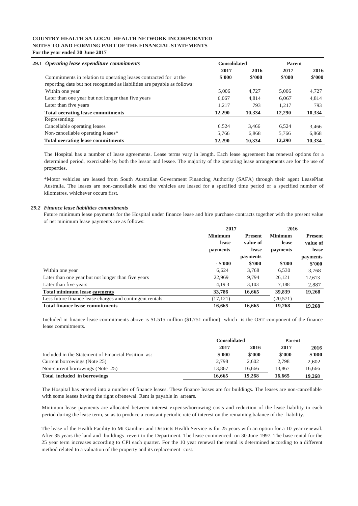| 29.1 Operating lease expenditure commitments                             | <b>Consolidated</b> |        | <b>Parent</b> |        |
|--------------------------------------------------------------------------|---------------------|--------|---------------|--------|
|                                                                          | 2017                | 2016   | 2017          | 2016   |
| Commitments in relation to operating leases contracted for at the        | \$'000              | \$'000 | \$'000        | \$'000 |
| reporting date but not recognised as liabilities are payable as follows: |                     |        |               |        |
| Within one year                                                          | 5.006               | 4.727  | 5.006         | 4,727  |
| Later than one year but not longer than five years                       | 6.067               | 4.814  | 6.067         | 4,814  |
| Later than five years                                                    | 1.217               | 793    | 1.217         | 793    |
| <b>Total ocerating lease commitments</b>                                 | 12,290              | 10.334 | 12,290        | 10,334 |
| Representing:                                                            |                     |        |               |        |
| Cancellable operating leases                                             | 6.524               | 3.466  | 6.524         | 3,466  |
| Non-cancellable operating leases*                                        | 5.766               | 6.868  | 5.766         | 6,868  |
| <b>Total ocerating lease commitments</b>                                 | 12,290              | 10.334 | 12.290        | 10.334 |

The Hospital has a number of lease agreements. Lease terms vary in length. Each lease agreement has renewal options for a determined period, exercisable by both the lessor and lessee. The majority of the operating lease arrangements are for the use of properties.

\*Motor vehicles are leased from South Australian Government Financing Authority (SAFA) through their agent LeasePlan Australia. The leases are non-cancellable and the vehicles are leased for a specified time period or a specified number of kilometres, whichever occurs first.

#### *29.2 Finance lease liabilities commitments*

Future minimum lease payments for the Hospital under finance lease and hire purchase contracts together with the present value of net minimum lease payments are as follows:

|                                                          | 2017           |                 | 2016              |                 |
|----------------------------------------------------------|----------------|-----------------|-------------------|-----------------|
|                                                          | <b>Minimum</b> | <b>Present</b>  | <b>Minimum</b>    | <b>Present</b>  |
|                                                          | <b>lease</b>   | value of        | lease<br>payments | value of        |
|                                                          | payments       | lease           |                   | lease           |
|                                                          |                | <i>payments</i> |                   | <i>payments</i> |
|                                                          | $-$ \$'000     | \$'000          | \$'000            | \$'000          |
| Within one year                                          | 6,624          | 3,768           | 6,530             | 3,768           |
| Later than one year but not longer than five years       | 22,969         | 9.794           | 26.121            | 12,613          |
| Later than five years                                    | 4,193          | 3,103           | 7,188             | 2,887           |
| <b>Total minimum lease eayments</b>                      | 33,786         | 16,665          | 39,839            | 19,268          |
| Less future finance lease charges and contingent rentals | (17, 121)      |                 | (20, 571)         |                 |
| <b>Total finance lease commitments</b>                   | 16.665         | 16.665          | 19,268            | 19,268          |

Included in finance lease commitments above is \$1.515 million (\$1.751 million) which is the OST component of the finance lease commitments.

|                                                     | <b>Consolidated</b> |        | Parent |        |
|-----------------------------------------------------|---------------------|--------|--------|--------|
|                                                     | 2017                | 2016   | 2017   | 2016   |
| Included in the Statement of Financial Position as: | \$'000              | \$'000 | \$'000 | \$'000 |
| Current borrowings (Note 25)                        | 2.798               | 2.602  | 2.798  | 2.602  |
| Non-current borrowings (Note 25)                    | 13.867              | 16.666 | 13.867 | 16.666 |
| Total included in borrowings                        | 16.665              | 19,268 | 16.665 | 19.268 |

The Hospital has entered into a number of finance leases. These finance leases are for buildings. The leases are non-cancellable with some leases having the right ofrenewal. Rent is payable in arrears.

Minimum lease payments are allocated between interest expense/borrowing costs and reduction of the lease liability to each period during the lease term, so as to produce a constant periodic rate of interest on the remaining balance of the liability.

The lease of the Health Facility to Mt Gambier and Districts Health Service is for 25 years with an option for a 10 year renewal. After 35 years the land and buildings revert to the Department. The lease commenced on 30 June 1997. The base rental for the 25 year term increases according to CPI each quarter. For the 10 year renewal the rental is determined according to a different method related to a valuation of the property and its replacement cost.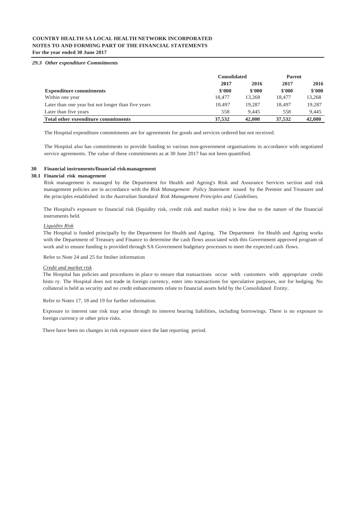#### *29.3 Other expenditure Commitments*

|                                                    | <b>Consolidated</b> |        | <b>Parent</b> |        |
|----------------------------------------------------|---------------------|--------|---------------|--------|
|                                                    | 2017                | 2016   | 2017          | 2016   |
| <b>Expenditure commitments</b>                     | \$'000              | \$'000 | \$'000        | \$'000 |
| Within one year                                    | 18,477              | 13.268 | 18.477        | 13,268 |
| Later than one year but not longer than five years | 18.497              | 19.287 | 18.497        | 19.287 |
| Later than five years                              | 558                 | 9.445  | 558           | 9.445  |
| Total other exeenditure commitments                | 37.532              | 42,000 | 37,532        | 42,000 |

The Hospital expenditure commitments are for agreements for goods and services ordered but not received.

The Hospital also has commitments to provide funding to various non-government organisations in accordance with negotiated service agreements. The value of these commitments as at 30 June 2017 has not been quantified.

#### **30 Financial instruments/financial riskmanagement**

#### **30.1 Financial risk management**

Risk management is managed by the Department for Health and Ageing's Risk and Assurance Services section and risk management policies are in accordance with the *Risk Management Policy Statement* issued by the Premier and Treasurer and the principles established in the *Australian Standard Risk Management Principles and Guidelines.*

The Hospital's exposure to financial risk (liquidity risk, credit risk and market risk) is low due to the nature of the financial instruments held.

#### *Liquiditv Risk*

The Hospital is funded principally by the Department for Health and Ageing. The Department for Health and Ageing works with the Department of Treasury and Finance to determine the cash flows associated with this Government approved program of work and to ensure funding is provided through SA Government budgetary processes to meet the expected cash flows.

Refer to Note 24 and 25 for fmiher information

#### *Credit and market risk*

The Hospital has policies and procedures in place to ensure that transactions occur with customers with appropriate credit histo ry. The Hospital does not trade in foreign currency, enter into transactions for speculative purposes, nor for hedging. No collateral is held as security and no credit enhancements relate to financial assets held by the Consolidated Entity.

Refer to Notes 17, 18 and 19 for further information.

Exposure to interest rate risk may arise through its interest bearing liabilities, including borrowings. There is no exposure to foreign currency or other price risks.

There have been no changes in risk exposure since the last reporting period.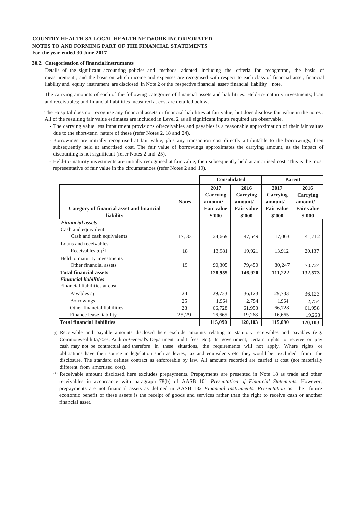#### **30.2 Categorisation of financialinstruments**

Details of the significant accounting policies and methods adopted including the criteria for recogmtron, the basis of meas urement , and the basis on which income and expenses are recognised with respect to each class of financial asset, financial liability and equity instrument are disclosed in Note 2 or the respective financial asset/ financial liability note.

The carrying amounts of each of the following categories of financial assets and liabiliti es: Held-to-maturity investments; loan and receivables; and financial liabilities measured at cost are detailed below.

The Hospital does not recognise any financial assets or financial liabilities at fair value, but does disclose fair value in the notes . All of the resulting fair value estimates are included in Level 2 as all significant inputs required are observable.

- The carrying value less impairment provisions ofreceivables and payables is a reasonable approximation of their fair values due to the short-tenn nature of these (refer Notes 2, 18 and 24).
- Borrowings are initially recognised at fair value, plus any transaction cost directly attributable to the borrowings, then subsequently held at amortised cost. The fair value of borrowings approximates the carrying amount, as the impact of discounting is not significant (refer Notes 2 and 25).
- Held-to-maturity investments are initially recognised at fair value, then subsequently held at amortised cost. This is the most representative of fair value in the circumstances (refer Notes 2 and 19).

|                                                        |              | <b>Consolidated</b>                                        |                                                            | <b>Parent</b>                                              |                                                            |
|--------------------------------------------------------|--------------|------------------------------------------------------------|------------------------------------------------------------|------------------------------------------------------------|------------------------------------------------------------|
| Category of financial asset and financial<br>liability | <b>Notes</b> | 2017<br>Carrying<br>amount/<br><b>Fair value</b><br>\$'000 | 2016<br>Carrying<br>amount/<br><b>Fair value</b><br>\$'000 | 2017<br>Carrying<br>amount/<br><b>Fair value</b><br>\$'000 | 2016<br>Carrying<br>amount/<br><b>Fair value</b><br>\$'000 |
| <b>Financial assets</b>                                |              |                                                            |                                                            |                                                            |                                                            |
| Cash and equivalent                                    |              |                                                            |                                                            |                                                            |                                                            |
| Cash and cash equivalents                              | 17, 33       | 24,669                                                     | 47,549                                                     | 17,063                                                     | 41,712                                                     |
| Loans and receivables                                  |              |                                                            |                                                            |                                                            |                                                            |
| Receivables $(D)^2$                                    | 18           | 13,981                                                     | 19,921                                                     | 13,912                                                     | 20,137                                                     |
| Held to maturity investments                           |              |                                                            |                                                            |                                                            |                                                            |
| Other financial assets                                 | 19           | 90,305                                                     | 79,450                                                     | 80,247                                                     | 70,724                                                     |
| <b>Total financial assets</b>                          |              | 128,955                                                    | 146,920                                                    | 111,222                                                    | 132,573                                                    |
| <b>Financial liabilities</b>                           |              |                                                            |                                                            |                                                            |                                                            |
| Financial liabilities at cost                          |              |                                                            |                                                            |                                                            |                                                            |
| Payables (1)                                           | 24           | 29,733                                                     | 36,123                                                     | 29,733                                                     | 36,123                                                     |
| <b>Borrowings</b>                                      | 25           | 1,964                                                      | 2,754                                                      | 1,964                                                      | 2,754                                                      |
| Other financial liabilities                            | 28           | 66,728                                                     | 61,958                                                     | 66,728                                                     | 61,958                                                     |
| Finance lease liability                                | 25,29        | 16,665                                                     | 19,268                                                     | 16,665                                                     | 19,268                                                     |
| <b>Total financial liabilities</b>                     |              | 115,090                                                    | 120,103                                                    | 115,090                                                    | 120,103                                                    |

- (I) Receivable and payable amounts disclosed here exclude amounts relating to statutory receivables and payables (e.g. Commonwealth ta,'<:es; Auditor-General's Department audit fees etc.). In government, certain rights to receive or pay cash may not be contractual and therefore in these situations, the requirements will not apply. Where rights or obligations have their source in legislation such as levies, tax and equivalents etc. they would be excluded from the disclosure. The standard defines contract as enforceable by law. All amounts recorded are carried at cost (not materially different from amortised cost).
- $(2)$  Receivable amount disclosed here excludes prepayments. Prepayments are presented in Note 18 as trade and other receivables in accordance with paragraph 78(b) of AASB 101 *Presentation of Financial Statements.* However, prepayments are not financial assets as defined in AASB 132 *Financial Instruments: Presentation* as the future economic benefit of these assets is the receipt of goods and services rather than the right to receive cash or another financial asset.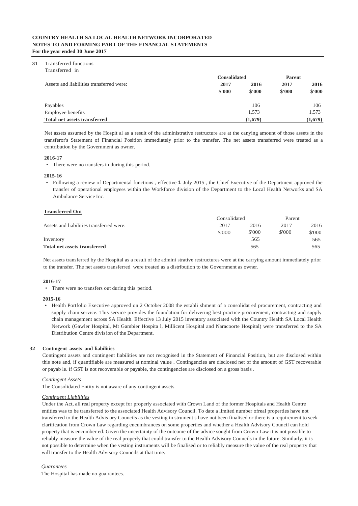#### **31** Transferred functions

| Transferred in                           | <b>Consolidated</b> | <b>Parent</b> |        |         |
|------------------------------------------|---------------------|---------------|--------|---------|
| Assets and liabilities transferred were: | 2017                | 2016          | 2017   | 2016    |
|                                          | \$'000              | \$'000        | \$'000 | \$'000  |
| Payables                                 |                     | 106           |        | 106     |
| Employee benefits                        |                     | 1.573         |        | 1.573   |
| <b>Total net assets transferred</b>      |                     | (1,679)       |        | (1,679) |

Net assets assumed by the Hospit al as a result of the administrative restructure are at the canying amount of those assets in the transferor's Statement of Financial Position immediately prior to the transfer. The net assets transferred were treated as a contribution by the Government as owner.

#### **2016-17**

• There were no transfers in during this period.

#### **2015-16**

• Following a review of Departmental functions , effective **1** July 2015 , the Chief Executive of the Department approved the transfer of operational employees within the Workforce division of the Department to the Local Health Networks and SA Ambulance Service Inc.

#### **Transferred Out**

|                                          | Consolidated |        |        | Parent |  |
|------------------------------------------|--------------|--------|--------|--------|--|
| Assets and liabilities transferred were: | 2017         |        | 2017   | 2016   |  |
|                                          | \$'000       | \$'000 | \$'000 | \$'000 |  |
| Inventory                                |              | 565    |        | 565    |  |
| Total net assets transferred             |              | 565    |        | 565    |  |

Net assets transferred by the Hospital as a result of the admini strative restructures were at the carrying amount immediately prior to the transfer. The net assets transferred were treated as a distribution to the Government as owner.

#### **2016-17**

• There were no transfers out during this period.

#### **2015-16**

• Health Portfolio Executive approved on 2 October 2008 the establi shment of a consolidat ed procurement, contracting and supply chain service. This service provides the foundation for delivering best practice procurement, contracting and supply chain management across SA Health. Effective 13 July 2015 inventory associated with the Country Health SA Local Health Network (Gawler Hospital, Mt Gambier Hospita l, Millicent Hospital and Naracoorte Hospital) were transferred to the SA Distribution Centre division of the Department.

#### **32 Contingent assets and liabilities**

Contingent assets and contingent liabilities are not recognised in the Statement of Financial Position, but are disclosed within this note and, if quantifiable are measured at nominal value . Contingencies are disclosed net of the amount of GST recoverable or payab le. If GST is not recoverable or payable, the contingencies are disclosed on a gross basis.

#### *Contingent Assets*

The Consolidated Entity is not aware of any contingent assets.

#### *Contingent Liabilities*

Under the Act, all real property except for properly associated with Crown Land of the former Hospitals and Health Centre entities was to be transferred to the associated Health Advisory Council. To date a limited number ofreal properties have not transferred to the Health Advis ory Councils as the vesting in strument s have not been finalised or there is a requirement to seek clarification from Crown Law regarding encumbrances on some properties and whether a Health Advisory Council can hold property that is encumber ed. Given the uncertainty of the outcome of the advice sought from Crown Law it is not possible to reliably measure the value of the real properly that could transfer to the Health Advisory Councils in the future. Similarly, it is not possible to determine when the vesting instruments will be finalised or to reliably measure the value of the real property that will transfer to the Health Advisory Councils at that time.

#### *Guarantees*

The Hospital has made no gua rantees.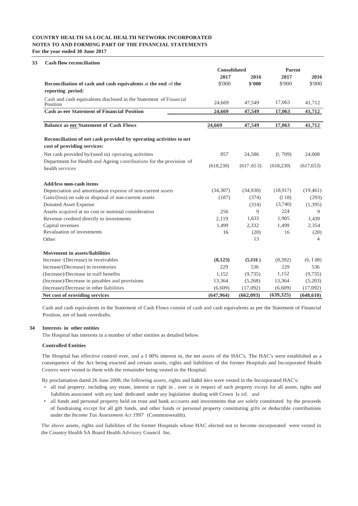| <b>Cash flow reconciliation</b>                                                                   |            |                     |            |            |  |  |
|---------------------------------------------------------------------------------------------------|------------|---------------------|------------|------------|--|--|
|                                                                                                   |            | <b>Consolidated</b> |            | Parent     |  |  |
|                                                                                                   | 2017       | 2016                | 2017       | 2016       |  |  |
| Reconciliation of cash and cash equivalents at the end of the<br>reporting period:                | \$'000     | \$'000              | \$'000     | \$'000     |  |  |
| Cash and cash equivalents disclosed in the Statement of Financial<br>Position                     | 24,669     | 47,549              | 17,063     | 41,712     |  |  |
| <b>Cash as eer Statement of Financial Position</b>                                                | 24,669     | 47,549              | 17,063     | 41,712     |  |  |
| Balance as eer Statement of Cash Flows                                                            | 24,669     | 47,549              | 17,063     | 41,712     |  |  |
| Reconciliation of net cash provided by operating activities to net<br>cost of providing services: |            |                     |            |            |  |  |
| Net cash provided by/(used in) operating activities                                               | 857        | 24,586              | (l, 709)   | 24,008     |  |  |
| Department for Health and Ageing contributions for the provision of<br>health services            | (618, 230) | (617, 653)          | (618, 230) | (617, 653) |  |  |
| <b>Add/less non-cash items</b>                                                                    |            |                     |            |            |  |  |
| Depreciation and amortisation expense of non-current assets                                       | (34, 307)  | (34,930)            | (18,917)   | (19, 461)  |  |  |
| Gain/(loss) on sale or disposal of non-current assets                                             | (187)      | (374)               | (118)      | (293)      |  |  |
| Donated Asset Expense                                                                             |            | (314)               | (3,740)    | (1,395)    |  |  |
| Assets acquired at no cost or nominal consideration                                               | 256        | 9                   | 224        | 9          |  |  |
| Revenue credited directly to investments                                                          | 2.119      | 1,633               | 1,905      | 1,439      |  |  |
| Capital revenues                                                                                  | 1,499      | 2,332               | 1,499      | 2,354      |  |  |
| Revaluation of investments                                                                        | 16         | (20)                | 16         | (20)       |  |  |
| Other                                                                                             |            | 13                  |            | 4          |  |  |
| <b>Movement in assets/liabilities</b>                                                             |            |                     |            |            |  |  |
| Increase /(Decrease) in receivables                                                               | (8,123)    | (5,816)             | (8,392)    | (6, 108)   |  |  |
| Increase/(Decrease) in inventories                                                                | 229        | 536                 | 229        | 536        |  |  |
| (Increase)/Decrease in staff benefits                                                             | 1,152      | (9,735)             | 1,152      | (9, 735)   |  |  |
| (lncrease)/Decrease in payables and provisions                                                    | 13,364     | (5,268)             | 13,364     | (5,203)    |  |  |
| (Increase)/Decrease in other liabilities                                                          | (6,609)    | (17,092)            | (6,609)    | (17,092)   |  |  |
| Net cost of eroviding services                                                                    | (647, 964) | (662,093)           | (639, 325) | (648, 610) |  |  |

Cash and cash equivalents in the Statement of Cash Flows consist of cash and cash equivalents as per the Statement of Financial Position, net of bank overdrafts.

#### **34 Interests in other entities**

The Hospital has interests in a number of other entities as detailed below.

#### **Controlled Entities**

The Hospital has effective control over, and a I 00% interest in, the net assets of the HAC's. The HAC's were established as a consequence of the Act being enacted and certain assets, rights and liabilities of the former Hospitals and Incorporated Health Centres were vested in them with the remainder being vested in the Hospital.

By proclamation dated 26 June 2008, the following assets, rights and liabil ities were vested in the Incorporated HAC's:

- all real property, including any estate, interest or right in , over or in respect of such property except for all assets, rights and liabilities associated with any land dedicated under any legislation dealing with Crown la nd; and
- all funds and personal property held on trust and bank accounts and investments that are solely constituted by the proceeds of fundraising except for all gift funds, and other funds or personal property constituting gifts or deductible contributions under the *Income Tax Assessment Act 1997* (Commonwealth).

The above assets, rights and liabilities of the former Hospitals whose HAC elected not to become incorporated were vested in the Country Health SA Board Health Advisory Council Inc.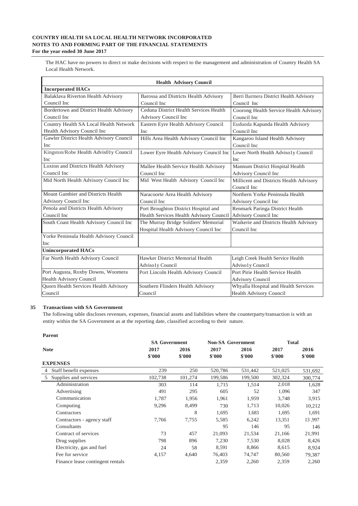The HAC have no powers to direct or make decisions with respect to the management and administration of Country Health SA Local Health Network.

|                                         | <b>Health Advisory Council</b>          |                                         |  |  |  |  |  |  |
|-----------------------------------------|-----------------------------------------|-----------------------------------------|--|--|--|--|--|--|
| <b>Incorporated HACs</b>                |                                         |                                         |  |  |  |  |  |  |
| Balaklava Riverton Health Advisory      | Barossa and Districts Health Advisory   | Berri Barmera District Health Advisory  |  |  |  |  |  |  |
| Council Inc                             | Council Inc.                            | Council Inc                             |  |  |  |  |  |  |
| Bordertown and District Health Advisory | Ceduna District Health Services Health  | Coorong Health Service Health Advisory  |  |  |  |  |  |  |
| Council Inc                             | Advisory Council Inc                    | Council Inc                             |  |  |  |  |  |  |
| Country Health SA Local Health Network  | Eastern Eyre Health Advisory Council    | Eudunda Kapunda Health Advisory         |  |  |  |  |  |  |
| Health Advisory Council Inc             | <b>Inc</b>                              | Council Inc                             |  |  |  |  |  |  |
| Gawler District Health Advisory Council | Hills Area Health Advisory Council Inc  | Kangaroo Island Health Advisory         |  |  |  |  |  |  |
| Inc                                     |                                         | Council Inc                             |  |  |  |  |  |  |
| Kingston/Robe Health Advis01y Council   | Lower Eyre Health Advisory Council Inc  | Lower North Health Advisoly Council     |  |  |  |  |  |  |
| Inc                                     |                                         | <b>Inc</b>                              |  |  |  |  |  |  |
| Loxton and Districts Health Advisory    | Mallee Health Service Health Advisory   | Mannum District Hospital Health         |  |  |  |  |  |  |
| Council Inc                             | Council Inc                             | Advisory Council Inc                    |  |  |  |  |  |  |
| Mid North Health Advisory Council Inc   | Mid West Health Advisory Council Inc    | Millicent and Districts Health Advisory |  |  |  |  |  |  |
|                                         |                                         | Council Inc                             |  |  |  |  |  |  |
| Mount Gambier and Districts Health      | Naracoorte Area Health Advisory         | Northern Yorke Peninsula Health         |  |  |  |  |  |  |
| Advisory Council Inc                    | Council Inc                             | <b>Advisory Council Inc</b>             |  |  |  |  |  |  |
| Penola and Districts Health Advisory    | Port Broughton District Hospital and    | Renmark Paringa District Health         |  |  |  |  |  |  |
| Council Inc                             | Health Services Health Advisory Council | Advisory Council Inc                    |  |  |  |  |  |  |
| South Coast Health Advisory Council Inc | The Murray Bridge Soldiers' Memorial    | Waikerie and Districts Health Advisory  |  |  |  |  |  |  |
|                                         | Hospital Health Advisory Council Inc    | Council Inc                             |  |  |  |  |  |  |
| Yorke Peninsula Health Advisory Council |                                         |                                         |  |  |  |  |  |  |
| Inc                                     |                                         |                                         |  |  |  |  |  |  |
| <b>Unincorporated HACs</b>              |                                         |                                         |  |  |  |  |  |  |
| Far North Health Advisory Council       | Hawker District Memorial Health         | Leigh Creek Health Service Health       |  |  |  |  |  |  |
|                                         | Adviso1y Council                        | Adviso1y Council                        |  |  |  |  |  |  |
| Port Augusta, Roxby Downs, Woomera      | Port Lincoln Health Advisory Council    | Port Pirie Health Service Health        |  |  |  |  |  |  |
| Health Advisory Council                 |                                         | <b>Advisory Council</b>                 |  |  |  |  |  |  |
| Quorn Health Services Health Advisory   | Southern Flinders Health Advisory       | Whyalla Hospital and Health Services    |  |  |  |  |  |  |
| Council                                 | Council                                 | <b>Health Advisory Council</b>          |  |  |  |  |  |  |

#### **35 Transactions with SA Government**

The following table discloses revenues, expenses, financial assets and liabilities where the counterparty/transaction is with an entity within the SA Government as at the reporting date, classified according to their nature.

| <b>Parent</b>                    |                      |         |                          |         |              |         |
|----------------------------------|----------------------|---------|--------------------------|---------|--------------|---------|
|                                  | <b>SA Government</b> |         | <b>Non-SA Government</b> |         | <b>Total</b> |         |
| <b>Note</b>                      | 2017                 | 2016    | 2017                     | 2016    | 2017         | 2016    |
|                                  | \$'000               | \$'000  | \$'000                   | \$'000  | \$'000       | \$'000  |
| <b>EXPENSES</b>                  |                      |         |                          |         |              |         |
| Staff benefit expenses<br>4      | 239                  | 250     | 520,786                  | 531,442 | 521,025      | 531,692 |
| Supplies and services<br>5       | 102,738              | 101,274 | 199,586                  | 199,500 | 302,324      | 300,774 |
| Administration                   | 303                  | 114     | 1,715                    | 1,514   | 2,018        | 1,628   |
| Advertising                      | 491                  | 295     | 605                      | 52      | 1,096        | 347     |
| Communication                    | 1,787                | 1,956   | 1,961                    | 1,959   | 3,748        | 3,915   |
| Computing                        | 9,296                | 8,499   | 730                      | 1,713   | 10,026       | 10,212  |
| Contractors                      |                      | 8       | 1,695                    | 1,683   | 1,695        | 1,691   |
| Contractors - agency staff       | 7,766                | 7,755   | 5,585                    | 6,242   | 13,351       | 13,997  |
| Consultants                      |                      |         | 95                       | 146     | 95           | 146     |
| Contract of services             | 73                   | 457     | 21,093                   | 21,534  | 21,166       | 21,991  |
| Drug supplies                    | 798                  | 896     | 7,230                    | 7,530   | 8,028        | 8,426   |
| Electricity, gas and fuel        | 24                   | 58      | 8,591                    | 8,866   | 8,615        | 8,924   |
| Fee for service                  | 4,157                | 4,640   | 76,403                   | 74,747  | 80,560       | 79,387  |
| Finance lease contingent rentals |                      |         | 2,359                    | 2,260   | 2,359        | 2,260   |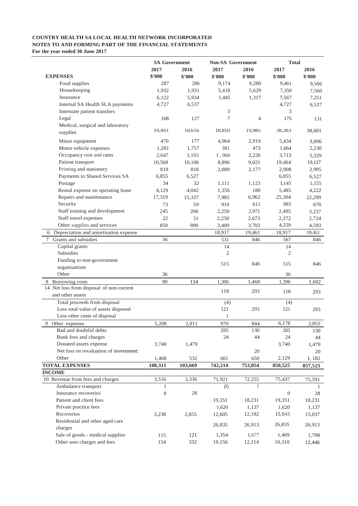|                                          | <b>SA Government</b> |              | <b>Non-SA Government</b> |         | <b>Total</b> |         |
|------------------------------------------|----------------------|--------------|--------------------------|---------|--------------|---------|
|                                          | 2017                 | 2016         | 2017                     | 2016    | 2017         | 2016    |
| <b>EXPENSES</b>                          | \$'000               | \$'000       | \$'000                   | \$'000  | \$'000       | \$'000  |
| Food supplies                            | 287                  | 286          | 9,174                    | 9,280   | 9,461        | 9,566   |
| Housekeeping                             | 1,932                | 1,931        | 5,418                    | 5,629   | 7,350        | 7,560   |
| Insurance                                | 6,122                | 5,934        | 1,445                    | 1,317   | 7,567        | 7,251   |
| Internal SA Health SLA payments          | 4,727                | 6,537        |                          |         | 4,727        | 6,537   |
| Interstate patient transfers             |                      |              | 3                        |         | 3            |         |
| Legal                                    | 168                  | 127          | 7                        | 4       | 175          | 131     |
| Medical, surgical and laboratory         |                      |              |                          |         |              |         |
| supplies                                 | 19,493               | 18,616       | 18,810                   | 19,985  | 38,303       | 38,601  |
| Minor equipment                          | 470                  | 177          | 4,964                    | 2,919   | 5,434        | 3,096   |
| Motor vehicle expenses                   | 1,283                | 1,757        | 381                      | 473     | 1,664        | 2,230   |
| Occupancy rent and rates                 | 2,647                | 3,103        | 1,066                    | 2,226   | 3,713        | 5,329   |
| Patient transport                        | 10,568               | 10,106       | 8,896                    | 9,021   | 19,464       | 19,127  |
| Printing and stationery                  | 819                  | 818          | 2,089                    | 2,177   | 2,908        | 2,995   |
| Payments to Shared Services SA           | 6,855                | 6,527        |                          |         | 6,855        | 6,527   |
| Postage                                  | 34                   | 32           | 1,111                    | 1,123   | I,145        | 1,155   |
| Rental expense on operating lease        | 4,129                | 4,042        | 1,356                    | 180     | 5,485        | 4,222   |
| Repairs and maintenance                  | 17,319               |              |                          | 6,962   | 25,304       |         |
| Security                                 | 73                   | 15,337<br>59 | 7,985<br>910             | 611     | 983          | 22,299  |
|                                          |                      |              |                          |         |              | 670     |
| Staff training and development           | 245                  | 266          | 2,250                    | 2,971   | 2,495        | 3,237   |
| Staff travel expenses                    | 22                   | 51           | 2,250                    | 2,673   | 2,272        | 2,724   |
| Other supplies and services              | 850                  | 890          | 3,409                    | 3,703   | 4,259        | 4,593   |
| 6 Depreciation and amortisation expense  |                      |              | 18,917                   | 19,461  | 18,917       | 19,461  |
| 7 Grants and subsidies                   | 36                   |              | 531                      | 846     | 567          | 846     |
| Capital grants                           |                      |              | 14                       |         | 14           |         |
| Subsidies                                |                      |              | $\mathfrak{2}$           |         | 2            |         |
| Funding to non-government                |                      |              | 515                      | 846     | 515          | 846     |
| organisations                            |                      |              |                          |         |              |         |
| Other                                    | 36                   |              |                          |         | 36           |         |
| 8 Borrowing costs                        | 90                   | 134          | 1,306                    | 1,468   | 1,396        | 1,602   |
| 14 Net loss from disposal of non-current |                      |              | 118                      | 293     | 118          | 293     |
| and other assets                         |                      |              |                          |         |              |         |
| Total proceeds from disposal             |                      |              | (4)                      |         | (4)          |         |
| Less total value of assets disposed      |                      |              | 121                      | 293     | 121          | 293     |
| Less other costs of disposal             |                      |              | I                        |         |              |         |
| 9<br>Other expenses                      | 5,208                | 2,011        | 970                      | 844     | 6,178        | 2,855   |
| Bad and doubtful debts                   |                      |              | 285                      | 130     | 285          | 130     |
| Bank fees and charges                    |                      |              | 24                       | 44      | 24           | 44      |
| Donated assets expense                   | 3,740                | 1,479        |                          |         | 3,740        | 1,479   |
| Net loss on revaluation of investment:   |                      |              |                          | 20      |              | 20      |
| Other                                    | 1,468                | 532          | 661                      | 650     | 2,129        | I, 182  |
| <b>TOTAL EXPENSES</b>                    | 108,311              | 103,669      | 742,214                  | 753,854 | 850,525      | 857,523 |
| <b>INCOME</b>                            |                      |              |                          |         |              |         |
| 10 Revenue from fees and charges         | 3,516                | 3,336        | 71,921                   | 72,255  | 75,437       | 75,591  |
| Ambulance transport                      | Ι                    |              | (I)                      | Ι.      |              | Ι.      |
| Insurance recoveries                     | 8                    | 28           |                          |         | 9            | 28      |
| Patient and client fees                  |                      |              | 19,351                   | 18,231  | 19,351       | 18,231  |
| Private practice fees                    |                      |              | 1,620                    | 1,137   | 1,620        | 1,137   |
| Recoveries                               | 3,238                | 2,855        | 12,605                   | 12,182  | 15,843       | 15,037  |
| Residential and other aged care          |                      |              |                          |         | 26,835       |         |
| charges                                  |                      |              | 26,835                   | 26,913  |              | 26,913  |
| Sale of goods - medical supplies         | 115                  | 121          | 1,354                    | 1,677   | 1,469        | 1,798   |
| Other user charges and fees              | 154                  | 332          | 10,156                   | 12,114  | 10,310       | 12,446  |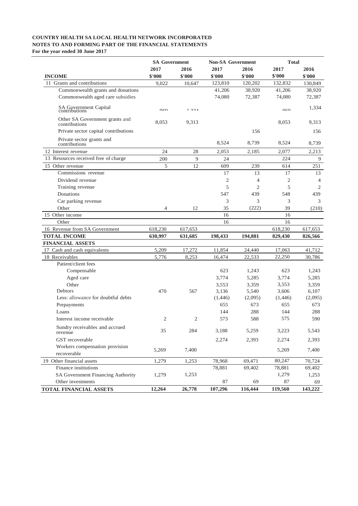|                                                      | <b>SA Government</b> |                    | <b>Non-SA</b> Government |                | Total              |                    |
|------------------------------------------------------|----------------------|--------------------|--------------------------|----------------|--------------------|--------------------|
|                                                      | 2017                 | 2016               | 2017                     | 2016           | 2017               | 2016               |
| <b>INCOME</b>                                        | \$'000               | \$'000             | \$'000                   | \$'000         | \$'000             | \$'000             |
| 11 Grants and contributions                          | 9,022                | 10,647             | 123,810                  | 120,202        | 132,832            | 130,849            |
| Commonwealth grants and donations                    |                      |                    | 41,206                   | 38,920         | 41,206             | 38,920             |
| Commonwealth aged care subsidies                     |                      |                    | 74,080                   | 72,387         | 74,080             | 72,387             |
| SA Government Capital<br>contributions               | $0<\Omega$           | 1224               |                          |                | $0<\Omega$         | 1,334              |
| Other SA Government grants and<br>contributions      | 8,053                | 9,313              |                          |                | 8,053              | 9,313              |
| Private sector capital contributions                 |                      |                    |                          | 156            |                    | 156                |
| Private sector grants and<br>contributions           |                      |                    | 8.524                    | 8,739          | 8,524              | 8,739              |
| 12 Interest revenue                                  | 24                   | 28                 | 2,053                    | 2,185          | 2,077              | 2,213              |
| 13 Resources received free of charge                 | 200                  | 9                  | 24                       |                | 224                | 9                  |
| 15 Other revenue                                     | 5                    | 12                 | 609                      | 239            | 614                | 251                |
| Commissions revenue                                  |                      |                    | 17                       | 13             | 17                 | 13                 |
| Dividend revenue                                     |                      |                    | $\mathfrak{2}$           | 4              | 2                  | 4                  |
| Training revenue                                     |                      |                    | 5                        | $\mathfrak{2}$ | 5                  | 2                  |
| Donations                                            |                      |                    | 547                      | 439            | 548                | 439                |
| Car parking revenue                                  |                      |                    | 3                        | 3              | 3                  | 3                  |
| Other                                                | $\overline{4}$       | 12                 | 35                       | (222)          | 39                 | (210)              |
| 15 Other income                                      |                      |                    | 16                       |                | 16                 |                    |
| Other                                                |                      |                    | 16                       |                | 16                 |                    |
| 16 Revenue from SA Government<br><b>TOTAL INCOME</b> | 618,230<br>630,997   | 617,653<br>631,685 | 198,433                  | 194,881        | 618,230<br>829,430 | 617,653<br>826,566 |
| <b>FINANCIAL ASSETS</b>                              |                      |                    |                          |                |                    |                    |
| 17 Cash and cash equivalents                         | 5,209                | 17,272             | 11,854                   | 24,440         | 17,063             | 41,712             |
| 18 Receivables                                       | 5,776                | 8,253              | 16,474                   | 22,533         | 22,250             | 30,786             |
| Patient/client fees                                  |                      |                    |                          |                |                    |                    |
| Compensable                                          |                      |                    | 623                      | 1,243          | 623                | 1,243              |
| Aged care                                            |                      |                    | 3,774                    | 5,285          | 3,774              | 5,285              |
| Other                                                |                      |                    | 3,553                    | 3,359          | 3,553              | 3,359              |
| Debtors                                              | 470                  | 567                | 3,136                    | 5,540          | 3,606              | 6,107              |
| Less: allowance for doubtful debts                   |                      |                    | (1,446)                  | (2,095)        | (1,446)            | (2,095)            |
| Prepayments                                          |                      |                    | 655                      | 673            | 655                | 673                |
| Loans                                                |                      |                    | 144                      | 288            | 144                | 288                |
| Interest income receivable                           | 2                    | 2                  | 573                      | 588            | 575                | 590                |
| Sundry receivables and accrued<br>revenue            | 35                   | 284                | 3,188                    | 5,259          | 3,223              | 5,543              |
| GST recoverable                                      |                      |                    | 2,274                    | 2,393          | 2,274              | 2,393              |
| Workers compensation provision<br>recoverable        | 5,269                | 7,400              |                          |                | 5,269              | 7,400              |
| 19 Other financial assets                            | 1,279                | 1,253              | 78,968                   | 69,471         | 80,247             | 70,724             |
| Finance institutions                                 |                      |                    | 78,881                   | 69,402         | 78,881             | 69,402             |
| SA Government Financing Authority                    | 1,279                | 1,253              |                          |                | 1,279              | 1,253              |
| Other investments                                    |                      |                    | 87                       | 69             | 87                 | 69                 |
| TOTAL FINANCIAL ASSETS                               | 12,264               | 26,778             | 107,296                  | 116,444        | 119,560            | 143,222            |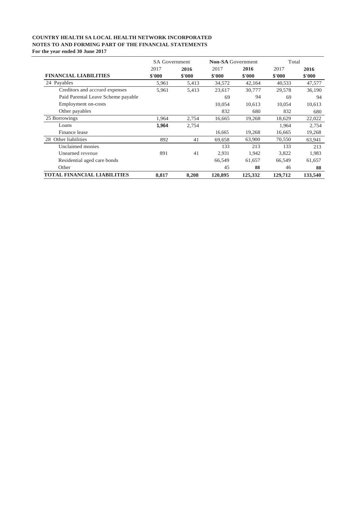|                                    | <b>SA Government</b> |        | <b>Non-SA</b> Government |         | Total   |         |
|------------------------------------|----------------------|--------|--------------------------|---------|---------|---------|
|                                    | 2017                 | 2016   | 2017                     | 2016    | 2017    | 2016    |
| <b>FINANCIAL LIABILITIES</b>       | \$'000               | \$'000 | \$'000                   | \$'000  | \$'000  | \$'000  |
| 24 Payables                        | 5,961                | 5,413  | 34,572                   | 42,164  | 40,533  | 47,577  |
| Creditors and accrued expenses     | 5,961                | 5,413  | 23,617                   | 30,777  | 29,578  | 36,190  |
| Paid Parental Leave Scheme payable |                      |        | 69                       | 94      | 69      | 94      |
| Employment on-costs                |                      |        | 10,054                   | 10,613  | 10,054  | 10,613  |
| Other payables                     |                      |        | 832                      | 680     | 832     | 680     |
| 25 Borrowings                      | 1,964                | 2,754  | 16,665                   | 19,268  | 18,629  | 22,022  |
| Loans                              | 1,964                | 2,754  |                          |         | 1,964   | 2,754   |
| Finance lease                      |                      |        | 16,665                   | 19,268  | 16,665  | 19,268  |
| 28 Other liabilities               | 892                  | 41     | 69,658                   | 63,900  | 70,550  | 63,941  |
| Unclaimed monies                   |                      |        | 133                      | 213     | 133     | 213     |
| Unearned revenue                   | 891                  | 41     | 2,931                    | 1,942   | 3,822   | 1,983   |
| Residential aged care bonds        |                      |        | 66,549                   | 61,657  | 66,549  | 61,657  |
| Other                              |                      |        | 45                       | 88      | 46      | 88      |
| <b>TOTAL FINANCIAL LIABILITIES</b> | 8,817                | 8.208  | 120,895                  | 125,332 | 129,712 | 133,540 |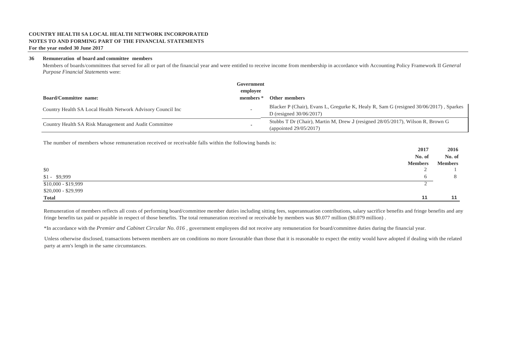### **COUNTRY HEALTH SA LOCAL HEALTH NETWORK INCORPORATED NOTES TO AND FORMING PART OF THE FINANCIAL STATEMENTS**

#### **For the year ended 30 June 2017**

#### **36 Remuneration of board and committee members**

Members of boards/committees that served for all or part of the financial year and were entitled to receive income from membership in accordance with Accounting Policy Framework II *General Purpose Financial Statements* were:

| <b>Board/Committee name:</b>                                | Government<br>employee<br>members * | <b>Other members</b>                                                                                                |
|-------------------------------------------------------------|-------------------------------------|---------------------------------------------------------------------------------------------------------------------|
| Country Health SA Local Health Network Advisory Council Inc |                                     | Blacker P (Chair), Evans L, Gregurke K, Healy R, Sam G (resigned 30/06/2017), Sparkes<br>D (resigned $30/06/2017$ ) |
| Country Health SA Risk Management and Audit Committee       |                                     | Stubbs T Dr (Chair), Martin M, Drew J (resigned 28/05/2017), Wilson R, Brown G<br>(appointed $29/05/2017$ )         |

The number of members whose remuneration received or receivable falls within the following bands is:

|                     | 2017           | 2016           |
|---------------------|----------------|----------------|
|                     | No. of         | No. of         |
|                     | <b>Members</b> | <b>Members</b> |
| \$0                 | ∼              |                |
| $$1 - $9,999$       |                | 8              |
| $$10,000 - $19,999$ |                |                |
| \$20,000 - \$29,999 |                |                |
| <b>Total</b>        | 11             | 11             |

Remuneration of members reflects all costs of performing board/committee member duties including sitting fees, superannuation contributions, salary sacrifice benefits and fringe benefits and any fringe benefits tax paid or payable in respect of those benefits. The total remuneration received or receivable by members was \$0.077 million (\$0.079 million).

\*In accordance with the *Premier and Cabinet Circular No. 016 ,* government employees did not receive any remuneration for board/committee duties during the financial year.

Unless otherwise disclosed, transactions between members are on conditions no more favourable than those that it is reasonable to expect the entity would have adopted if dealing with the related party at arm's length in the same circumstances.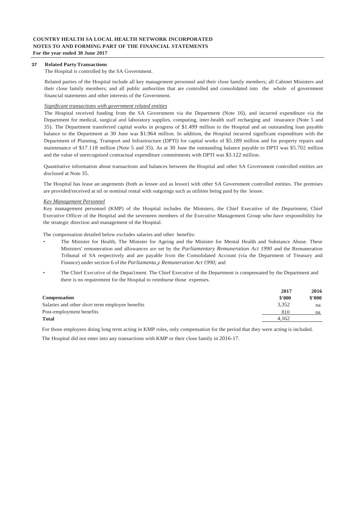#### **37 Related PartyTransactions**

#### The Hospital is controlled by the SA Government.

Related parties of the Hospital include all key management personnel and their close family members; all Cabinet Ministers and their close family members; and all public authorities that are controlled and consolidated into the whole of government financial statements and other interests of the Government.

#### *Significant transactions with government related entities*

The Hospital received funding from the SA Government via the Department (Note 16), and incurred expenditure via the Department for medical, surgical and laboratory supplies, computing, inter-health staff recharging and insurance (Note 5 and 35). The Department transferred capital works in progress of \$1.499 million to the Hospital and an outstanding loan payable balance to the Department at 30 June was \$1.964 million. In addition, the Hospital incurred significant expenditure with the Department of Planning, Transport and Infrastructure (DPTI) for capital works of \$5.189 million and for property repairs and maintenance of \$17.118 million (Note 5 and 35). As at 30 June the outstanding balance payable to DPTI was \$5.702 million and the value of unrecognised contractual expenditure commitments with DPTI was \$3.122 million.

Quantitative information about transactions and balances between the Hospital and other SA Government controlled entities are disclosed at Note 35.

The Hospital has lease an·angements (both as lessee and as lessor) with other SA Government controlled entities. The premises are provided/received at nil or nominal rental with outgoings such as utilities being paid by the lessee.

#### *Kev Management Personnel*

Key management personnel (KMP) of the Hospital includes the Ministers, the Chief Executive of the Department, Chief Executive Officer of the Hospital and the seventeen members of the Executive Management Group who have responsibility for the strategic direction and management of the Hospital.

The compensation detailed below excludes salaries and other benefits:

- The Minister for Health, The Minister for Ageing and the Minister for Mental Health and Substance Abuse. These Ministers' remuneration and allowances are set by the *Parliamentary Remuneration Act 1990* and the Remuneration Tribunal of SA respectively and are payable from the Consolidated Account (via the Department of Treasury and Finance) under section 6 of the *Parliamenta,y Remuneration Act 1990;* and
- The Chief Executive of the Depai1ment. The Chief Executive of the Department is compensated by the Department and there is no requirement for the Hospital to reimburse those expenses.

|                                                 | 2017   | 2016   |
|-------------------------------------------------|--------|--------|
| <b>Compensation</b>                             | \$'000 | \$'000 |
| Salaries and other short term employee benefits | 3.352  | na     |
| Post-employment benefits                        | 810    | na     |
| <b>Total</b>                                    | 4.162  |        |

For those employees doing long term acting in KMP roles, only compensation for the period that they were acting is included.

The Hospital did not enter into any transactions with KMP or their close family in 2016-17.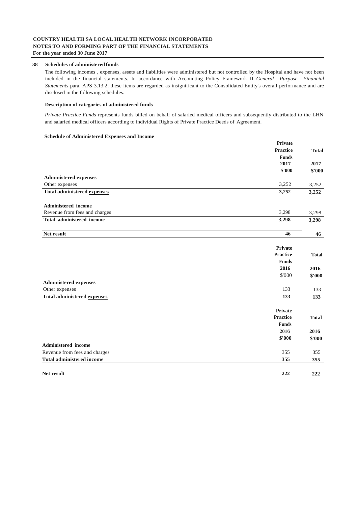#### **38 Schedules of administeredfunds**

The following incomes , expenses, assets and liabilities were administered but not controlled by the Hospital and have not been included in the financial statements. In accordance with Accounting Policy Framework II *General Purpose Financial Statements* para. APS 3.13.2, these items are regarded as insignificant to the Consolidated Entity's overall performance and are disclosed in the following schedules.

#### **Description of categories of administered funds**

*Private Practice Funds* represents funds billed on behalf of salaried medical officers and subsequently distributed to the LHN and salaried medical officers according to individual Rights of Private Practice Deeds of Agreement.

#### **Schedule of Administered Expenses and Income**

|                                    | Private         |              |
|------------------------------------|-----------------|--------------|
|                                    | <b>Practice</b> | <b>Total</b> |
|                                    | <b>Funds</b>    |              |
|                                    | 2017            | 2017         |
|                                    | \$'000          | \$'000       |
| <b>Administered expenses</b>       |                 |              |
| Other expenses                     | 3,252           | 3,252        |
| Total administered expenses        | 3,252           | 3,252        |
| Administered income                |                 |              |
| Revenue from fees and charges      | 3,298           | 3,298        |
| <b>Total administered income</b>   | 3,298           | 3,298        |
|                                    |                 |              |
| Net result                         | 46              | 46           |
|                                    | <b>Private</b>  |              |
|                                    | <b>Practice</b> | <b>Total</b> |
|                                    | <b>Funds</b>    |              |
|                                    | 2016            | 2016         |
|                                    | \$'000          | \$'000       |
| <b>Administered expenses</b>       |                 |              |
| Other expenses                     | 133             | 133          |
| <b>Total administered expenses</b> | 133             | 133          |
|                                    | Private         |              |
|                                    | <b>Practice</b> | <b>Total</b> |
|                                    | <b>Funds</b>    |              |
|                                    | 2016            | 2016         |
|                                    | \$'000          | \$'000       |
| Administered income                |                 |              |
| Revenue from fees and charges      | 355             | 355          |
| <b>Total administered income</b>   | 355             | 355          |
| Net result                         | 222             | 222          |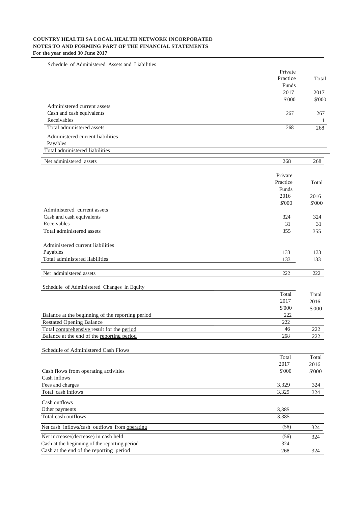| Schedule of Administered Assets and Liabilities                                         |               |            |
|-----------------------------------------------------------------------------------------|---------------|------------|
|                                                                                         | Private       |            |
|                                                                                         | Practice      | Total      |
|                                                                                         | Funds         |            |
|                                                                                         | 2017          | 2017       |
|                                                                                         | \$'000        | \$'000     |
| Administered current assets                                                             |               |            |
| Cash and cash equivalents<br>Receivables                                                | 267           | 267        |
| Total administered assets                                                               | 268           | 1<br>268   |
|                                                                                         |               |            |
| Administered current liabilities                                                        |               |            |
| Payables<br>Total administered liabilities                                              |               |            |
|                                                                                         |               |            |
| Net administered assets                                                                 | 268           | 268        |
|                                                                                         | Private       |            |
|                                                                                         | Practice      | Total      |
|                                                                                         | Funds         |            |
|                                                                                         | 2016          | 2016       |
|                                                                                         | \$'000        | \$'000     |
| Administered current assets                                                             |               |            |
| Cash and cash equivalents                                                               | 324           | 324        |
| Receivables                                                                             | 31            | 31         |
| Total administered assets                                                               | 355           | 355        |
|                                                                                         |               |            |
| Administered current liabilities                                                        |               |            |
| Payables<br>Total administered liabilities                                              | 133<br>133    | 133<br>133 |
|                                                                                         |               |            |
| Net administered assets                                                                 | 222           | 222        |
|                                                                                         |               |            |
| Schedule of Administered Changes in Equity                                              |               |            |
|                                                                                         | Total         | Total      |
|                                                                                         | 2017          | 2016       |
|                                                                                         | \$'000        | \$'000     |
| Balance at the beginning of the reporting period                                        | 222           |            |
| <b>Restated Opening Balance</b>                                                         | 222           |            |
| Total comprehensive result for the period<br>Balance at the end of the reporting period | $46\,$<br>268 | 222<br>222 |
|                                                                                         |               |            |
| Schedule of Administered Cash Flows                                                     |               |            |
|                                                                                         | Total         | Total      |
|                                                                                         | 2017          | 2016       |
| Cash flows from operating activities                                                    | \$'000        | \$'000     |
| Cash inflows                                                                            |               |            |
| Fees and charges                                                                        | 3,329         | 324        |
| Total cash inflows                                                                      | 3,329         | 324        |
| Cash outflows                                                                           |               |            |
| Other payments                                                                          | 3,385         |            |
| Total cash outflows                                                                     | 3,385         |            |
| Net cash inflows/cash outflows from operating                                           | (56)          | 324        |
| Net increase/(decrease) in cash held                                                    | (56)          | 324        |
| Cash at the beginning of the reporting period                                           | 324           |            |
| Cash at the end of the reporting period                                                 | 268           | 324        |